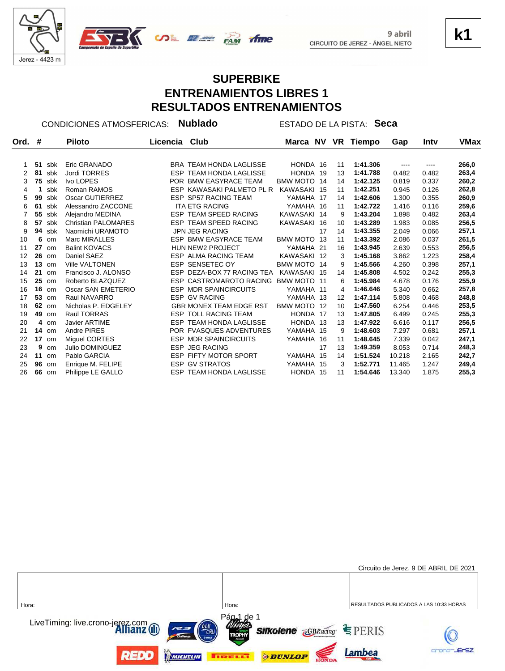



### **SUPERBIKE ENTRENAMIENTOS LIBRES 1 RESULTADOS ENTRENAMIENTOS**

time

CONDICIONES ATMOSFERICAS: **Nublado** ESTADO DE LA PISTA: **Seca**

| #  |     | <b>Piloto</b>          | Licencia | Club |                                                                                                                                                                                                                                                                                                                                                                                                                                                                                                                                                                                                                                                                                                                                             |                            | VR                                                                                                                                                                                                                                                                                                                                                  | Tiempo   | Gap    | Inty     | VMax  |
|----|-----|------------------------|----------|------|---------------------------------------------------------------------------------------------------------------------------------------------------------------------------------------------------------------------------------------------------------------------------------------------------------------------------------------------------------------------------------------------------------------------------------------------------------------------------------------------------------------------------------------------------------------------------------------------------------------------------------------------------------------------------------------------------------------------------------------------|----------------------------|-----------------------------------------------------------------------------------------------------------------------------------------------------------------------------------------------------------------------------------------------------------------------------------------------------------------------------------------------------|----------|--------|----------|-------|
|    |     |                        |          |      |                                                                                                                                                                                                                                                                                                                                                                                                                                                                                                                                                                                                                                                                                                                                             |                            |                                                                                                                                                                                                                                                                                                                                                     |          |        |          |       |
| 51 | sbk | Eric GRANADO           |          |      |                                                                                                                                                                                                                                                                                                                                                                                                                                                                                                                                                                                                                                                                                                                                             |                            | 11                                                                                                                                                                                                                                                                                                                                                  | 1:41.306 | ----   | $\cdots$ | 266,0 |
| 81 | sbk | Jordi TORRES           |          |      |                                                                                                                                                                                                                                                                                                                                                                                                                                                                                                                                                                                                                                                                                                                                             |                            | 13                                                                                                                                                                                                                                                                                                                                                  | 1:41.788 | 0.482  | 0.482    | 263,4 |
| 75 | sbk | Ivo LOPES              |          |      |                                                                                                                                                                                                                                                                                                                                                                                                                                                                                                                                                                                                                                                                                                                                             |                            | 14                                                                                                                                                                                                                                                                                                                                                  | 1:42.125 | 0.819  | 0.337    | 260,2 |
|    | sbk | Roman RAMOS            |          |      |                                                                                                                                                                                                                                                                                                                                                                                                                                                                                                                                                                                                                                                                                                                                             |                            | 11                                                                                                                                                                                                                                                                                                                                                  | 1:42.251 | 0.945  | 0.126    | 262,8 |
| 99 | sbk | Oscar GUTIERREZ        |          |      |                                                                                                                                                                                                                                                                                                                                                                                                                                                                                                                                                                                                                                                                                                                                             |                            | 14                                                                                                                                                                                                                                                                                                                                                  | 1:42.606 | 1.300  | 0.355    | 260,9 |
| 61 | sbk | Alessandro ZACCONE     |          |      |                                                                                                                                                                                                                                                                                                                                                                                                                                                                                                                                                                                                                                                                                                                                             |                            | 11                                                                                                                                                                                                                                                                                                                                                  | 1:42.722 | 1.416  | 0.116    | 259,6 |
| 55 | sbk | Alejandro MEDINA       |          |      |                                                                                                                                                                                                                                                                                                                                                                                                                                                                                                                                                                                                                                                                                                                                             |                            | 9                                                                                                                                                                                                                                                                                                                                                   | 1:43.204 | 1.898  | 0.482    | 263,4 |
| 57 | sbk | Christian PALOMARES    |          |      |                                                                                                                                                                                                                                                                                                                                                                                                                                                                                                                                                                                                                                                                                                                                             |                            | 10                                                                                                                                                                                                                                                                                                                                                  | 1:43.289 | 1.983  | 0.085    | 256,5 |
| 94 | sbk | Naomichi URAMOTO       |          |      |                                                                                                                                                                                                                                                                                                                                                                                                                                                                                                                                                                                                                                                                                                                                             | 17                         | 14                                                                                                                                                                                                                                                                                                                                                  | 1:43.355 | 2.049  | 0.066    | 257,1 |
| 6  | om  | Marc MIRALLES          |          |      |                                                                                                                                                                                                                                                                                                                                                                                                                                                                                                                                                                                                                                                                                                                                             | 13                         | 11                                                                                                                                                                                                                                                                                                                                                  | 1:43.392 | 2.086  | 0.037    | 261,5 |
| 27 | om  | <b>Balint KOVACS</b>   |          |      |                                                                                                                                                                                                                                                                                                                                                                                                                                                                                                                                                                                                                                                                                                                                             |                            | 16                                                                                                                                                                                                                                                                                                                                                  | 1:43.945 | 2.639  | 0.553    | 256,5 |
| 26 | om  | Daniel SAEZ            |          |      |                                                                                                                                                                                                                                                                                                                                                                                                                                                                                                                                                                                                                                                                                                                                             |                            | 3                                                                                                                                                                                                                                                                                                                                                   | 1:45.168 | 3.862  | 1.223    | 258,4 |
| 13 | om  | <b>Ville VALTONEN</b>  |          |      |                                                                                                                                                                                                                                                                                                                                                                                                                                                                                                                                                                                                                                                                                                                                             |                            | 9                                                                                                                                                                                                                                                                                                                                                   | 1:45.566 | 4.260  | 0.398    | 257,1 |
| 21 | om  | Francisco J. ALONSO    |          |      |                                                                                                                                                                                                                                                                                                                                                                                                                                                                                                                                                                                                                                                                                                                                             |                            | 14                                                                                                                                                                                                                                                                                                                                                  | 1:45.808 | 4.502  | 0.242    | 255,3 |
| 25 | om  | Roberto BLAZQUEZ       |          |      |                                                                                                                                                                                                                                                                                                                                                                                                                                                                                                                                                                                                                                                                                                                                             |                            | 6                                                                                                                                                                                                                                                                                                                                                   | 1:45.984 | 4.678  | 0.176    | 255,9 |
| 16 | om  | Oscar SAN EMETERIO     |          |      |                                                                                                                                                                                                                                                                                                                                                                                                                                                                                                                                                                                                                                                                                                                                             |                            | 4                                                                                                                                                                                                                                                                                                                                                   | 1:46.646 | 5.340  | 0.662    | 257,8 |
| 53 | om  | Raul NAVARRO           |          |      |                                                                                                                                                                                                                                                                                                                                                                                                                                                                                                                                                                                                                                                                                                                                             |                            | 12                                                                                                                                                                                                                                                                                                                                                  | 1:47.114 | 5.808  | 0.468    | 248,8 |
| 62 | om  | Nicholas P. EDGELEY    |          |      |                                                                                                                                                                                                                                                                                                                                                                                                                                                                                                                                                                                                                                                                                                                                             |                            | 10                                                                                                                                                                                                                                                                                                                                                  | 1:47.560 | 6.254  | 0.446    | 253,5 |
| 49 | om  | Raül TORRAS            |          |      |                                                                                                                                                                                                                                                                                                                                                                                                                                                                                                                                                                                                                                                                                                                                             |                            | 13                                                                                                                                                                                                                                                                                                                                                  | 1:47.805 | 6.499  | 0.245    | 255,3 |
| 4  | om  | <b>Javier ARTIME</b>   |          |      |                                                                                                                                                                                                                                                                                                                                                                                                                                                                                                                                                                                                                                                                                                                                             |                            | 13                                                                                                                                                                                                                                                                                                                                                  | 1:47.922 | 6.616  | 0.117    | 256,5 |
|    |     | Andre PIRES            |          |      |                                                                                                                                                                                                                                                                                                                                                                                                                                                                                                                                                                                                                                                                                                                                             |                            | 9                                                                                                                                                                                                                                                                                                                                                   | 1:48.603 | 7.297  | 0.681    | 257,1 |
| 17 | om  | Miquel CORTES          |          |      |                                                                                                                                                                                                                                                                                                                                                                                                                                                                                                                                                                                                                                                                                                                                             |                            | 11                                                                                                                                                                                                                                                                                                                                                  | 1:48.645 | 7.339  | 0.042    | 247,1 |
| 9  | om  | <b>Julio DOMINGUEZ</b> |          |      |                                                                                                                                                                                                                                                                                                                                                                                                                                                                                                                                                                                                                                                                                                                                             | 17                         | 13                                                                                                                                                                                                                                                                                                                                                  | 1:49.359 | 8.053  | 0.714    | 248,3 |
| 11 | om  | Pablo GARCIA           |          |      |                                                                                                                                                                                                                                                                                                                                                                                                                                                                                                                                                                                                                                                                                                                                             |                            | 14                                                                                                                                                                                                                                                                                                                                                  | 1:51.524 | 10.218 | 2.165    | 242,7 |
| 96 | om  | Enrique M. FELIPE      |          |      |                                                                                                                                                                                                                                                                                                                                                                                                                                                                                                                                                                                                                                                                                                                                             |                            | 3                                                                                                                                                                                                                                                                                                                                                   | 1:52.771 | 11.465 | 1.247    | 249,4 |
| 66 | om  | Philippe LE GALLO      |          |      |                                                                                                                                                                                                                                                                                                                                                                                                                                                                                                                                                                                                                                                                                                                                             |                            | 11                                                                                                                                                                                                                                                                                                                                                  | 1:54.646 | 13.340 | 1.875    | 255,3 |
|    |     | $14$ om                |          |      | <b>BRA TEAM HONDA LAGLISSE</b><br><b>ESP TEAM HONDA LAGLISSE</b><br>POR BMW EASYRACE TEAM<br>ESP KAWASAKI PALMETO PL R<br><b>ESP SP57 RACING TEAM</b><br><b>ITA ETG RACING</b><br>ESP TEAM SPEED RACING<br><b>ESP TEAM SPEED RACING</b><br><b>JPN JEG RACING</b><br><b>ESP BMW EASYRACE TEAM</b><br><b>HUN NEW2 PROJECT</b><br><b>ESP ALMA RACING TEAM</b><br>ESP SENSETEC OY<br>ESP CASTROMAROTO RACING<br><b>ESP MDR SPAINCIRCUITS</b><br><b>ESP GV RACING</b><br><b>GBR MONEX TEAM EDGE RST</b><br><b>ESP TOLL RACING TEAM</b><br><b>ESP TEAM HONDA LAGLISSE</b><br>POR FVASQUES ADVENTURES<br><b>ESP MDR SPAINCIRCUITS</b><br><b>ESP JEG RACING</b><br><b>ESP FIFTY MOTOR SPORT</b><br><b>ESP GV STRATOS</b><br>ESP TEAM HONDA LAGLISSE | ESP DEZA-BOX 77 RACING TEA | Marca NV<br>HONDA 16<br>HONDA 19<br>BMW MOTO 14<br>KAWASAKI 15<br>YAMAHA 17<br>YAMAHA 16<br>KAWASAKI 14<br>KAWASAKI 16<br><b>BMW MOTO</b><br>YAMAHA 21<br>KAWASAKI 12<br>BMW MOTO 14<br>KAWASAKI 15<br>BMW MOTO 11<br>YAMAHA 11<br>YAMAHA 13<br>BMW MOTO 12<br>HONDA 17<br>HONDA 13<br>YAMAHA 15<br>YAMAHA 16<br>YAMAHA 15<br>YAMAHA 15<br>HONDA 15 |          |        |          |       |



**k1**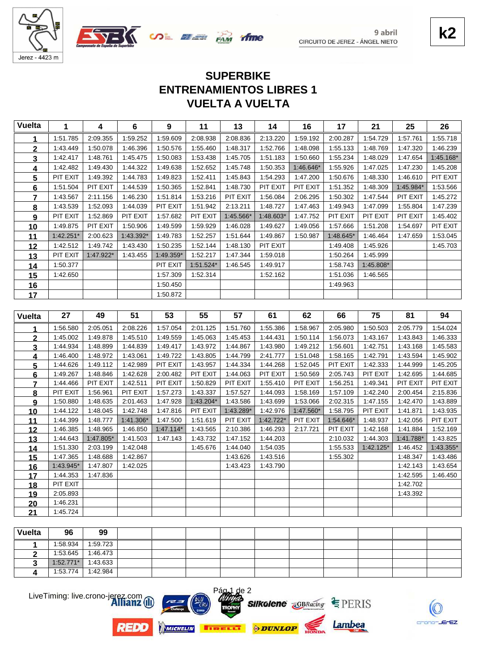



9 abril

# **VUELTA A VUELTA ENTRENAMIENTOS LIBRES 1 SUPERBIKE**

*ifme* 

| <b>Vuelta</b>           | 1                    | $\boldsymbol{4}$ | $6\phantom{a}$ | $\boldsymbol{9}$ | 11          | 13        | 14        | 16        | 17        | 21          | 25                   | 26        |
|-------------------------|----------------------|------------------|----------------|------------------|-------------|-----------|-----------|-----------|-----------|-------------|----------------------|-----------|
| 1                       | 1:51.785             | 2:09.355         | 1:59.252       | 1:59.609         | 2:08.938    | 2:08.836  | 2:13.220  | 1:59.192  | 2:00.287  | 1:54.729    | 1:57.761             | 1:55.718  |
| $\mathbf 2$             | 1:43.449             | 1:50.078         | 1:46.396       | 1:50.576         | 1:55.460    | 1:48.317  | 1:52.766  | 1:48.098  | 1:55.133  | 1:48.769    | 1:47.320             | 1:46.239  |
| 3                       | 1:42.417             | 1:48.761         | 1:45.475       | 1:50.083         | 1:53.438    | 1:45.705  | 1:51.183  | 1:50.660  | 1:55.234  | 1:48.029    | 1:47.654             | 1:45.168* |
| 4                       | 1:42.482             | 1:49.430         | 1:44.322       | 1:49.638         | 1:52.652    | 1:45.748  | 1:50.353  | 1:46.646* | 1:55.926  | 1:47.025    | 1:47.230             | 1:45.208  |
| 5                       | PIT EXIT             | 1:49.392         | 1:44.783       | 1:49.823         | 1:52.411    | 1:45.843  | 1:54.293  | 1:47.200  | 1:50.676  | 1:48.330    | 1:46.610             | PIT EXIT  |
| 6                       | 1:51.504             | PIT EXIT         | 1:44.539       | 1:50.365         | 1:52.841    | 1:48.730  | PIT EXIT  | PIT EXIT  | 1:51.352  | 1:48.309    | 1:45.984*            | 1:53.566  |
| $\overline{7}$          | 1:43.567             | 2:11.156         | 1:46.230       | 1:51.814         | 1:53.216    | PIT EXIT  | 1:56.084  | 2:06.295  | 1:50.302  | 1:47.544    | PIT EXIT             | 1:45.272  |
| 8                       | 1:43.539             | 1:52.093         | 1:44.039       | PIT EXIT         | 1:51.942    | 2:13.211  | 1:48.727  | 1:47.463  | 1:49.943  | 1:47.099    | 1:55.804             | 1:47.239  |
| $\boldsymbol{9}$        | PIT EXIT             | 1:52.869         | PIT EXIT       | 1:57.682         | PIT EXIT    | 1:45.566* | 1:48.603* | 1:47.752  | PIT EXIT  | PIT EXIT    | PIT EXIT             | 1:45.402  |
| 10                      | 1:49.875             | PIT EXIT         | 1:50.906       | 1:49.599         | 1:59.929    | 1:46.028  | 1:49.627  | 1:49.056  | 1:57.666  | 1:51.208    | 1:54.697             | PIT EXIT  |
| 11                      | $1:42.251*$          | 2:00.623         | 1:43.392*      | 1:49.783         | 1:52.257    | 1:51.644  | 1:49.867  | 1:50.987  | 1:48.645* | 1:46.464    | 1:47.659             | 1:53.045  |
| 12                      | 1:42.512             | 1:49.742         | 1:43.430       | 1:50.235         | 1:52.144    | 1:48.130  | PIT EXIT  |           | 1:49.408  | 1:45.926    |                      | 1:45.703  |
| 13                      | PIT EXIT             | 1:47.922*        | 1:43.455       | 1:49.359*        | 1:52.217    | 1:47.344  | 1:59.018  |           | 1:50.264  | 1:45.999    |                      |           |
| 14                      | 1:50.377             |                  |                | PIT EXIT         | 1:51.524*   | 1:46.545  | 1:49.917  |           | 1:58.743  | 1:45.808*   |                      |           |
| 15                      | 1:42.650             |                  |                | 1:57.309         | 1:52.314    |           | 1:52.162  |           | 1:51.036  | 1:46.565    |                      |           |
| 16                      |                      |                  |                | 1:50.450         |             |           |           |           | 1:49.963  |             |                      |           |
| 17                      |                      |                  |                | 1:50.872         |             |           |           |           |           |             |                      |           |
|                         |                      |                  |                |                  |             |           |           |           |           |             |                      |           |
| <b>Vuelta</b>           | 27                   | 49               | 51             | 53               | 55          | 57        | 61        | 62        | 66        | 75          | 81                   | 94        |
| 1                       | 1:56.580             | 2:05.051         | 2:08.226       | 1:57.054         | 2:01.125    | 1:51.760  | 1:55.386  | 1:58.967  | 2:05.980  | 1:50.503    | 2:05.779             | 1:54.024  |
| $\overline{2}$          | 1:45.002             | 1:49.878         | 1:45.510       | 1:49.559         | 1:45.063    | 1:45.453  | 1:44.431  | 1:50.114  | 1:56.073  | 1:43.167    | 1:43.843             | 1:46.333  |
| 3                       | 1:44.934             | 1:48.899         | 1:44.839       | 1:49.417         | 1:43.972    | 1:44.867  | 1:43.980  | 1:49.212  | 1:56.601  | 1:42.751    | 1:43.168             | 1:45.583  |
| 4                       | 1:46.400             | 1:48.972         | 1:43.061       | 1:49.722         | 1:43.805    | 1:44.799  | 2:41.777  | 1:51.048  | 1:58.165  | 1:42.791    | 1:43.594             | 1:45.902  |
| $\overline{\mathbf{5}}$ | 1:44.626             | 1:49.112         | 1:42.989       | PIT EXIT         | 1:43.957    | 1:44.334  | 1:44.268  | 1:52.045  | PIT EXIT  | 1:42.333    | 1:44.999             | 1:45.205  |
| 6                       | 1:49.267             | 1:48.846         | 1:42.628       | 2:00.482         | PIT EXIT    | 1:44.063  |           |           |           |             |                      | 1:44.685  |
| $\overline{7}$          |                      |                  |                |                  |             |           | PIT EXIT  | 1:50.569  | 2:05.743  | PIT EXIT    | 1:42.695             |           |
|                         | 1:44.466             | PIT EXIT         | 1:42.511       | PIT EXIT         | 1:50.829    | PIT EXIT  | 1:55.410  | PIT EXIT  | 1:56.251  | 1:49.341    | PIT EXIT             | PIT EXIT  |
| 8                       | PIT EXIT             | 1:56.961         | PIT EXIT       | 1:57.273         | 1:43.337    | 1:57.527  | 1:44.093  | 1:58.169  | 1:57.109  | 1:42.240    | 2:00.454             | 2:15.836  |
| 9                       | 1:50.880             | 1:48.635         | 2:01.463       | 1:47.928         | $1:43.204*$ | 1:43.586  | 1:43.699  | 1:53.066  | 2:02.315  | 1:47.155    | 1:42.470             | 1:43.889  |
| 10                      | 1:44.122             | 1:48.045         | 1:42.748       | 1:47.816         | PIT EXIT    | 1:43.289* | 1:42.976  | 1:47.560* | 1:58.795  | PIT EXIT    | 1:41.871             | 1:43.935  |
| 11                      | 1:44.399             | 1:48.777         | 1:41.306*      | 1:47.500         | 1:51.619    | PIT EXIT  | 1:42.722* | PIT EXIT  | 1:54.646* | 1:48.937    | 1:42.056             | PIT EXIT  |
| 12                      | 1:46.385             | 1:48.965         | 1:46.850       | $1:47.114*$      | 1:43.565    | 2:10.386  | 1:46.293  | 2:17.721  | PIT EXIT  | 1:42.168    | 1:41.884             | 1:52.169  |
| 13                      | 1:44.643             | 1:47.805*        | 1:41.503       | 1:47.143         | 1:43.732    | 1:47.152  | 1:44.203  |           | 2:10.032  | 1:44.303    | 1:41.788*            | 1:43.825  |
| 14                      | 1:51.330             | 2:03.199         | 1:42.048       |                  | 1:45.676    | 1:44.040  | 1:54.035  |           | 1:55.533  | $1:42.125*$ | 1:46.452             | 1:43.355* |
| 15                      | 1:47.365             | 1:48.688         | 1:42.867       |                  |             | 1:43.626  | 1:43.516  |           | 1:55.302  |             | 1:48.347             | 1:43.486  |
| 16                      | 1:43.945*            | 1:47.807         | 1:42.025       |                  |             | 1:43.423  | 1:43.790  |           |           |             | 1:42.143             | 1:43.654  |
| 17                      | 1:44.353<br>PIT EXIT | 1:47.836         |                |                  |             |           |           |           |           |             | 1:42.595<br>1:42.702 | 1:46.450  |
| <u>18</u>               | 2:05.893             |                  |                |                  |             |           |           |           |           |             | 1:43.392             |           |
| 19                      | 1:46.231             |                  |                |                  |             |           |           |           |           |             |                      |           |
| 20<br>21                | 1:45.724             |                  |                |                  |             |           |           |           |           |             |                      |           |

| Vuelta | 96          | 99       |  |  |  |  |  |
|--------|-------------|----------|--|--|--|--|--|
|        | 1:58.934    | 1:59.723 |  |  |  |  |  |
|        | 1:53.645    | 1:46.473 |  |  |  |  |  |
|        | $1:52.771*$ | 1:43.633 |  |  |  |  |  |
|        | 1:53.774    | 1:42.984 |  |  |  |  |  |

e 2

LiveTiming: live.crono-jerez.com

**REDD** 









Lambea



crono-JErEZ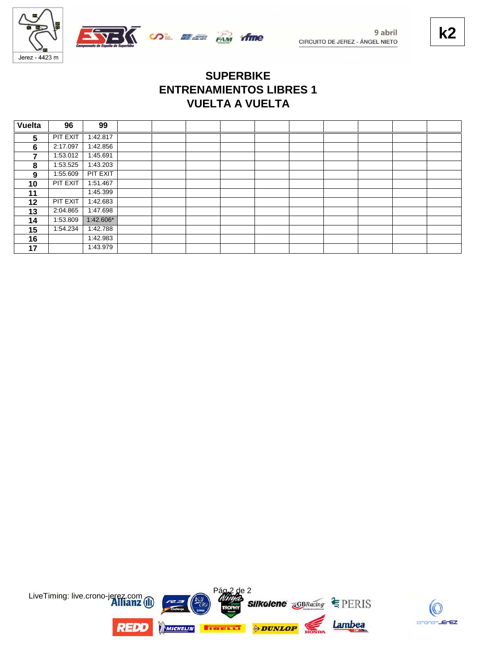

 $\sqrt{}$   $\omega$   $\approx$   $\approx$   $\frac{1}{\sqrt{2}}$   $\frac{1}{\sqrt{2}}$ 

## **VUELTA A VUELTA ENTRENAMIENTOS LIBRES 1 SUPERBIKE**

| <b>Vuelta</b>  | 96       | 99        |  |  |  |  |  |
|----------------|----------|-----------|--|--|--|--|--|
| 5              | PIT EXIT | 1:42.817  |  |  |  |  |  |
| 6              | 2:17.097 | 1:42.856  |  |  |  |  |  |
| $\overline{7}$ | 1:53.012 | 1:45.691  |  |  |  |  |  |
| 8              | 1:53.525 | 1:43.203  |  |  |  |  |  |
| 9              | 1:55.609 | PIT EXIT  |  |  |  |  |  |
| 10             | PIT EXIT | 1:51.467  |  |  |  |  |  |
| 11             |          | 1:45.399  |  |  |  |  |  |
| 12             | PIT EXIT | 1:42.683  |  |  |  |  |  |
| 13             | 2:04.865 | 1:47.698  |  |  |  |  |  |
| 14             | 1:53.809 | 1:42.606* |  |  |  |  |  |
| 15             | 1:54.234 | 1:42.788  |  |  |  |  |  |
| 16             |          | 1:42.983  |  |  |  |  |  |
| 17             |          | 1:43.979  |  |  |  |  |  |

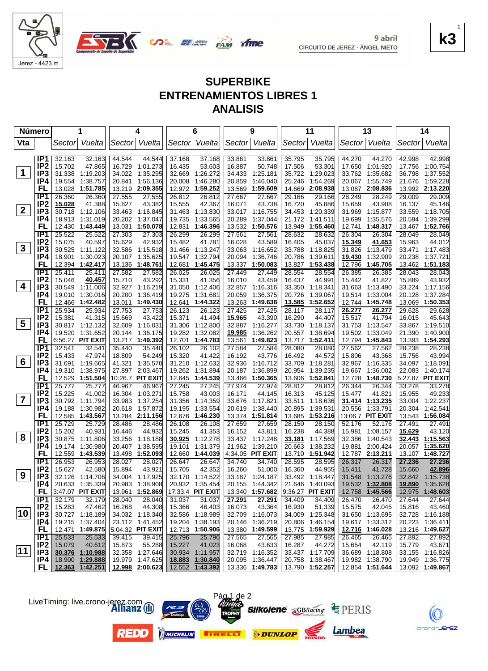

Jerez - 4423 m

CIRCUITO DE JEREZ - ÁNGEL NIETO

**k3** 1

EZ.

9 abril

## **SUPERBIKE ENTRENAMIENTOS LIBRES 1 ANALISIS**

| Número       |                                    |                  | 1                             |                  | 4                                  |                  | 6                         |                  | 9                               |                  | 11                        |                  | 13                           |                  | 14                          |
|--------------|------------------------------------|------------------|-------------------------------|------------------|------------------------------------|------------------|---------------------------|------------------|---------------------------------|------------------|---------------------------|------------------|------------------------------|------------------|-----------------------------|
| Vta          |                                    | Sector           | Vuelta                        | Sector           | Vuelta                             |                  | Sector Vuelta             | Sector           | Vuelta                          |                  | Sector Vuelta             |                  | Sector Vuelta                | Sector           | Vuelta                      |
|              |                                    |                  |                               |                  |                                    |                  |                           |                  |                                 |                  |                           |                  |                              |                  |                             |
|              | IP <sub>1</sub>                    | 32.163           | 32.163                        | 44.544           | 44.544                             | 37.168           | 37.168                    | 33.861           | 33.861                          | 35.795           | 35.795                    | 44.270           | 44.270                       | 42.998           | 42.998                      |
| $\mathbf 1$  | IP <sub>2</sub>                    | 15.702           | 47.865                        | 16.729           | 1:01.273                           | 16.435           | 53.603                    | 16.887           | 50.748                          | 17.506           | 53.301                    | 17.650           | 1:01.920                     | 17.756           | 1:00.754                    |
|              | IP <sub>3</sub>                    | 31.338           | 1:19.203                      | 34.022           | 1:35.295                           | 32.669           | 1:26.272                  | 34.433           | 1:25.181                        | 35.722           | 1:29.023                  | 33.762           | 1:35.682                     | 36.798           | 1:37.552                    |
|              | IP4<br>FL                          | 19.554<br>13.028 | 1:38.757<br>1:51.785          | 20.841           | 1:56.136<br>13.219 2:09.355        | 20.008           | 1:46.280<br>1:59.252      | 20.859           | 1:46.040<br>1:59.609            | 25.246           | 1:54.269<br>2:08.938      | 20.067           | 1:55.749<br>2:08.836         | 21.676           | 1:59.228<br>2:13.220        |
|              | IP <sub>1</sub>                    | 26.360           | 26.360                        | 27.555           | 27.555                             | 12.972<br>26.812 | 26.812                    | 13.569<br>27.667 | 27.667                          | 14.669<br>29.166 | 29.166                    | 13.087<br>28.249 | 28.249                       | 13.992<br>29.009 | 29.009                      |
|              | IP <sub>2</sub>                    | 15.028           | 41.388                        | 15.827           | 43.382                             | 15.555           | 42.367                    | 16.071           | 43.738                          | 16.720           | 45.886                    | 15.659           | 43.908                       | 16.137           | 45.146                      |
| $\mathbf{2}$ | IP <sub>3</sub>                    | 30.718           | 1:12.106                      |                  | 33.463 1:16.845                    | 31.463           | 1:13.830                  | 33.017           | 1:16.755                        | 34.453           | 1:20.339                  | 31.969           | 1:15.877                     | 33.559           | 1:18.705                    |
|              | IP4                                | 18.913           | 1:31.019                      |                  | 20.202 1:37.047                    | 19.735           | 1:33.565                  | 20.289           | 1:37.044                        | 21.172           | 1:41.511                  | 19.699           | 1:35.576                     | 20.594           | 1:39.299                    |
|              | <b>FL</b>                          | 12.430           | 1:43.449                      | 13.031           | 1:50.078                           | 12.831           | 1:46.396                  | 13.532           | 1:50.576                        | 13.949           | 1:55.460                  | 12.741           | 1:48.317                     | 13.467           | 1:52.766                    |
|              | IP1                                | 25.522           | 25.522                        | 27.303           | 27.303                             | 26.299           | 26.299                    | 27.561           | 27.561                          | 28.632           | 28.632                    | 26.304           | 26.304                       | 28.049           | 28.049                      |
|              | IP <sub>2</sub>                    | 15.075           | 40.597                        | 15.629           | 42.932                             | 15.482           | 41.781                    | 16.028           | 43.589                          | 16.405           | 45.037                    | 15.349           | 41.653                       | 15.963           | 44.012                      |
| $\mathbf{3}$ | IP3                                |                  | 30.525 1:11.122               |                  | 32.586 1:15.518                    | 31.466           | 1:13.247                  | 33.063           | 1:16.652                        | 33.788           | 1:18.825                  | 31.826           | 1:13.479                     | 33.471           | 1:17.483                    |
|              | IP4                                | 18.901           | 1:30.023                      | 20.107           | 1:35.625                           | 19.547           | 1:32.794                  | 20.094           | 1:36.746                        | 20.786           | 1:39.611                  | 19.430           | 1:32.909                     | 20.238           | 1:37.721                    |
|              | FL                                 |                  | 12.394 1:42.417               |                  | 13.136 1:48.761                    | 12.681           | 1:45.475                  | 13.337           | 1:50.083                        | 13.827           | 1:53.438                  | 12.796           | 1:45.705                     |                  | 13.462 1:51.183             |
|              | IP1                                | 25.411           | 25.411                        | 27.582           | 27.582                             | 26.025           | 26.025                    | 27.449           | 27.449                          | 28.554           | 28.554                    | 26.385           | 26.385                       | 28.043           | 28.043                      |
|              | IP <sub>2</sub>                    | 15.046           | 40.457                        | 15.710           | 43.292                             | 15.331           | 41.356                    | 16.010           | 43.459                          | 16.437           | 44.991                    | 15.442           | 41.827                       | 15.889           | 43.932                      |
| 4            | IP3                                | 30.549           | 1:11.006                      |                  | 32.927 1:16.219                    | 31.050           | 1:12.406                  | 32.857           | 1:16.316                        | 33.350           | 1:18.341                  |                  | 31.663 1:13.490              |                  | 33.224 1:17.156             |
|              | IP4                                | 19.010           | 1:30.016                      |                  | 20.200 1:36.419                    | 19.275           | 1:31.681                  | 20.059           | 1:36.375                        | 20.726           | 1:39.067                  | 19.514           | 1:33.004                     | 20.128           | 1:37.284                    |
|              | FL                                 | 12.466           | 1:42.482                      |                  | 13.011 1:49.430                    | 12.641           | 1:44.322                  | 13.263           | 1:49.638                        |                  | 13.585 1:52.652           |                  | 12.744 1:45.748              |                  | 13.069 1:50.353             |
|              | IP <sub>1</sub><br>IP <sub>2</sub> | 25.934<br>15.381 | 25.934<br>41.315              | 27.753<br>15.669 | 27.753<br>43.422                   | 26.123<br>15.371 | 26.123<br>41.494          | 27.425<br>15.965 | 27.425<br>43.390                | 28.117<br>16.290 | 28.117<br>44.407          | 26.277<br>15.517 | 26.277<br>41.794             | 29.628<br>16.015 | 29.628<br>45.643            |
| 5            | IP <sub>3</sub>                    |                  | 30.817 1:12.132               |                  | 32.609 1:16.031                    | 31.306           | 1:12.800                  | 32.887           | 1:16.277                        | 33.730           | 1:18.137                  | 31.753           | 1:13.547                     |                  | 33.867 1:19.510             |
|              | IP4                                | 19.520           | 1:31.652                      | 20.144           | 1:36.175                           | 19.282           | 1:32.082                  | 19.985           | 1:36.262                        | 20.557           | 1:38.694                  | 19.502           | 1:33.049                     | 21.390           | 1:40.900                    |
|              | FL                                 |                  | 6:56.27 PIT EXIT              |                  | 13.217 1:49.392                    | 12.701           | 1:44.783                  | 13.561           | 1:49.823                        |                  | 13.717 1:52.411           |                  | 12.794 1:45.843              |                  | 13.393 1:54.293             |
|              | IP1                                | 32.541           | 32.541                        | 35.440           | 35.440                             | 26.102           | 26.102                    | 27.584           | 27.584                          | 28.080           | 28.080                    | 27.562           | 27.562                       | 28.238           | 28.238                      |
|              | IP <sub>2</sub>                    | 15.433           | 47.974                        | 18.809           | 54.249                             | 15.320           | 41.422                    | 16.192           | 43.776                          | 16.492           | 44.572                    | 15.806           | 43.368                       | 15.756           | 43.994                      |
| 6            | IP <sub>3</sub>                    | 31.691           | 1:19.665                      |                  | 41.321 1:35.570                    | 31.210           | 1:12.632                  | 32.936           | 1:16.712                        | 33.709           | 1:18.281                  | 32.967           | 1:16.335                     |                  | 34.097 1:18.091             |
|              | IP4                                | 19.310           | 1:38.975                      |                  | 27.897 2:03.467                    | 19.262           | 1:31.894                  | 20.187           | 1:36.899                        | 20.954           | 1:39.235                  | 19.667           | 1:36.002                     | 22.083           | 1:40.174                    |
|              | FL                                 | 12.529           | 1:51.504                      |                  | 10:26.7 PIT EXIT                   | 12.645           | 1:44.539                  | 13.466           | 1:50.365                        | 13.606           | 1:52.841                  | 12.728           | 1:48.730                     |                  | 5:27.87 PIT EXIT            |
|              | IP1                                | 25.777           | 25.777                        | 46.967           | 46.967                             | 27.245           | 27.245                    | 27.974           | 27.974                          | 28.812           | 28.812                    | 26.344           | 26.344                       | 33.278           | 33.278                      |
|              | IP <sub>2</sub>                    | 15.225           | 41.002                        | 16.304           | 1:03.271                           | 15.758           | 43.003                    | 16.171           | 44.145                          | 16.313           | 45.125                    | 15.477           | 41.821                       | 15.955           | 49.233                      |
| 7            | IP <sub>3</sub>                    | 30.792           | 1:11.794                      |                  | 33.983 1:37.254                    | 31.356           | 1:14.359                  | 33.676           | 1:17.821                        | 33.511           | 1:18.636                  | 31.414           | 1:13.235                     | 33.004           | 1:22.237                    |
|              | IP4<br>FL                          | 19.188<br>12.585 | 1:30.982<br>1:43.567          |                  | 20.618 1:57.872<br>13.284 2:11.156 | 19.195<br>12.676 | 1:33.554<br>1:46.230      | 20.619<br>13.374 | 1:38.440<br>1:51.814            | 20.895<br>13.685 | 1:39.531<br>1:53.216      | 20.556           | 1:33.791<br>13:06.7 PIT EXIT | 20.304           | 1:42.541<br>13.543 1:56.084 |
|              | IP1                                | 25.729           | 25.729                        | 28.486           | 28.486                             | 26.108           | 26.108                    | 27.659           | 27.659                          | 28.150           | 28.150                    | 52.176           | 52.176                       | 27.491           | 27.491                      |
|              | IP <sub>2</sub>                    | 15.202           | 40.931                        | 16.446           | 44.932                             | 15.245           | 41.353                    | 16.152           | 43.811                          | 16.238           | 44.388                    | 15.981           | 1:08.157                     | 15.629           | 43.120                      |
| 8            | IP <sub>3</sub>                    | 30.875           | 1:11.806                      | 33.256           | 1:18.188                           | 30.925           | 1:12.278                  | 33.437           | 1:17.248                        | <u>33.181</u>    | 1:17.569                  | 32.386           | 1:40.543                     | 32.443           | 1:15.563                    |
|              | IP4                                | 19.174           | 1:30.980                      | 20.407           | 1:38.595                           | 19.101           | 1:31.379                  | 21.962           | 1:39.210                        | 20.663           | 1:38.232                  | 19.881           | 2:00.424                     | 20.057           | 1:35.620                    |
|              | FL                                 | 12.559           | 1:43.539                      |                  | 13.498 1:52.093                    | 12.660           | 1:44.039                  |                  | 4:34.05 PIT EXIT                | 13.710           | 1:51.942                  |                  | 12.787 2:13.211              |                  | 13.107 1:48.727             |
|              | IP <sub>1</sub>                    | 26.953           | 26.953                        | 28.027           | 28.027                             | 26.647           | 26.647                    | 34.740           | 34.740                          | 28.595           | 28.595                    | 26.317           | 26.317                       | 27.236           | 27.236                      |
|              | IP <sub>2</sub>                    | 15.627           | 42.580                        | 15.894           | 43.921                             | 15.705           | 42.352                    | 16.260           | 51.000                          | 16.360           | 44.955                    | 15.411           | 41.728                       | 15.660           | 42.896                      |
| 9            | IP <sub>3</sub>                    |                  | 32.126 1:14.706               |                  | 34.004 1:17.925                    |                  | 32.170 1:14.522           |                  | 33.187 1:24.187                 |                  | 33.492 1:18.447           |                  | 31.548 1:13.276              |                  | 32.842 1:15.738             |
|              | IP4                                |                  | 20.633 1:35.339               |                  | 20.983 1:38.908                    |                  | 20.932 1:35.454           |                  | 20.155 1:44.342                 |                  | 21.646 1:40.093           |                  | 19.532 1:32.808              |                  | 19.890 1:35.628             |
|              |                                    |                  | <b>FL</b> $ 3:47.07$ PIT EXIT |                  | 13.961 1:52.869                    |                  | 17:33.4 PIT EXIT          |                  | 13.340 1:57.682                 |                  | $9:36.27$ PIT EXIT        |                  | 12.758 1:45.566              |                  | 12.975 1:48.603             |
|              | IP1                                | 32.179           | 32.179                        | 28.040           | 28.040                             | 31.037           | 31.037                    | 27.291           | 27.291                          | 34.409           | 34.409                    | 26.470           | 26.470                       | 27.644           | 27.644                      |
| 10           | IP <sub>2</sub><br>IP <sub>3</sub> | 15.283           | 47.462<br>30.727 1:18.189     | 16.268           | 44.308<br>34.032 1:18.340          | 15.366           | 46.403<br>32.586 1:18.989 | 16.073           | 43.364<br>32.709 1:16.073       | 16.930           | 51.339<br>34.009 1:25.348 | 15.575           | 42.045<br>31.650 1:13.695    | 15.816           | 43.460<br>32.728 1:16.188   |
|              | IP4                                |                  | 19.215 1:37.404               |                  | 23.112 1:41.452                    |                  | 19.204 1:38.193           | 20.146           | 1:36.219                        |                  | 20.806 1:46.154           |                  | 19.617 1:33.312              |                  | 20.223 1:36.411             |
|              | <b>FL</b>                          |                  | 12.471 1:49.875               |                  | 5:04.32 PIT EXIT                   |                  | 12.713 1:50.906           |                  | 13.380 1:49.599                 |                  | 13.775 1:59.929           |                  | 12.716 1:46.028              |                  | 13.216 1:49.627             |
|              | IP1                                | 25.533           | 25.533                        | 39.415           | 39.415                             | 25.796           | 25.796                    | 27.565           | 27.565                          | 27.985           | 27.985                    | 26.465           | 26.465                       | 27.892           | 27.892                      |
|              | IP <sub>2</sub>                    | 15.079           | 40.612                        | 15.873           | 55.288                             | 15.227           | 41.023                    | 16.068           | 43.633                          | 16.287           | 44.272                    | 15.654           | 42.119                       | 15.779           | 43.671                      |
| 11           | IP3                                |                  | 30.376 1:10.988               |                  | 32.358 1:27.646                    |                  | 30.934 1:11.957           |                  | 32.719 1:16.352                 |                  | 33.437 1:17.709           |                  | 36.689 1:18.808              |                  | 33.155 1:16.826             |
|              | IP4                                |                  | 18.900 1:29.888               |                  | 19.979 1:47.625                    |                  | 18.883 1:30.840           |                  | 20.095 1:36.447                 |                  | 20.758 1:38.467           |                  | 19.982 1:38.790              |                  | 19.949 1:36.775             |
|              |                                    |                  | FL 12.363 1:42.251            |                  | 12.998 2:00.623                    |                  | 12.552 1:43.392           |                  | 13.336 1:49.783 13.790 1:52.257 |                  |                           |                  | $12.854$ 1:51.644            |                  | 13.092 1:49.867             |

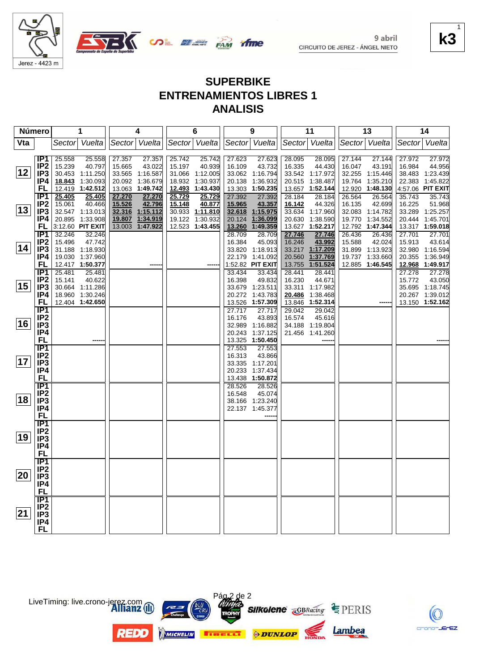

Jerez - 4423 m





**SUPERBIKE ENTRENAMIENTOS LIBRES 1 ANALISIS**

| Número       |                                    | 1                                   | 4                                   | 6                                  | 9                                      | 11                           | 13                                    | 14                                    |
|--------------|------------------------------------|-------------------------------------|-------------------------------------|------------------------------------|----------------------------------------|------------------------------|---------------------------------------|---------------------------------------|
| Vta          |                                    | Sector Vuelta                       | Sector Vuelta                       | Sector Vuelta                      | Sector Vuelta                          | Sector Vuelta                | Sector Vuelta                         | Sector Vuelta                         |
|              |                                    |                                     |                                     |                                    |                                        |                              |                                       |                                       |
|              | IP <sub>1</sub>                    | 25.558<br>25.558                    | 27.357<br>27.357                    | 25.742<br>25.742                   | 27.623<br>27.623                       | 28.095<br>28.095             | 27.144<br>27.144                      | 27.972<br>27.972                      |
|              | IP <sub>2</sub>                    | 15.239<br>40.797                    | 15.665<br>43.022                    | 40.939<br>15.197                   | 16.109<br>43.732                       | 16.335<br>44.430             | 16.047<br>43.191                      | 16.984<br>44.956                      |
| 12           | IP <sub>3</sub>                    | 30.453 1:11.250                     | 33.565 1:16.587                     | 31.066 1:12.005                    | 33.062 1:16.794                        | 33.542 1:17.972              | 32.255 1:15.446                       | 38.483 1:23.439                       |
|              | IP4                                | 18.843 1:30.093                     | 20.092 1:36.679                     | 18.932 1:30.937                    | 20.138<br>1:36.932                     | 20.515 1:38.487              | 19.764 1:35.210                       | 22.383 1:45.822                       |
|              | FL                                 | 12.419 1:42.512                     | 13.063 1:49.742                     | <u>12.493</u><br>1:43.430          | 1:50.235<br>13.303                     | 13.657<br>1:52.144           | 12.920 1:48.130                       | 4:57.06 PIT EXIT                      |
|              | IP1                                | 25.405<br>25.405                    | 27.270<br>27.270                    | 25.729<br>25.729                   | 27.392<br>27.392                       | 28.184<br>28.184             | 26.564<br>26.564                      | 35.743<br>35.743                      |
| 13           | IP <sub>2</sub>                    | 15.061<br>40.466<br>32.547 1:13.013 | 15.526<br>42.796<br>32.316 1:15.112 | 40.877<br>15.148                   | 15.965<br>43.357<br>32.618<br>1:15.975 | 16.142<br>44.326<br>1:17.960 | 16.135<br>42.699                      | 16.225<br>51.968                      |
|              | IP3<br>IP4                         | 20.895 1:33.908                     | 19.807 1:34.919                     | 30.933 1:11.810<br>19.122 1:30.932 | 1:36.099<br>20.124                     | 33.634<br>1:38.590<br>20.630 | 32.083 1:14.782<br>1:34.552<br>19.770 | 33.289 1:25.257<br>20.444<br>1:45.701 |
|              | FL                                 | 3:12.60 PIT EXIT                    | 13.003 1:47.922                     | 12.523 1:43.455                    | 13.260<br>1:49.359                     | 13.627 1:52.217              | 12.792 1:47.344                       | 13.317 1:59.018                       |
|              | IP1                                | 32.246<br>32.246                    |                                     |                                    | 28.709<br>28.709                       | 27.746<br>27.746             | 26.436<br>26.436                      | 27.701<br>27.701                      |
|              | IP <sub>2</sub>                    | 47.742<br>15.496                    |                                     |                                    | 16.384<br>45.093                       | 16.246<br>43.992             | 15.588<br>42.024                      | 15.913<br>43.614                      |
| 14           | IP3                                | 31.188 1:18.930                     |                                     |                                    | 33.820 1:18.913                        | 33.217 1:17.209              | 31.899 1:13.923                       | 32.980 1:16.594                       |
|              | IP4                                | 19.030 1:37.960                     |                                     |                                    | 1:41.092<br>22.179                     | 20.560 1:37.769              | 19.737 1:33.660                       | 20.355 1:36.949                       |
|              | FL                                 | 12.417 1:50.377                     |                                     |                                    | 1:52.82 PIT EXIT                       | 13.755 1:51.524              | 12.885 1:46.545                       | 12.968 1:49.917                       |
|              | IP <sub>1</sub>                    | 25.481<br>25.481                    |                                     |                                    | 33.434<br>33.434                       | 28.441<br>28.441             |                                       | 27.278<br>27.278                      |
|              | IP <sub>2</sub>                    | 15.141<br>40.622                    |                                     |                                    | 16.398<br>49.832                       | 16.230<br>44.671             |                                       | 15.772<br>43.050                      |
| 15           | IP <sub>3</sub>                    | 30.664 1:11.286                     |                                     |                                    | 33.679 1:23.511                        | 33.311<br>1:17.982           |                                       | 35.695 1:18.745                       |
|              | IP4                                | 18.960 1:30.246                     |                                     |                                    | 20.272 1:43.783                        | 20.486<br>1:38.468           |                                       | 20.267 1:39.012                       |
|              | FL.                                | 12.404 1:42.650                     |                                     |                                    | 13.526 1:57.309                        | 13.846<br>1:52.314           |                                       | 13.150 1:52.162                       |
|              | IP1                                |                                     |                                     |                                    | 27.717<br>27.717                       | 29.042<br>29.042             |                                       |                                       |
|              | IP <sub>2</sub>                    |                                     |                                     |                                    | 16.176<br>43.893                       | 16.574<br>45.616             |                                       |                                       |
| 16           | IP <sub>3</sub>                    |                                     |                                     |                                    | 32.989 1:16.882                        | 34.188 1:19.804              |                                       |                                       |
|              | IP4                                |                                     |                                     |                                    | 1:37.125<br>20.243                     | 21.456 1:41.260              |                                       |                                       |
|              | <b>FL</b>                          |                                     |                                     |                                    | 1:50.450<br>13.325                     |                              |                                       |                                       |
|              | $\overline{IP1}$                   |                                     |                                     |                                    | 27.553<br>27.553                       |                              |                                       |                                       |
|              | IP <sub>2</sub>                    |                                     |                                     |                                    | 16.313<br>43.866                       |                              |                                       |                                       |
| 17           | IP <sub>3</sub>                    |                                     |                                     |                                    | 33.335 1:17.201                        |                              |                                       |                                       |
|              | IP4                                |                                     |                                     |                                    | 20.233 1:37.434                        |                              |                                       |                                       |
|              | FL                                 |                                     |                                     |                                    | 13.438 1:50.872                        |                              |                                       |                                       |
|              | <b>IP1</b>                         |                                     |                                     |                                    | 28.526<br>28.526                       |                              |                                       |                                       |
| 18           | IP <sub>2</sub><br>IP <sub>3</sub> |                                     |                                     |                                    | 45.074<br>16.548<br>38.166 1:23.240    |                              |                                       |                                       |
|              | IP4                                |                                     |                                     |                                    | 22.137 1:45.377                        |                              |                                       |                                       |
|              | <b>FL</b>                          |                                     |                                     |                                    |                                        |                              |                                       |                                       |
|              | <b>IP1</b>                         |                                     |                                     |                                    |                                        |                              |                                       |                                       |
|              | IP <sub>2</sub>                    |                                     |                                     |                                    |                                        |                              |                                       |                                       |
| 19           | IP <sub>3</sub>                    |                                     |                                     |                                    |                                        |                              |                                       |                                       |
|              | IP4                                |                                     |                                     |                                    |                                        |                              |                                       |                                       |
|              | <b>FL</b>                          |                                     |                                     |                                    |                                        |                              |                                       |                                       |
|              | $\overline{IP1}$                   |                                     |                                     |                                    |                                        |                              |                                       |                                       |
|              | IP <sub>2</sub>                    |                                     |                                     |                                    |                                        |                              |                                       |                                       |
| 20           | IP <sub>3</sub>                    |                                     |                                     |                                    |                                        |                              |                                       |                                       |
|              | IP4                                |                                     |                                     |                                    |                                        |                              |                                       |                                       |
|              | <b>FL</b>                          |                                     |                                     |                                    |                                        |                              |                                       |                                       |
|              | $\overline{IP1}$                   |                                     |                                     |                                    |                                        |                              |                                       |                                       |
|              | IP <sub>2</sub>                    |                                     |                                     |                                    |                                        |                              |                                       |                                       |
| $ 21\rangle$ | IP <sub>3</sub>                    |                                     |                                     |                                    |                                        |                              |                                       |                                       |
|              | IP4                                |                                     |                                     |                                    |                                        |                              |                                       |                                       |
|              | FL                                 |                                     |                                     |                                    |                                        |                              |                                       |                                       |



crono-JE

 $EZ$ 

LiveTiming: live.crono-jerez.com

**REDO** 

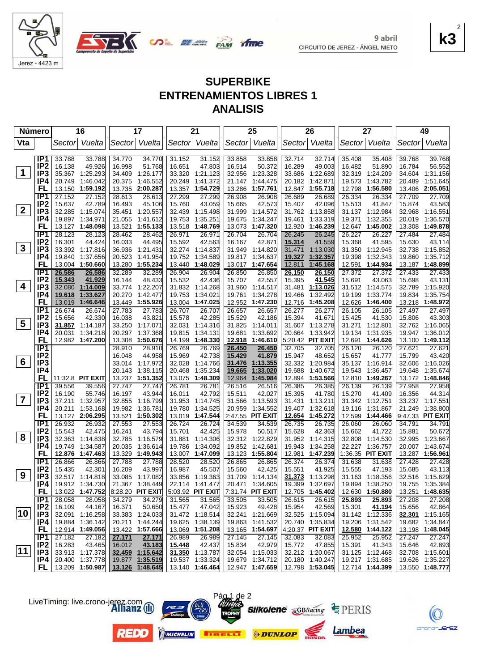



# **SUPERBIKE ENTRENAMIENTOS LIBRES 1 ANALISIS**

| Sector Vuelta<br>Sector Vuelta<br>Vta<br>Vuelta<br>Sector Vuelta<br>Sector<br>Vuelta<br>Sector Vuelta<br>Vuelta<br>Sector<br>Sector<br>IP <sub>1</sub><br>33.788<br>34.770<br>33.858<br>32.714<br>35.408<br>39.768<br>33.788<br>34.770<br>31.152<br>31.152<br>33.858<br>32.714<br>35.408<br>39.768<br>IP <sub>2</sub><br>49.926<br>47.803<br>16.138<br>16.998<br>51.768<br>16.651<br>16.514<br>50.372<br>16.289<br>49.003<br>16.482<br>51.890<br>16.784<br>56.552<br>$\mathbf 1$<br>IP <sub>3</sub><br>35.367 1:25.293<br>34.409<br>1:26.177<br>1.21.123<br>1:23.328<br>33.686<br>1:22.689<br>32.319<br>1:24.209<br>34.604<br>33.320<br>32.956<br>1:31.156<br>IP4<br>1:46.042<br>1:51.645<br>20.749<br>20.375<br>1:46.552<br>20.249<br>1:41.372<br>21.147<br>1:44.475<br>20.182<br>1:42.871<br>19.573<br>1:43.782<br>20.489<br>FL<br>13.150<br>1:59.192<br>13.735<br>2:00.287<br>13.357<br>1:54.729<br>13.286<br>1:57.761<br>12.847<br>1:55.718<br>12.798<br>1:56.580<br>13.406 2:05.051<br>IP <sub>1</sub><br>27.152<br>27.152<br>28.613<br>28.613<br>27.299<br>27.299<br>26.908<br>26.689<br>26.689<br>26.334<br>26.334<br>27.709<br>27.709<br>26.908<br>IP <sub>2</sub><br>15.637<br>42.789<br>16.493<br>45.106<br>15.760<br>43.059<br>15.665<br>42.573<br>15.407<br>42.096<br>15.513<br>41.847<br>15.874<br>43.583<br>$2^{\circ}$<br>IP3<br>32.285 1:15.074<br>35.451 1:20.557<br>32.439<br>1:15.498<br>31.999<br>1:14.572<br>31.762 1:13.858<br>31.137 1:12.984<br>32.968 1:16.551<br>IP4<br>19.897<br>1:34.971<br>1:41.612<br>19.753<br>1:35.251<br>1:34.247<br>19.461<br>1:33.319<br>19.371<br>1:32.355<br>20.019<br>1:36.570<br>21.055<br>19.675<br>FL<br>13.127 1:48.098<br>1:55.133<br>1:47.320<br>12.920<br>13.521<br>13.518<br>1:48.769<br>13.073<br>1:46.239<br>12.647<br>1:45.002<br>13.308 1:49.878<br>IP <sub>1</sub><br>26.245<br>28.123<br>28.123<br>28.462<br>28.462<br>26.971<br>26.971<br>26.704<br>26.704<br>26.245<br>26.227<br>26.227<br>27.484<br>27.484<br>IP <sub>2</sub><br>16.033<br>42.563<br>16.301<br>44.424<br>44.495<br>15.592<br>16.167<br>42.871<br>15.314<br>41.559<br>15.368<br>41.595<br>15.630<br>43.114<br>$\mathbf{3}$<br>IP <sub>3</sub><br>31.471<br>33.392 1:17.816<br>36.936<br>1:21.431<br>32.274 1:14.837<br>31.949<br>1:14.820<br>1:13.030<br>31.350<br>1:12.945<br>32.738 1:15.852<br>IP4<br>19.840<br>1:37.656<br>20.523<br>1:41.954<br>19.752<br>1:34.589<br>19.817<br>1:34.637<br>1:32.357<br>19.398<br>1:32.343<br>19.860<br>1:35.712<br>19.327<br>FL<br>13.004 1:50.660<br>13.280<br>1:55.234<br>1:48.029<br>12.811<br>1:45.168<br>12.591<br>1:44.934<br>13.187 1:48.899<br>13.440<br>13.017<br>1:47.654<br>IP <sub>1</sub><br>26.586<br>26.586<br>32.289<br>32.289<br>26.904<br>26.904<br>26.850<br>26.850<br>26.150<br>26.150<br>27.372<br>27.372<br>27.433<br>27.433<br>IP <sub>2</sub><br>48.433<br>41.545<br>15.343<br>41.929<br>16.144<br>15.532<br>42.436<br>15.707<br>42.557<br>15.395<br>15.691<br>43.063<br>15.698<br>43.131<br>4<br>IP <sub>3</sub><br>32.080 1:14.009<br>33.774 1:22.207<br>31.832 1:14.268<br>1:14.517<br>31.481<br>1:13.026<br>31.512 1:14.575<br>32.789 1:15.920<br>31.960<br>IP4<br>1:35.754<br>19.618<br>1:33.627<br>20.270<br>1:42.477<br>19.753<br>1:34.021<br>19.761<br>1:34.278<br>19.466<br>1:32.492<br>19.199<br>1:33.774<br>19.834<br>1:46.646<br>FL<br>13.019<br>13.449 1:55.926<br>13.004 1:47.025<br>12.952<br>1:47.230<br>12.716 1:45.208<br>12.626<br>1:46.400<br>13.218 1:48.972<br>IP <sub>1</sub><br>26.674<br>26.674<br>27.783<br>27.783<br>26.707<br>26.657<br>26.277<br>26.277<br>26.105<br>27.497<br>27.497<br>26.707<br>26.657<br>26.105<br>IP <sub>2</sub><br>15.656<br>42.330<br>16.038<br>43.821<br>15.578<br>42.285<br>15.529<br>42.186<br>15.394<br>41.671<br>15.425<br>41.530<br>15.806<br>43.303<br>$\overline{\mathbf{5}}$<br>IP <sub>3</sub><br>31.857 1:14.187<br>33.250 1:17.071<br>32.031<br>1:14.316<br>31.825<br>1:14.011<br>31.607 1:13.278<br>31.271<br>1:12.801<br>32.762 1:16.065<br>IP4<br>1:34.218<br>20.297 1:37.368<br>1:33.692<br>20.664 1:33.942<br>20.031<br>19.815<br>1:34.131<br>19.681<br>19.134 1:31.935<br>19.947<br>1:36.012<br>FL<br>5:20.42 PIT EXIT<br>12.982 1:47.200<br>13.308 1:50.676<br>1:48.330<br>12.918<br>1:46.610<br>12.691<br>1:44.626<br>13.100 1:49.112<br>14.199<br>IP1<br>28.910<br>28.910<br>26.769<br>26.769<br>26.450<br>32.705<br>32.705<br>26.120<br>26.120<br>27.621<br>27.621<br>26.450<br>IP <sub>2</sub><br>44.958<br>15.969<br>42.738<br>15.429<br>41.879<br>15.947<br>48.652<br>15.657<br>41.777<br>15.799<br>43.420<br>16.048<br>6<br>IP <sub>3</sub><br>33.014 1:17.972<br>1:13.355<br>32.332 1:20.984<br>32.028<br>1:14.766<br>31.476<br>35.137 1:16.914<br>32.606 1:16.026<br>IP4<br>20.143 1:38.115<br>20.468<br>1:35.234<br>19.665<br>1:33.020<br>19.688<br>1:40.672<br>19.543<br>1:36.457<br>1:35.674<br>19.648<br>13.237 1:51.352<br>1:48.309<br>12.964<br>1:45.984<br>12.894<br>1:53.566<br>12.810 1:49.267<br>13.172 1:48.846<br>FL<br>11:32.8 PIT EXIT<br>13.075<br>IP <sub>1</sub><br>26.516<br>27.958<br>39.556<br>39.556<br>27.747<br>27.747<br>26.781<br>26.781<br>26.516<br>26.385<br>26.385<br>26.139<br>26.139<br>27.958<br>IP <sub>2</sub><br>16.356<br>16.190<br>55.746<br>16.197<br>43.944<br>16.011<br>42.792<br>15.511<br>42.027<br>15.395<br>41.780<br>15.270<br>41.409<br>44.314<br>$\overline{\mathbf{7}}$<br>IP <sub>3</sub><br>37.211 1:32.957<br>32.855 1:16.799<br>1:14.745<br>1:13.593<br>33.237 1:17.551<br>31.953<br>31.566<br>31.431<br>1:13.211<br>31.342<br>1:12.751<br>IP4<br>20.211 1:53.168<br>1:36.781<br>19.780<br>1:34.525<br>20.959<br>1:34.552<br>19.407<br>1:32.618<br>19.116<br>1:38.800<br>19.982<br>1:31.867<br>21.249<br>FL<br>13.127 2:06.295<br>2:47.55 PIT EXIT<br>12.599<br>9:47.33 PIT EXIT<br>13.521 1:50.302<br>13.019<br>1:47.544<br>12.654 1:45.272<br>1:44.466<br>IP1<br>26.932<br>26.932<br>27.553<br>27.553<br>26.724<br>26.724<br>34.539<br>34.539<br>26.735<br>26.735<br>26.060<br>26.060<br>34.791<br>34.791<br>IP <sub>2</sub><br>15.543<br>42.475<br>16.241<br>43.794<br>15.701<br>42.425<br>15.978<br>50.517<br>15.628<br>42.363<br>15.662<br>41.722<br>15.881<br>50.672<br>8<br>IP <sub>3</sub><br>32.363<br>1:14.838<br>32.785<br>1:16.579<br>31.881<br>1:14.306<br>32.312<br>1:22.829<br>31.952<br>1:14.315<br>32.808<br>1:14.530<br>32.995 1:23.667<br>IP4<br>19.749<br>1:34.587<br>20.035<br>1:36.614<br>1:34.092<br>19.852<br>1:42.681<br>19.943<br>1:34.258<br>22.227 1:36.757<br>20.007 1:43.674<br>19.786<br>FL<br>12.876 1:47.463<br>13.329 1:49.943<br>13.007 1:47.099<br>13.123<br>1:55.804<br>12.981<br>1:47.239<br>1:36.35 PIT EXIT<br>13.287 1:56.961<br>IP <sub>1</sub><br>27.788<br>26.374<br>27.428<br>26.866<br>26.866<br>27.788<br>28.520<br>28.520<br>26.865<br>26.865<br>26.374<br>31.638<br>31.638<br>27.428<br>IP <sub>2</sub><br>15.435<br>42.301<br>16.209<br>43.997<br>16.987<br>45.507<br>15.560<br>42.425<br>15.551<br>41.925<br>15.555<br>47.193<br>15.685<br>43.113<br>9<br>IP3<br>32.517 1:14.818<br>33.085 1:17.082<br>33.856 1:19.363<br>31.709 1:14.134<br>31.373 1:13.298<br>31.163 1:18.356<br>32.516 1:15.629<br>IP4<br>19.912 1:34.730<br>21.367 1:38.449<br>22.114 1:41.477<br>20.471 1:34.605<br>19.399 1:32.697<br>19.894 1:38.250<br>19.755 1:35.384<br>FL.<br>13.022 1:47.752<br>8:28.20 PIT EXIT<br>$ 5:03.92$ PIT EXIT 7:31.74 PIT EXIT<br>12.705 1:45.402<br>12.630 1:50.880<br>13.251 1:48.635<br>33.505<br>26.615<br>IP1<br>28.058<br>28.058<br>34.279<br>34.279<br>31.565<br>31.565<br>33.505<br>26.615<br>25.893<br>25.893<br>27.208<br>27.208<br>15.301<br>IP <sub>2</sub><br>16.109<br>44.167<br>16.371<br>50.650<br>15.477<br>47.042<br>15.923<br>49.428<br>15.954<br>42.569<br>41.194<br>15.656<br>42.864 |    | <b>Número</b> | 16              | 17              | 21              | 25              | 26              | 27              | 49              |
|-------------------------------------------------------------------------------------------------------------------------------------------------------------------------------------------------------------------------------------------------------------------------------------------------------------------------------------------------------------------------------------------------------------------------------------------------------------------------------------------------------------------------------------------------------------------------------------------------------------------------------------------------------------------------------------------------------------------------------------------------------------------------------------------------------------------------------------------------------------------------------------------------------------------------------------------------------------------------------------------------------------------------------------------------------------------------------------------------------------------------------------------------------------------------------------------------------------------------------------------------------------------------------------------------------------------------------------------------------------------------------------------------------------------------------------------------------------------------------------------------------------------------------------------------------------------------------------------------------------------------------------------------------------------------------------------------------------------------------------------------------------------------------------------------------------------------------------------------------------------------------------------------------------------------------------------------------------------------------------------------------------------------------------------------------------------------------------------------------------------------------------------------------------------------------------------------------------------------------------------------------------------------------------------------------------------------------------------------------------------------------------------------------------------------------------------------------------------------------------------------------------------------------------------------------------------------------------------------------------------------------------------------------------------------------------------------------------------------------------------------------------------------------------------------------------------------------------------------------------------------------------------------------------------------------------------------------------------------------------------------------------------------------------------------------------------------------------------------------------------------------------------------------------------------------------------------------------------------------------------------------------------------------------------------------------------------------------------------------------------------------------------------------------------------------------------------------------------------------------------------------------------------------------------------------------------------------------------------------------------------------------------------------------------------------------------------------------------------------------------------------------------------------------------------------------------------------------------------------------------------------------------------------------------------------------------------------------------------------------------------------------------------------------------------------------------------------------------------------------------------------------------------------------------------------------------------------------------------------------------------------------------------------------------------------------------------------------------------------------------------------------------------------------------------------------------------------------------------------------------------------------------------------------------------------------------------------------------------------------------------------------------------------------------------------------------------------------------------------------------------------------------------------------------------------------------------------------------------------------------------------------------------------------------------------------------------------------------------------------------------------------------------------------------------------------------------------------------------------------------------------------------------------------------------------------------------------------------------------------------------------------------------------------------------------------------------------------------------------------------------------------------------------------------------------------------------------------------------------------------------------------------------------------------------------------------------------------------------------------------------------------------------------------------------------------------------------------------------------------------------------------------------------------------------------------------------------------------------------------------------------------------------------------------------------------------------------------------------------------------------------------------------------------------------------------------------------------------------------------------------------------------------------------------------------------------------------------------------------------------------------------------------------------------------------------------------------------------------------------------------------------------------------------------------------------------------------------------------------------------------------------------------------------------------------------------------------------------------------------------------------------------------------------------------------------------------------------------------------------------------------------------------------------------------------------------------------------------------------------------------------------------------------------------------------------------------------------------------------------------------------------------------------------------------------------------------------------------------------------------------------------------------------------------------------------------------------------------------------------------------------------------------------------------------------------------------------------------------------------------------------------------------------------------------------------------------------------------------------------------------------------------------------------------------------------------------------------------------------------------------------------------------------------------------------------------------------------------------------------------------------------------------------------------------------------|----|---------------|-----------------|-----------------|-----------------|-----------------|-----------------|-----------------|-----------------|
|                                                                                                                                                                                                                                                                                                                                                                                                                                                                                                                                                                                                                                                                                                                                                                                                                                                                                                                                                                                                                                                                                                                                                                                                                                                                                                                                                                                                                                                                                                                                                                                                                                                                                                                                                                                                                                                                                                                                                                                                                                                                                                                                                                                                                                                                                                                                                                                                                                                                                                                                                                                                                                                                                                                                                                                                                                                                                                                                                                                                                                                                                                                                                                                                                                                                                                                                                                                                                                                                                                                                                                                                                                                                                                                                                                                                                                                                                                                                                                                                                                                                                                                                                                                                                                                                                                                                                                                                                                                                                                                                                                                                                                                                                                                                                                                                                                                                                                                                                                                                                                                                                                                                                                                                                                                                                                                                                                                                                                                                                                                                                                                                                                                                                                                                                                                                                                                                                                                                                                                                                                                                                                                                                                                                                                                                                                                                                                                                                                                                                                                                                                                                                                                                                                                                                                                                                                                                                                                                                                                                                                                                                                                                                                                                                                                                                                                                                                                                                                                                                                                                                                                                                                                                                                                                                                                                             |    |               |                 |                 |                 |                 |                 |                 |                 |
|                                                                                                                                                                                                                                                                                                                                                                                                                                                                                                                                                                                                                                                                                                                                                                                                                                                                                                                                                                                                                                                                                                                                                                                                                                                                                                                                                                                                                                                                                                                                                                                                                                                                                                                                                                                                                                                                                                                                                                                                                                                                                                                                                                                                                                                                                                                                                                                                                                                                                                                                                                                                                                                                                                                                                                                                                                                                                                                                                                                                                                                                                                                                                                                                                                                                                                                                                                                                                                                                                                                                                                                                                                                                                                                                                                                                                                                                                                                                                                                                                                                                                                                                                                                                                                                                                                                                                                                                                                                                                                                                                                                                                                                                                                                                                                                                                                                                                                                                                                                                                                                                                                                                                                                                                                                                                                                                                                                                                                                                                                                                                                                                                                                                                                                                                                                                                                                                                                                                                                                                                                                                                                                                                                                                                                                                                                                                                                                                                                                                                                                                                                                                                                                                                                                                                                                                                                                                                                                                                                                                                                                                                                                                                                                                                                                                                                                                                                                                                                                                                                                                                                                                                                                                                                                                                                                                             |    |               |                 |                 |                 |                 |                 |                 |                 |
|                                                                                                                                                                                                                                                                                                                                                                                                                                                                                                                                                                                                                                                                                                                                                                                                                                                                                                                                                                                                                                                                                                                                                                                                                                                                                                                                                                                                                                                                                                                                                                                                                                                                                                                                                                                                                                                                                                                                                                                                                                                                                                                                                                                                                                                                                                                                                                                                                                                                                                                                                                                                                                                                                                                                                                                                                                                                                                                                                                                                                                                                                                                                                                                                                                                                                                                                                                                                                                                                                                                                                                                                                                                                                                                                                                                                                                                                                                                                                                                                                                                                                                                                                                                                                                                                                                                                                                                                                                                                                                                                                                                                                                                                                                                                                                                                                                                                                                                                                                                                                                                                                                                                                                                                                                                                                                                                                                                                                                                                                                                                                                                                                                                                                                                                                                                                                                                                                                                                                                                                                                                                                                                                                                                                                                                                                                                                                                                                                                                                                                                                                                                                                                                                                                                                                                                                                                                                                                                                                                                                                                                                                                                                                                                                                                                                                                                                                                                                                                                                                                                                                                                                                                                                                                                                                                                                             |    |               |                 |                 |                 |                 |                 |                 |                 |
|                                                                                                                                                                                                                                                                                                                                                                                                                                                                                                                                                                                                                                                                                                                                                                                                                                                                                                                                                                                                                                                                                                                                                                                                                                                                                                                                                                                                                                                                                                                                                                                                                                                                                                                                                                                                                                                                                                                                                                                                                                                                                                                                                                                                                                                                                                                                                                                                                                                                                                                                                                                                                                                                                                                                                                                                                                                                                                                                                                                                                                                                                                                                                                                                                                                                                                                                                                                                                                                                                                                                                                                                                                                                                                                                                                                                                                                                                                                                                                                                                                                                                                                                                                                                                                                                                                                                                                                                                                                                                                                                                                                                                                                                                                                                                                                                                                                                                                                                                                                                                                                                                                                                                                                                                                                                                                                                                                                                                                                                                                                                                                                                                                                                                                                                                                                                                                                                                                                                                                                                                                                                                                                                                                                                                                                                                                                                                                                                                                                                                                                                                                                                                                                                                                                                                                                                                                                                                                                                                                                                                                                                                                                                                                                                                                                                                                                                                                                                                                                                                                                                                                                                                                                                                                                                                                                                             |    |               |                 |                 |                 |                 |                 |                 |                 |
|                                                                                                                                                                                                                                                                                                                                                                                                                                                                                                                                                                                                                                                                                                                                                                                                                                                                                                                                                                                                                                                                                                                                                                                                                                                                                                                                                                                                                                                                                                                                                                                                                                                                                                                                                                                                                                                                                                                                                                                                                                                                                                                                                                                                                                                                                                                                                                                                                                                                                                                                                                                                                                                                                                                                                                                                                                                                                                                                                                                                                                                                                                                                                                                                                                                                                                                                                                                                                                                                                                                                                                                                                                                                                                                                                                                                                                                                                                                                                                                                                                                                                                                                                                                                                                                                                                                                                                                                                                                                                                                                                                                                                                                                                                                                                                                                                                                                                                                                                                                                                                                                                                                                                                                                                                                                                                                                                                                                                                                                                                                                                                                                                                                                                                                                                                                                                                                                                                                                                                                                                                                                                                                                                                                                                                                                                                                                                                                                                                                                                                                                                                                                                                                                                                                                                                                                                                                                                                                                                                                                                                                                                                                                                                                                                                                                                                                                                                                                                                                                                                                                                                                                                                                                                                                                                                                                             |    |               |                 |                 |                 |                 |                 |                 |                 |
|                                                                                                                                                                                                                                                                                                                                                                                                                                                                                                                                                                                                                                                                                                                                                                                                                                                                                                                                                                                                                                                                                                                                                                                                                                                                                                                                                                                                                                                                                                                                                                                                                                                                                                                                                                                                                                                                                                                                                                                                                                                                                                                                                                                                                                                                                                                                                                                                                                                                                                                                                                                                                                                                                                                                                                                                                                                                                                                                                                                                                                                                                                                                                                                                                                                                                                                                                                                                                                                                                                                                                                                                                                                                                                                                                                                                                                                                                                                                                                                                                                                                                                                                                                                                                                                                                                                                                                                                                                                                                                                                                                                                                                                                                                                                                                                                                                                                                                                                                                                                                                                                                                                                                                                                                                                                                                                                                                                                                                                                                                                                                                                                                                                                                                                                                                                                                                                                                                                                                                                                                                                                                                                                                                                                                                                                                                                                                                                                                                                                                                                                                                                                                                                                                                                                                                                                                                                                                                                                                                                                                                                                                                                                                                                                                                                                                                                                                                                                                                                                                                                                                                                                                                                                                                                                                                                                             |    |               |                 |                 |                 |                 |                 |                 |                 |
|                                                                                                                                                                                                                                                                                                                                                                                                                                                                                                                                                                                                                                                                                                                                                                                                                                                                                                                                                                                                                                                                                                                                                                                                                                                                                                                                                                                                                                                                                                                                                                                                                                                                                                                                                                                                                                                                                                                                                                                                                                                                                                                                                                                                                                                                                                                                                                                                                                                                                                                                                                                                                                                                                                                                                                                                                                                                                                                                                                                                                                                                                                                                                                                                                                                                                                                                                                                                                                                                                                                                                                                                                                                                                                                                                                                                                                                                                                                                                                                                                                                                                                                                                                                                                                                                                                                                                                                                                                                                                                                                                                                                                                                                                                                                                                                                                                                                                                                                                                                                                                                                                                                                                                                                                                                                                                                                                                                                                                                                                                                                                                                                                                                                                                                                                                                                                                                                                                                                                                                                                                                                                                                                                                                                                                                                                                                                                                                                                                                                                                                                                                                                                                                                                                                                                                                                                                                                                                                                                                                                                                                                                                                                                                                                                                                                                                                                                                                                                                                                                                                                                                                                                                                                                                                                                                                                             |    |               |                 |                 |                 |                 |                 |                 |                 |
|                                                                                                                                                                                                                                                                                                                                                                                                                                                                                                                                                                                                                                                                                                                                                                                                                                                                                                                                                                                                                                                                                                                                                                                                                                                                                                                                                                                                                                                                                                                                                                                                                                                                                                                                                                                                                                                                                                                                                                                                                                                                                                                                                                                                                                                                                                                                                                                                                                                                                                                                                                                                                                                                                                                                                                                                                                                                                                                                                                                                                                                                                                                                                                                                                                                                                                                                                                                                                                                                                                                                                                                                                                                                                                                                                                                                                                                                                                                                                                                                                                                                                                                                                                                                                                                                                                                                                                                                                                                                                                                                                                                                                                                                                                                                                                                                                                                                                                                                                                                                                                                                                                                                                                                                                                                                                                                                                                                                                                                                                                                                                                                                                                                                                                                                                                                                                                                                                                                                                                                                                                                                                                                                                                                                                                                                                                                                                                                                                                                                                                                                                                                                                                                                                                                                                                                                                                                                                                                                                                                                                                                                                                                                                                                                                                                                                                                                                                                                                                                                                                                                                                                                                                                                                                                                                                                                             |    |               |                 |                 |                 |                 |                 |                 |                 |
|                                                                                                                                                                                                                                                                                                                                                                                                                                                                                                                                                                                                                                                                                                                                                                                                                                                                                                                                                                                                                                                                                                                                                                                                                                                                                                                                                                                                                                                                                                                                                                                                                                                                                                                                                                                                                                                                                                                                                                                                                                                                                                                                                                                                                                                                                                                                                                                                                                                                                                                                                                                                                                                                                                                                                                                                                                                                                                                                                                                                                                                                                                                                                                                                                                                                                                                                                                                                                                                                                                                                                                                                                                                                                                                                                                                                                                                                                                                                                                                                                                                                                                                                                                                                                                                                                                                                                                                                                                                                                                                                                                                                                                                                                                                                                                                                                                                                                                                                                                                                                                                                                                                                                                                                                                                                                                                                                                                                                                                                                                                                                                                                                                                                                                                                                                                                                                                                                                                                                                                                                                                                                                                                                                                                                                                                                                                                                                                                                                                                                                                                                                                                                                                                                                                                                                                                                                                                                                                                                                                                                                                                                                                                                                                                                                                                                                                                                                                                                                                                                                                                                                                                                                                                                                                                                                                                             |    |               |                 |                 |                 |                 |                 |                 |                 |
|                                                                                                                                                                                                                                                                                                                                                                                                                                                                                                                                                                                                                                                                                                                                                                                                                                                                                                                                                                                                                                                                                                                                                                                                                                                                                                                                                                                                                                                                                                                                                                                                                                                                                                                                                                                                                                                                                                                                                                                                                                                                                                                                                                                                                                                                                                                                                                                                                                                                                                                                                                                                                                                                                                                                                                                                                                                                                                                                                                                                                                                                                                                                                                                                                                                                                                                                                                                                                                                                                                                                                                                                                                                                                                                                                                                                                                                                                                                                                                                                                                                                                                                                                                                                                                                                                                                                                                                                                                                                                                                                                                                                                                                                                                                                                                                                                                                                                                                                                                                                                                                                                                                                                                                                                                                                                                                                                                                                                                                                                                                                                                                                                                                                                                                                                                                                                                                                                                                                                                                                                                                                                                                                                                                                                                                                                                                                                                                                                                                                                                                                                                                                                                                                                                                                                                                                                                                                                                                                                                                                                                                                                                                                                                                                                                                                                                                                                                                                                                                                                                                                                                                                                                                                                                                                                                                                             |    |               |                 |                 |                 |                 |                 |                 |                 |
|                                                                                                                                                                                                                                                                                                                                                                                                                                                                                                                                                                                                                                                                                                                                                                                                                                                                                                                                                                                                                                                                                                                                                                                                                                                                                                                                                                                                                                                                                                                                                                                                                                                                                                                                                                                                                                                                                                                                                                                                                                                                                                                                                                                                                                                                                                                                                                                                                                                                                                                                                                                                                                                                                                                                                                                                                                                                                                                                                                                                                                                                                                                                                                                                                                                                                                                                                                                                                                                                                                                                                                                                                                                                                                                                                                                                                                                                                                                                                                                                                                                                                                                                                                                                                                                                                                                                                                                                                                                                                                                                                                                                                                                                                                                                                                                                                                                                                                                                                                                                                                                                                                                                                                                                                                                                                                                                                                                                                                                                                                                                                                                                                                                                                                                                                                                                                                                                                                                                                                                                                                                                                                                                                                                                                                                                                                                                                                                                                                                                                                                                                                                                                                                                                                                                                                                                                                                                                                                                                                                                                                                                                                                                                                                                                                                                                                                                                                                                                                                                                                                                                                                                                                                                                                                                                                                                             |    |               |                 |                 |                 |                 |                 |                 |                 |
|                                                                                                                                                                                                                                                                                                                                                                                                                                                                                                                                                                                                                                                                                                                                                                                                                                                                                                                                                                                                                                                                                                                                                                                                                                                                                                                                                                                                                                                                                                                                                                                                                                                                                                                                                                                                                                                                                                                                                                                                                                                                                                                                                                                                                                                                                                                                                                                                                                                                                                                                                                                                                                                                                                                                                                                                                                                                                                                                                                                                                                                                                                                                                                                                                                                                                                                                                                                                                                                                                                                                                                                                                                                                                                                                                                                                                                                                                                                                                                                                                                                                                                                                                                                                                                                                                                                                                                                                                                                                                                                                                                                                                                                                                                                                                                                                                                                                                                                                                                                                                                                                                                                                                                                                                                                                                                                                                                                                                                                                                                                                                                                                                                                                                                                                                                                                                                                                                                                                                                                                                                                                                                                                                                                                                                                                                                                                                                                                                                                                                                                                                                                                                                                                                                                                                                                                                                                                                                                                                                                                                                                                                                                                                                                                                                                                                                                                                                                                                                                                                                                                                                                                                                                                                                                                                                                                             |    |               |                 |                 |                 |                 |                 |                 |                 |
|                                                                                                                                                                                                                                                                                                                                                                                                                                                                                                                                                                                                                                                                                                                                                                                                                                                                                                                                                                                                                                                                                                                                                                                                                                                                                                                                                                                                                                                                                                                                                                                                                                                                                                                                                                                                                                                                                                                                                                                                                                                                                                                                                                                                                                                                                                                                                                                                                                                                                                                                                                                                                                                                                                                                                                                                                                                                                                                                                                                                                                                                                                                                                                                                                                                                                                                                                                                                                                                                                                                                                                                                                                                                                                                                                                                                                                                                                                                                                                                                                                                                                                                                                                                                                                                                                                                                                                                                                                                                                                                                                                                                                                                                                                                                                                                                                                                                                                                                                                                                                                                                                                                                                                                                                                                                                                                                                                                                                                                                                                                                                                                                                                                                                                                                                                                                                                                                                                                                                                                                                                                                                                                                                                                                                                                                                                                                                                                                                                                                                                                                                                                                                                                                                                                                                                                                                                                                                                                                                                                                                                                                                                                                                                                                                                                                                                                                                                                                                                                                                                                                                                                                                                                                                                                                                                                                             |    |               |                 |                 |                 |                 |                 |                 |                 |
|                                                                                                                                                                                                                                                                                                                                                                                                                                                                                                                                                                                                                                                                                                                                                                                                                                                                                                                                                                                                                                                                                                                                                                                                                                                                                                                                                                                                                                                                                                                                                                                                                                                                                                                                                                                                                                                                                                                                                                                                                                                                                                                                                                                                                                                                                                                                                                                                                                                                                                                                                                                                                                                                                                                                                                                                                                                                                                                                                                                                                                                                                                                                                                                                                                                                                                                                                                                                                                                                                                                                                                                                                                                                                                                                                                                                                                                                                                                                                                                                                                                                                                                                                                                                                                                                                                                                                                                                                                                                                                                                                                                                                                                                                                                                                                                                                                                                                                                                                                                                                                                                                                                                                                                                                                                                                                                                                                                                                                                                                                                                                                                                                                                                                                                                                                                                                                                                                                                                                                                                                                                                                                                                                                                                                                                                                                                                                                                                                                                                                                                                                                                                                                                                                                                                                                                                                                                                                                                                                                                                                                                                                                                                                                                                                                                                                                                                                                                                                                                                                                                                                                                                                                                                                                                                                                                                             |    |               |                 |                 |                 |                 |                 |                 |                 |
|                                                                                                                                                                                                                                                                                                                                                                                                                                                                                                                                                                                                                                                                                                                                                                                                                                                                                                                                                                                                                                                                                                                                                                                                                                                                                                                                                                                                                                                                                                                                                                                                                                                                                                                                                                                                                                                                                                                                                                                                                                                                                                                                                                                                                                                                                                                                                                                                                                                                                                                                                                                                                                                                                                                                                                                                                                                                                                                                                                                                                                                                                                                                                                                                                                                                                                                                                                                                                                                                                                                                                                                                                                                                                                                                                                                                                                                                                                                                                                                                                                                                                                                                                                                                                                                                                                                                                                                                                                                                                                                                                                                                                                                                                                                                                                                                                                                                                                                                                                                                                                                                                                                                                                                                                                                                                                                                                                                                                                                                                                                                                                                                                                                                                                                                                                                                                                                                                                                                                                                                                                                                                                                                                                                                                                                                                                                                                                                                                                                                                                                                                                                                                                                                                                                                                                                                                                                                                                                                                                                                                                                                                                                                                                                                                                                                                                                                                                                                                                                                                                                                                                                                                                                                                                                                                                                                             |    |               |                 |                 |                 |                 |                 |                 |                 |
|                                                                                                                                                                                                                                                                                                                                                                                                                                                                                                                                                                                                                                                                                                                                                                                                                                                                                                                                                                                                                                                                                                                                                                                                                                                                                                                                                                                                                                                                                                                                                                                                                                                                                                                                                                                                                                                                                                                                                                                                                                                                                                                                                                                                                                                                                                                                                                                                                                                                                                                                                                                                                                                                                                                                                                                                                                                                                                                                                                                                                                                                                                                                                                                                                                                                                                                                                                                                                                                                                                                                                                                                                                                                                                                                                                                                                                                                                                                                                                                                                                                                                                                                                                                                                                                                                                                                                                                                                                                                                                                                                                                                                                                                                                                                                                                                                                                                                                                                                                                                                                                                                                                                                                                                                                                                                                                                                                                                                                                                                                                                                                                                                                                                                                                                                                                                                                                                                                                                                                                                                                                                                                                                                                                                                                                                                                                                                                                                                                                                                                                                                                                                                                                                                                                                                                                                                                                                                                                                                                                                                                                                                                                                                                                                                                                                                                                                                                                                                                                                                                                                                                                                                                                                                                                                                                                                             |    |               |                 |                 |                 |                 |                 |                 |                 |
|                                                                                                                                                                                                                                                                                                                                                                                                                                                                                                                                                                                                                                                                                                                                                                                                                                                                                                                                                                                                                                                                                                                                                                                                                                                                                                                                                                                                                                                                                                                                                                                                                                                                                                                                                                                                                                                                                                                                                                                                                                                                                                                                                                                                                                                                                                                                                                                                                                                                                                                                                                                                                                                                                                                                                                                                                                                                                                                                                                                                                                                                                                                                                                                                                                                                                                                                                                                                                                                                                                                                                                                                                                                                                                                                                                                                                                                                                                                                                                                                                                                                                                                                                                                                                                                                                                                                                                                                                                                                                                                                                                                                                                                                                                                                                                                                                                                                                                                                                                                                                                                                                                                                                                                                                                                                                                                                                                                                                                                                                                                                                                                                                                                                                                                                                                                                                                                                                                                                                                                                                                                                                                                                                                                                                                                                                                                                                                                                                                                                                                                                                                                                                                                                                                                                                                                                                                                                                                                                                                                                                                                                                                                                                                                                                                                                                                                                                                                                                                                                                                                                                                                                                                                                                                                                                                                                             |    |               |                 |                 |                 |                 |                 |                 |                 |
|                                                                                                                                                                                                                                                                                                                                                                                                                                                                                                                                                                                                                                                                                                                                                                                                                                                                                                                                                                                                                                                                                                                                                                                                                                                                                                                                                                                                                                                                                                                                                                                                                                                                                                                                                                                                                                                                                                                                                                                                                                                                                                                                                                                                                                                                                                                                                                                                                                                                                                                                                                                                                                                                                                                                                                                                                                                                                                                                                                                                                                                                                                                                                                                                                                                                                                                                                                                                                                                                                                                                                                                                                                                                                                                                                                                                                                                                                                                                                                                                                                                                                                                                                                                                                                                                                                                                                                                                                                                                                                                                                                                                                                                                                                                                                                                                                                                                                                                                                                                                                                                                                                                                                                                                                                                                                                                                                                                                                                                                                                                                                                                                                                                                                                                                                                                                                                                                                                                                                                                                                                                                                                                                                                                                                                                                                                                                                                                                                                                                                                                                                                                                                                                                                                                                                                                                                                                                                                                                                                                                                                                                                                                                                                                                                                                                                                                                                                                                                                                                                                                                                                                                                                                                                                                                                                                                             |    |               |                 |                 |                 |                 |                 |                 |                 |
|                                                                                                                                                                                                                                                                                                                                                                                                                                                                                                                                                                                                                                                                                                                                                                                                                                                                                                                                                                                                                                                                                                                                                                                                                                                                                                                                                                                                                                                                                                                                                                                                                                                                                                                                                                                                                                                                                                                                                                                                                                                                                                                                                                                                                                                                                                                                                                                                                                                                                                                                                                                                                                                                                                                                                                                                                                                                                                                                                                                                                                                                                                                                                                                                                                                                                                                                                                                                                                                                                                                                                                                                                                                                                                                                                                                                                                                                                                                                                                                                                                                                                                                                                                                                                                                                                                                                                                                                                                                                                                                                                                                                                                                                                                                                                                                                                                                                                                                                                                                                                                                                                                                                                                                                                                                                                                                                                                                                                                                                                                                                                                                                                                                                                                                                                                                                                                                                                                                                                                                                                                                                                                                                                                                                                                                                                                                                                                                                                                                                                                                                                                                                                                                                                                                                                                                                                                                                                                                                                                                                                                                                                                                                                                                                                                                                                                                                                                                                                                                                                                                                                                                                                                                                                                                                                                                                             |    |               |                 |                 |                 |                 |                 |                 |                 |
|                                                                                                                                                                                                                                                                                                                                                                                                                                                                                                                                                                                                                                                                                                                                                                                                                                                                                                                                                                                                                                                                                                                                                                                                                                                                                                                                                                                                                                                                                                                                                                                                                                                                                                                                                                                                                                                                                                                                                                                                                                                                                                                                                                                                                                                                                                                                                                                                                                                                                                                                                                                                                                                                                                                                                                                                                                                                                                                                                                                                                                                                                                                                                                                                                                                                                                                                                                                                                                                                                                                                                                                                                                                                                                                                                                                                                                                                                                                                                                                                                                                                                                                                                                                                                                                                                                                                                                                                                                                                                                                                                                                                                                                                                                                                                                                                                                                                                                                                                                                                                                                                                                                                                                                                                                                                                                                                                                                                                                                                                                                                                                                                                                                                                                                                                                                                                                                                                                                                                                                                                                                                                                                                                                                                                                                                                                                                                                                                                                                                                                                                                                                                                                                                                                                                                                                                                                                                                                                                                                                                                                                                                                                                                                                                                                                                                                                                                                                                                                                                                                                                                                                                                                                                                                                                                                                                             |    |               |                 |                 |                 |                 |                 |                 |                 |
|                                                                                                                                                                                                                                                                                                                                                                                                                                                                                                                                                                                                                                                                                                                                                                                                                                                                                                                                                                                                                                                                                                                                                                                                                                                                                                                                                                                                                                                                                                                                                                                                                                                                                                                                                                                                                                                                                                                                                                                                                                                                                                                                                                                                                                                                                                                                                                                                                                                                                                                                                                                                                                                                                                                                                                                                                                                                                                                                                                                                                                                                                                                                                                                                                                                                                                                                                                                                                                                                                                                                                                                                                                                                                                                                                                                                                                                                                                                                                                                                                                                                                                                                                                                                                                                                                                                                                                                                                                                                                                                                                                                                                                                                                                                                                                                                                                                                                                                                                                                                                                                                                                                                                                                                                                                                                                                                                                                                                                                                                                                                                                                                                                                                                                                                                                                                                                                                                                                                                                                                                                                                                                                                                                                                                                                                                                                                                                                                                                                                                                                                                                                                                                                                                                                                                                                                                                                                                                                                                                                                                                                                                                                                                                                                                                                                                                                                                                                                                                                                                                                                                                                                                                                                                                                                                                                                             |    |               |                 |                 |                 |                 |                 |                 |                 |
|                                                                                                                                                                                                                                                                                                                                                                                                                                                                                                                                                                                                                                                                                                                                                                                                                                                                                                                                                                                                                                                                                                                                                                                                                                                                                                                                                                                                                                                                                                                                                                                                                                                                                                                                                                                                                                                                                                                                                                                                                                                                                                                                                                                                                                                                                                                                                                                                                                                                                                                                                                                                                                                                                                                                                                                                                                                                                                                                                                                                                                                                                                                                                                                                                                                                                                                                                                                                                                                                                                                                                                                                                                                                                                                                                                                                                                                                                                                                                                                                                                                                                                                                                                                                                                                                                                                                                                                                                                                                                                                                                                                                                                                                                                                                                                                                                                                                                                                                                                                                                                                                                                                                                                                                                                                                                                                                                                                                                                                                                                                                                                                                                                                                                                                                                                                                                                                                                                                                                                                                                                                                                                                                                                                                                                                                                                                                                                                                                                                                                                                                                                                                                                                                                                                                                                                                                                                                                                                                                                                                                                                                                                                                                                                                                                                                                                                                                                                                                                                                                                                                                                                                                                                                                                                                                                                                             |    |               |                 |                 |                 |                 |                 |                 |                 |
|                                                                                                                                                                                                                                                                                                                                                                                                                                                                                                                                                                                                                                                                                                                                                                                                                                                                                                                                                                                                                                                                                                                                                                                                                                                                                                                                                                                                                                                                                                                                                                                                                                                                                                                                                                                                                                                                                                                                                                                                                                                                                                                                                                                                                                                                                                                                                                                                                                                                                                                                                                                                                                                                                                                                                                                                                                                                                                                                                                                                                                                                                                                                                                                                                                                                                                                                                                                                                                                                                                                                                                                                                                                                                                                                                                                                                                                                                                                                                                                                                                                                                                                                                                                                                                                                                                                                                                                                                                                                                                                                                                                                                                                                                                                                                                                                                                                                                                                                                                                                                                                                                                                                                                                                                                                                                                                                                                                                                                                                                                                                                                                                                                                                                                                                                                                                                                                                                                                                                                                                                                                                                                                                                                                                                                                                                                                                                                                                                                                                                                                                                                                                                                                                                                                                                                                                                                                                                                                                                                                                                                                                                                                                                                                                                                                                                                                                                                                                                                                                                                                                                                                                                                                                                                                                                                                                             |    |               |                 |                 |                 |                 |                 |                 |                 |
|                                                                                                                                                                                                                                                                                                                                                                                                                                                                                                                                                                                                                                                                                                                                                                                                                                                                                                                                                                                                                                                                                                                                                                                                                                                                                                                                                                                                                                                                                                                                                                                                                                                                                                                                                                                                                                                                                                                                                                                                                                                                                                                                                                                                                                                                                                                                                                                                                                                                                                                                                                                                                                                                                                                                                                                                                                                                                                                                                                                                                                                                                                                                                                                                                                                                                                                                                                                                                                                                                                                                                                                                                                                                                                                                                                                                                                                                                                                                                                                                                                                                                                                                                                                                                                                                                                                                                                                                                                                                                                                                                                                                                                                                                                                                                                                                                                                                                                                                                                                                                                                                                                                                                                                                                                                                                                                                                                                                                                                                                                                                                                                                                                                                                                                                                                                                                                                                                                                                                                                                                                                                                                                                                                                                                                                                                                                                                                                                                                                                                                                                                                                                                                                                                                                                                                                                                                                                                                                                                                                                                                                                                                                                                                                                                                                                                                                                                                                                                                                                                                                                                                                                                                                                                                                                                                                                             |    |               |                 |                 |                 |                 |                 |                 |                 |
|                                                                                                                                                                                                                                                                                                                                                                                                                                                                                                                                                                                                                                                                                                                                                                                                                                                                                                                                                                                                                                                                                                                                                                                                                                                                                                                                                                                                                                                                                                                                                                                                                                                                                                                                                                                                                                                                                                                                                                                                                                                                                                                                                                                                                                                                                                                                                                                                                                                                                                                                                                                                                                                                                                                                                                                                                                                                                                                                                                                                                                                                                                                                                                                                                                                                                                                                                                                                                                                                                                                                                                                                                                                                                                                                                                                                                                                                                                                                                                                                                                                                                                                                                                                                                                                                                                                                                                                                                                                                                                                                                                                                                                                                                                                                                                                                                                                                                                                                                                                                                                                                                                                                                                                                                                                                                                                                                                                                                                                                                                                                                                                                                                                                                                                                                                                                                                                                                                                                                                                                                                                                                                                                                                                                                                                                                                                                                                                                                                                                                                                                                                                                                                                                                                                                                                                                                                                                                                                                                                                                                                                                                                                                                                                                                                                                                                                                                                                                                                                                                                                                                                                                                                                                                                                                                                                                             |    |               |                 |                 |                 |                 |                 |                 |                 |
|                                                                                                                                                                                                                                                                                                                                                                                                                                                                                                                                                                                                                                                                                                                                                                                                                                                                                                                                                                                                                                                                                                                                                                                                                                                                                                                                                                                                                                                                                                                                                                                                                                                                                                                                                                                                                                                                                                                                                                                                                                                                                                                                                                                                                                                                                                                                                                                                                                                                                                                                                                                                                                                                                                                                                                                                                                                                                                                                                                                                                                                                                                                                                                                                                                                                                                                                                                                                                                                                                                                                                                                                                                                                                                                                                                                                                                                                                                                                                                                                                                                                                                                                                                                                                                                                                                                                                                                                                                                                                                                                                                                                                                                                                                                                                                                                                                                                                                                                                                                                                                                                                                                                                                                                                                                                                                                                                                                                                                                                                                                                                                                                                                                                                                                                                                                                                                                                                                                                                                                                                                                                                                                                                                                                                                                                                                                                                                                                                                                                                                                                                                                                                                                                                                                                                                                                                                                                                                                                                                                                                                                                                                                                                                                                                                                                                                                                                                                                                                                                                                                                                                                                                                                                                                                                                                                                             |    |               |                 |                 |                 |                 |                 |                 |                 |
|                                                                                                                                                                                                                                                                                                                                                                                                                                                                                                                                                                                                                                                                                                                                                                                                                                                                                                                                                                                                                                                                                                                                                                                                                                                                                                                                                                                                                                                                                                                                                                                                                                                                                                                                                                                                                                                                                                                                                                                                                                                                                                                                                                                                                                                                                                                                                                                                                                                                                                                                                                                                                                                                                                                                                                                                                                                                                                                                                                                                                                                                                                                                                                                                                                                                                                                                                                                                                                                                                                                                                                                                                                                                                                                                                                                                                                                                                                                                                                                                                                                                                                                                                                                                                                                                                                                                                                                                                                                                                                                                                                                                                                                                                                                                                                                                                                                                                                                                                                                                                                                                                                                                                                                                                                                                                                                                                                                                                                                                                                                                                                                                                                                                                                                                                                                                                                                                                                                                                                                                                                                                                                                                                                                                                                                                                                                                                                                                                                                                                                                                                                                                                                                                                                                                                                                                                                                                                                                                                                                                                                                                                                                                                                                                                                                                                                                                                                                                                                                                                                                                                                                                                                                                                                                                                                                                             |    |               |                 |                 |                 |                 |                 |                 |                 |
|                                                                                                                                                                                                                                                                                                                                                                                                                                                                                                                                                                                                                                                                                                                                                                                                                                                                                                                                                                                                                                                                                                                                                                                                                                                                                                                                                                                                                                                                                                                                                                                                                                                                                                                                                                                                                                                                                                                                                                                                                                                                                                                                                                                                                                                                                                                                                                                                                                                                                                                                                                                                                                                                                                                                                                                                                                                                                                                                                                                                                                                                                                                                                                                                                                                                                                                                                                                                                                                                                                                                                                                                                                                                                                                                                                                                                                                                                                                                                                                                                                                                                                                                                                                                                                                                                                                                                                                                                                                                                                                                                                                                                                                                                                                                                                                                                                                                                                                                                                                                                                                                                                                                                                                                                                                                                                                                                                                                                                                                                                                                                                                                                                                                                                                                                                                                                                                                                                                                                                                                                                                                                                                                                                                                                                                                                                                                                                                                                                                                                                                                                                                                                                                                                                                                                                                                                                                                                                                                                                                                                                                                                                                                                                                                                                                                                                                                                                                                                                                                                                                                                                                                                                                                                                                                                                                                             |    |               |                 |                 |                 |                 |                 |                 |                 |
|                                                                                                                                                                                                                                                                                                                                                                                                                                                                                                                                                                                                                                                                                                                                                                                                                                                                                                                                                                                                                                                                                                                                                                                                                                                                                                                                                                                                                                                                                                                                                                                                                                                                                                                                                                                                                                                                                                                                                                                                                                                                                                                                                                                                                                                                                                                                                                                                                                                                                                                                                                                                                                                                                                                                                                                                                                                                                                                                                                                                                                                                                                                                                                                                                                                                                                                                                                                                                                                                                                                                                                                                                                                                                                                                                                                                                                                                                                                                                                                                                                                                                                                                                                                                                                                                                                                                                                                                                                                                                                                                                                                                                                                                                                                                                                                                                                                                                                                                                                                                                                                                                                                                                                                                                                                                                                                                                                                                                                                                                                                                                                                                                                                                                                                                                                                                                                                                                                                                                                                                                                                                                                                                                                                                                                                                                                                                                                                                                                                                                                                                                                                                                                                                                                                                                                                                                                                                                                                                                                                                                                                                                                                                                                                                                                                                                                                                                                                                                                                                                                                                                                                                                                                                                                                                                                                                             |    |               |                 |                 |                 |                 |                 |                 |                 |
|                                                                                                                                                                                                                                                                                                                                                                                                                                                                                                                                                                                                                                                                                                                                                                                                                                                                                                                                                                                                                                                                                                                                                                                                                                                                                                                                                                                                                                                                                                                                                                                                                                                                                                                                                                                                                                                                                                                                                                                                                                                                                                                                                                                                                                                                                                                                                                                                                                                                                                                                                                                                                                                                                                                                                                                                                                                                                                                                                                                                                                                                                                                                                                                                                                                                                                                                                                                                                                                                                                                                                                                                                                                                                                                                                                                                                                                                                                                                                                                                                                                                                                                                                                                                                                                                                                                                                                                                                                                                                                                                                                                                                                                                                                                                                                                                                                                                                                                                                                                                                                                                                                                                                                                                                                                                                                                                                                                                                                                                                                                                                                                                                                                                                                                                                                                                                                                                                                                                                                                                                                                                                                                                                                                                                                                                                                                                                                                                                                                                                                                                                                                                                                                                                                                                                                                                                                                                                                                                                                                                                                                                                                                                                                                                                                                                                                                                                                                                                                                                                                                                                                                                                                                                                                                                                                                                             |    |               |                 |                 |                 |                 |                 |                 |                 |
|                                                                                                                                                                                                                                                                                                                                                                                                                                                                                                                                                                                                                                                                                                                                                                                                                                                                                                                                                                                                                                                                                                                                                                                                                                                                                                                                                                                                                                                                                                                                                                                                                                                                                                                                                                                                                                                                                                                                                                                                                                                                                                                                                                                                                                                                                                                                                                                                                                                                                                                                                                                                                                                                                                                                                                                                                                                                                                                                                                                                                                                                                                                                                                                                                                                                                                                                                                                                                                                                                                                                                                                                                                                                                                                                                                                                                                                                                                                                                                                                                                                                                                                                                                                                                                                                                                                                                                                                                                                                                                                                                                                                                                                                                                                                                                                                                                                                                                                                                                                                                                                                                                                                                                                                                                                                                                                                                                                                                                                                                                                                                                                                                                                                                                                                                                                                                                                                                                                                                                                                                                                                                                                                                                                                                                                                                                                                                                                                                                                                                                                                                                                                                                                                                                                                                                                                                                                                                                                                                                                                                                                                                                                                                                                                                                                                                                                                                                                                                                                                                                                                                                                                                                                                                                                                                                                                             |    |               |                 |                 |                 |                 |                 |                 |                 |
|                                                                                                                                                                                                                                                                                                                                                                                                                                                                                                                                                                                                                                                                                                                                                                                                                                                                                                                                                                                                                                                                                                                                                                                                                                                                                                                                                                                                                                                                                                                                                                                                                                                                                                                                                                                                                                                                                                                                                                                                                                                                                                                                                                                                                                                                                                                                                                                                                                                                                                                                                                                                                                                                                                                                                                                                                                                                                                                                                                                                                                                                                                                                                                                                                                                                                                                                                                                                                                                                                                                                                                                                                                                                                                                                                                                                                                                                                                                                                                                                                                                                                                                                                                                                                                                                                                                                                                                                                                                                                                                                                                                                                                                                                                                                                                                                                                                                                                                                                                                                                                                                                                                                                                                                                                                                                                                                                                                                                                                                                                                                                                                                                                                                                                                                                                                                                                                                                                                                                                                                                                                                                                                                                                                                                                                                                                                                                                                                                                                                                                                                                                                                                                                                                                                                                                                                                                                                                                                                                                                                                                                                                                                                                                                                                                                                                                                                                                                                                                                                                                                                                                                                                                                                                                                                                                                                             |    |               |                 |                 |                 |                 |                 |                 |                 |
|                                                                                                                                                                                                                                                                                                                                                                                                                                                                                                                                                                                                                                                                                                                                                                                                                                                                                                                                                                                                                                                                                                                                                                                                                                                                                                                                                                                                                                                                                                                                                                                                                                                                                                                                                                                                                                                                                                                                                                                                                                                                                                                                                                                                                                                                                                                                                                                                                                                                                                                                                                                                                                                                                                                                                                                                                                                                                                                                                                                                                                                                                                                                                                                                                                                                                                                                                                                                                                                                                                                                                                                                                                                                                                                                                                                                                                                                                                                                                                                                                                                                                                                                                                                                                                                                                                                                                                                                                                                                                                                                                                                                                                                                                                                                                                                                                                                                                                                                                                                                                                                                                                                                                                                                                                                                                                                                                                                                                                                                                                                                                                                                                                                                                                                                                                                                                                                                                                                                                                                                                                                                                                                                                                                                                                                                                                                                                                                                                                                                                                                                                                                                                                                                                                                                                                                                                                                                                                                                                                                                                                                                                                                                                                                                                                                                                                                                                                                                                                                                                                                                                                                                                                                                                                                                                                                                             |    |               |                 |                 |                 |                 |                 |                 |                 |
|                                                                                                                                                                                                                                                                                                                                                                                                                                                                                                                                                                                                                                                                                                                                                                                                                                                                                                                                                                                                                                                                                                                                                                                                                                                                                                                                                                                                                                                                                                                                                                                                                                                                                                                                                                                                                                                                                                                                                                                                                                                                                                                                                                                                                                                                                                                                                                                                                                                                                                                                                                                                                                                                                                                                                                                                                                                                                                                                                                                                                                                                                                                                                                                                                                                                                                                                                                                                                                                                                                                                                                                                                                                                                                                                                                                                                                                                                                                                                                                                                                                                                                                                                                                                                                                                                                                                                                                                                                                                                                                                                                                                                                                                                                                                                                                                                                                                                                                                                                                                                                                                                                                                                                                                                                                                                                                                                                                                                                                                                                                                                                                                                                                                                                                                                                                                                                                                                                                                                                                                                                                                                                                                                                                                                                                                                                                                                                                                                                                                                                                                                                                                                                                                                                                                                                                                                                                                                                                                                                                                                                                                                                                                                                                                                                                                                                                                                                                                                                                                                                                                                                                                                                                                                                                                                                                                             |    |               |                 |                 |                 |                 |                 |                 |                 |
|                                                                                                                                                                                                                                                                                                                                                                                                                                                                                                                                                                                                                                                                                                                                                                                                                                                                                                                                                                                                                                                                                                                                                                                                                                                                                                                                                                                                                                                                                                                                                                                                                                                                                                                                                                                                                                                                                                                                                                                                                                                                                                                                                                                                                                                                                                                                                                                                                                                                                                                                                                                                                                                                                                                                                                                                                                                                                                                                                                                                                                                                                                                                                                                                                                                                                                                                                                                                                                                                                                                                                                                                                                                                                                                                                                                                                                                                                                                                                                                                                                                                                                                                                                                                                                                                                                                                                                                                                                                                                                                                                                                                                                                                                                                                                                                                                                                                                                                                                                                                                                                                                                                                                                                                                                                                                                                                                                                                                                                                                                                                                                                                                                                                                                                                                                                                                                                                                                                                                                                                                                                                                                                                                                                                                                                                                                                                                                                                                                                                                                                                                                                                                                                                                                                                                                                                                                                                                                                                                                                                                                                                                                                                                                                                                                                                                                                                                                                                                                                                                                                                                                                                                                                                                                                                                                                                             |    |               |                 |                 |                 |                 |                 |                 |                 |
|                                                                                                                                                                                                                                                                                                                                                                                                                                                                                                                                                                                                                                                                                                                                                                                                                                                                                                                                                                                                                                                                                                                                                                                                                                                                                                                                                                                                                                                                                                                                                                                                                                                                                                                                                                                                                                                                                                                                                                                                                                                                                                                                                                                                                                                                                                                                                                                                                                                                                                                                                                                                                                                                                                                                                                                                                                                                                                                                                                                                                                                                                                                                                                                                                                                                                                                                                                                                                                                                                                                                                                                                                                                                                                                                                                                                                                                                                                                                                                                                                                                                                                                                                                                                                                                                                                                                                                                                                                                                                                                                                                                                                                                                                                                                                                                                                                                                                                                                                                                                                                                                                                                                                                                                                                                                                                                                                                                                                                                                                                                                                                                                                                                                                                                                                                                                                                                                                                                                                                                                                                                                                                                                                                                                                                                                                                                                                                                                                                                                                                                                                                                                                                                                                                                                                                                                                                                                                                                                                                                                                                                                                                                                                                                                                                                                                                                                                                                                                                                                                                                                                                                                                                                                                                                                                                                                             |    |               |                 |                 |                 |                 |                 |                 |                 |
|                                                                                                                                                                                                                                                                                                                                                                                                                                                                                                                                                                                                                                                                                                                                                                                                                                                                                                                                                                                                                                                                                                                                                                                                                                                                                                                                                                                                                                                                                                                                                                                                                                                                                                                                                                                                                                                                                                                                                                                                                                                                                                                                                                                                                                                                                                                                                                                                                                                                                                                                                                                                                                                                                                                                                                                                                                                                                                                                                                                                                                                                                                                                                                                                                                                                                                                                                                                                                                                                                                                                                                                                                                                                                                                                                                                                                                                                                                                                                                                                                                                                                                                                                                                                                                                                                                                                                                                                                                                                                                                                                                                                                                                                                                                                                                                                                                                                                                                                                                                                                                                                                                                                                                                                                                                                                                                                                                                                                                                                                                                                                                                                                                                                                                                                                                                                                                                                                                                                                                                                                                                                                                                                                                                                                                                                                                                                                                                                                                                                                                                                                                                                                                                                                                                                                                                                                                                                                                                                                                                                                                                                                                                                                                                                                                                                                                                                                                                                                                                                                                                                                                                                                                                                                                                                                                                                             |    |               |                 |                 |                 |                 |                 |                 |                 |
|                                                                                                                                                                                                                                                                                                                                                                                                                                                                                                                                                                                                                                                                                                                                                                                                                                                                                                                                                                                                                                                                                                                                                                                                                                                                                                                                                                                                                                                                                                                                                                                                                                                                                                                                                                                                                                                                                                                                                                                                                                                                                                                                                                                                                                                                                                                                                                                                                                                                                                                                                                                                                                                                                                                                                                                                                                                                                                                                                                                                                                                                                                                                                                                                                                                                                                                                                                                                                                                                                                                                                                                                                                                                                                                                                                                                                                                                                                                                                                                                                                                                                                                                                                                                                                                                                                                                                                                                                                                                                                                                                                                                                                                                                                                                                                                                                                                                                                                                                                                                                                                                                                                                                                                                                                                                                                                                                                                                                                                                                                                                                                                                                                                                                                                                                                                                                                                                                                                                                                                                                                                                                                                                                                                                                                                                                                                                                                                                                                                                                                                                                                                                                                                                                                                                                                                                                                                                                                                                                                                                                                                                                                                                                                                                                                                                                                                                                                                                                                                                                                                                                                                                                                                                                                                                                                                                             |    |               |                 |                 |                 |                 |                 |                 |                 |
|                                                                                                                                                                                                                                                                                                                                                                                                                                                                                                                                                                                                                                                                                                                                                                                                                                                                                                                                                                                                                                                                                                                                                                                                                                                                                                                                                                                                                                                                                                                                                                                                                                                                                                                                                                                                                                                                                                                                                                                                                                                                                                                                                                                                                                                                                                                                                                                                                                                                                                                                                                                                                                                                                                                                                                                                                                                                                                                                                                                                                                                                                                                                                                                                                                                                                                                                                                                                                                                                                                                                                                                                                                                                                                                                                                                                                                                                                                                                                                                                                                                                                                                                                                                                                                                                                                                                                                                                                                                                                                                                                                                                                                                                                                                                                                                                                                                                                                                                                                                                                                                                                                                                                                                                                                                                                                                                                                                                                                                                                                                                                                                                                                                                                                                                                                                                                                                                                                                                                                                                                                                                                                                                                                                                                                                                                                                                                                                                                                                                                                                                                                                                                                                                                                                                                                                                                                                                                                                                                                                                                                                                                                                                                                                                                                                                                                                                                                                                                                                                                                                                                                                                                                                                                                                                                                                                             |    |               |                 |                 |                 |                 |                 |                 |                 |
|                                                                                                                                                                                                                                                                                                                                                                                                                                                                                                                                                                                                                                                                                                                                                                                                                                                                                                                                                                                                                                                                                                                                                                                                                                                                                                                                                                                                                                                                                                                                                                                                                                                                                                                                                                                                                                                                                                                                                                                                                                                                                                                                                                                                                                                                                                                                                                                                                                                                                                                                                                                                                                                                                                                                                                                                                                                                                                                                                                                                                                                                                                                                                                                                                                                                                                                                                                                                                                                                                                                                                                                                                                                                                                                                                                                                                                                                                                                                                                                                                                                                                                                                                                                                                                                                                                                                                                                                                                                                                                                                                                                                                                                                                                                                                                                                                                                                                                                                                                                                                                                                                                                                                                                                                                                                                                                                                                                                                                                                                                                                                                                                                                                                                                                                                                                                                                                                                                                                                                                                                                                                                                                                                                                                                                                                                                                                                                                                                                                                                                                                                                                                                                                                                                                                                                                                                                                                                                                                                                                                                                                                                                                                                                                                                                                                                                                                                                                                                                                                                                                                                                                                                                                                                                                                                                                                             |    |               |                 |                 |                 |                 |                 |                 |                 |
|                                                                                                                                                                                                                                                                                                                                                                                                                                                                                                                                                                                                                                                                                                                                                                                                                                                                                                                                                                                                                                                                                                                                                                                                                                                                                                                                                                                                                                                                                                                                                                                                                                                                                                                                                                                                                                                                                                                                                                                                                                                                                                                                                                                                                                                                                                                                                                                                                                                                                                                                                                                                                                                                                                                                                                                                                                                                                                                                                                                                                                                                                                                                                                                                                                                                                                                                                                                                                                                                                                                                                                                                                                                                                                                                                                                                                                                                                                                                                                                                                                                                                                                                                                                                                                                                                                                                                                                                                                                                                                                                                                                                                                                                                                                                                                                                                                                                                                                                                                                                                                                                                                                                                                                                                                                                                                                                                                                                                                                                                                                                                                                                                                                                                                                                                                                                                                                                                                                                                                                                                                                                                                                                                                                                                                                                                                                                                                                                                                                                                                                                                                                                                                                                                                                                                                                                                                                                                                                                                                                                                                                                                                                                                                                                                                                                                                                                                                                                                                                                                                                                                                                                                                                                                                                                                                                                             |    |               |                 |                 |                 |                 |                 |                 |                 |
|                                                                                                                                                                                                                                                                                                                                                                                                                                                                                                                                                                                                                                                                                                                                                                                                                                                                                                                                                                                                                                                                                                                                                                                                                                                                                                                                                                                                                                                                                                                                                                                                                                                                                                                                                                                                                                                                                                                                                                                                                                                                                                                                                                                                                                                                                                                                                                                                                                                                                                                                                                                                                                                                                                                                                                                                                                                                                                                                                                                                                                                                                                                                                                                                                                                                                                                                                                                                                                                                                                                                                                                                                                                                                                                                                                                                                                                                                                                                                                                                                                                                                                                                                                                                                                                                                                                                                                                                                                                                                                                                                                                                                                                                                                                                                                                                                                                                                                                                                                                                                                                                                                                                                                                                                                                                                                                                                                                                                                                                                                                                                                                                                                                                                                                                                                                                                                                                                                                                                                                                                                                                                                                                                                                                                                                                                                                                                                                                                                                                                                                                                                                                                                                                                                                                                                                                                                                                                                                                                                                                                                                                                                                                                                                                                                                                                                                                                                                                                                                                                                                                                                                                                                                                                                                                                                                                             |    |               |                 |                 |                 |                 |                 |                 |                 |
|                                                                                                                                                                                                                                                                                                                                                                                                                                                                                                                                                                                                                                                                                                                                                                                                                                                                                                                                                                                                                                                                                                                                                                                                                                                                                                                                                                                                                                                                                                                                                                                                                                                                                                                                                                                                                                                                                                                                                                                                                                                                                                                                                                                                                                                                                                                                                                                                                                                                                                                                                                                                                                                                                                                                                                                                                                                                                                                                                                                                                                                                                                                                                                                                                                                                                                                                                                                                                                                                                                                                                                                                                                                                                                                                                                                                                                                                                                                                                                                                                                                                                                                                                                                                                                                                                                                                                                                                                                                                                                                                                                                                                                                                                                                                                                                                                                                                                                                                                                                                                                                                                                                                                                                                                                                                                                                                                                                                                                                                                                                                                                                                                                                                                                                                                                                                                                                                                                                                                                                                                                                                                                                                                                                                                                                                                                                                                                                                                                                                                                                                                                                                                                                                                                                                                                                                                                                                                                                                                                                                                                                                                                                                                                                                                                                                                                                                                                                                                                                                                                                                                                                                                                                                                                                                                                                                             |    |               |                 |                 |                 |                 |                 |                 |                 |
|                                                                                                                                                                                                                                                                                                                                                                                                                                                                                                                                                                                                                                                                                                                                                                                                                                                                                                                                                                                                                                                                                                                                                                                                                                                                                                                                                                                                                                                                                                                                                                                                                                                                                                                                                                                                                                                                                                                                                                                                                                                                                                                                                                                                                                                                                                                                                                                                                                                                                                                                                                                                                                                                                                                                                                                                                                                                                                                                                                                                                                                                                                                                                                                                                                                                                                                                                                                                                                                                                                                                                                                                                                                                                                                                                                                                                                                                                                                                                                                                                                                                                                                                                                                                                                                                                                                                                                                                                                                                                                                                                                                                                                                                                                                                                                                                                                                                                                                                                                                                                                                                                                                                                                                                                                                                                                                                                                                                                                                                                                                                                                                                                                                                                                                                                                                                                                                                                                                                                                                                                                                                                                                                                                                                                                                                                                                                                                                                                                                                                                                                                                                                                                                                                                                                                                                                                                                                                                                                                                                                                                                                                                                                                                                                                                                                                                                                                                                                                                                                                                                                                                                                                                                                                                                                                                                                             |    |               |                 |                 |                 |                 |                 |                 |                 |
|                                                                                                                                                                                                                                                                                                                                                                                                                                                                                                                                                                                                                                                                                                                                                                                                                                                                                                                                                                                                                                                                                                                                                                                                                                                                                                                                                                                                                                                                                                                                                                                                                                                                                                                                                                                                                                                                                                                                                                                                                                                                                                                                                                                                                                                                                                                                                                                                                                                                                                                                                                                                                                                                                                                                                                                                                                                                                                                                                                                                                                                                                                                                                                                                                                                                                                                                                                                                                                                                                                                                                                                                                                                                                                                                                                                                                                                                                                                                                                                                                                                                                                                                                                                                                                                                                                                                                                                                                                                                                                                                                                                                                                                                                                                                                                                                                                                                                                                                                                                                                                                                                                                                                                                                                                                                                                                                                                                                                                                                                                                                                                                                                                                                                                                                                                                                                                                                                                                                                                                                                                                                                                                                                                                                                                                                                                                                                                                                                                                                                                                                                                                                                                                                                                                                                                                                                                                                                                                                                                                                                                                                                                                                                                                                                                                                                                                                                                                                                                                                                                                                                                                                                                                                                                                                                                                                             |    |               |                 |                 |                 |                 |                 |                 |                 |
|                                                                                                                                                                                                                                                                                                                                                                                                                                                                                                                                                                                                                                                                                                                                                                                                                                                                                                                                                                                                                                                                                                                                                                                                                                                                                                                                                                                                                                                                                                                                                                                                                                                                                                                                                                                                                                                                                                                                                                                                                                                                                                                                                                                                                                                                                                                                                                                                                                                                                                                                                                                                                                                                                                                                                                                                                                                                                                                                                                                                                                                                                                                                                                                                                                                                                                                                                                                                                                                                                                                                                                                                                                                                                                                                                                                                                                                                                                                                                                                                                                                                                                                                                                                                                                                                                                                                                                                                                                                                                                                                                                                                                                                                                                                                                                                                                                                                                                                                                                                                                                                                                                                                                                                                                                                                                                                                                                                                                                                                                                                                                                                                                                                                                                                                                                                                                                                                                                                                                                                                                                                                                                                                                                                                                                                                                                                                                                                                                                                                                                                                                                                                                                                                                                                                                                                                                                                                                                                                                                                                                                                                                                                                                                                                                                                                                                                                                                                                                                                                                                                                                                                                                                                                                                                                                                                                             | 10 | IP3           | 32.091 1:16.258 | 33.383 1:24.033 | 31.472 1:18.514 | 32.241 1:21.669 | 32.525 1:15.094 | 31.142 1:12.336 | 32.301 1:15.165 |
| 19.884 1:36.142<br>20.211 1:44.244<br>19.625 1:38.139<br>19.863 1:41.532<br>20.740 1:35.834<br>19.206 1:31.542<br>19.682 1:34.847<br>IP4                                                                                                                                                                                                                                                                                                                                                                                                                                                                                                                                                                                                                                                                                                                                                                                                                                                                                                                                                                                                                                                                                                                                                                                                                                                                                                                                                                                                                                                                                                                                                                                                                                                                                                                                                                                                                                                                                                                                                                                                                                                                                                                                                                                                                                                                                                                                                                                                                                                                                                                                                                                                                                                                                                                                                                                                                                                                                                                                                                                                                                                                                                                                                                                                                                                                                                                                                                                                                                                                                                                                                                                                                                                                                                                                                                                                                                                                                                                                                                                                                                                                                                                                                                                                                                                                                                                                                                                                                                                                                                                                                                                                                                                                                                                                                                                                                                                                                                                                                                                                                                                                                                                                                                                                                                                                                                                                                                                                                                                                                                                                                                                                                                                                                                                                                                                                                                                                                                                                                                                                                                                                                                                                                                                                                                                                                                                                                                                                                                                                                                                                                                                                                                                                                                                                                                                                                                                                                                                                                                                                                                                                                                                                                                                                                                                                                                                                                                                                                                                                                                                                                                                                                                                                    |    |               |                 |                 |                 |                 |                 |                 |                 |
| FL.<br>12.914 1:49.056<br>13.422 1:57.666<br>13.069 1:51.208<br>13.165 1:54.697<br>4:20.37 PIT EXIT<br>12.580 1:44.122<br>13.198 1:48.045                                                                                                                                                                                                                                                                                                                                                                                                                                                                                                                                                                                                                                                                                                                                                                                                                                                                                                                                                                                                                                                                                                                                                                                                                                                                                                                                                                                                                                                                                                                                                                                                                                                                                                                                                                                                                                                                                                                                                                                                                                                                                                                                                                                                                                                                                                                                                                                                                                                                                                                                                                                                                                                                                                                                                                                                                                                                                                                                                                                                                                                                                                                                                                                                                                                                                                                                                                                                                                                                                                                                                                                                                                                                                                                                                                                                                                                                                                                                                                                                                                                                                                                                                                                                                                                                                                                                                                                                                                                                                                                                                                                                                                                                                                                                                                                                                                                                                                                                                                                                                                                                                                                                                                                                                                                                                                                                                                                                                                                                                                                                                                                                                                                                                                                                                                                                                                                                                                                                                                                                                                                                                                                                                                                                                                                                                                                                                                                                                                                                                                                                                                                                                                                                                                                                                                                                                                                                                                                                                                                                                                                                                                                                                                                                                                                                                                                                                                                                                                                                                                                                                                                                                                                                   |    |               |                 |                 |                 |                 |                 |                 |                 |
| 25.952<br>IP1<br>27.182<br>27.182<br>27.171<br>27.171<br>26.989<br>26.989<br>27.145<br>27.145<br>32.083<br>32.083<br>25.952<br>27.247<br>27.247                                                                                                                                                                                                                                                                                                                                                                                                                                                                                                                                                                                                                                                                                                                                                                                                                                                                                                                                                                                                                                                                                                                                                                                                                                                                                                                                                                                                                                                                                                                                                                                                                                                                                                                                                                                                                                                                                                                                                                                                                                                                                                                                                                                                                                                                                                                                                                                                                                                                                                                                                                                                                                                                                                                                                                                                                                                                                                                                                                                                                                                                                                                                                                                                                                                                                                                                                                                                                                                                                                                                                                                                                                                                                                                                                                                                                                                                                                                                                                                                                                                                                                                                                                                                                                                                                                                                                                                                                                                                                                                                                                                                                                                                                                                                                                                                                                                                                                                                                                                                                                                                                                                                                                                                                                                                                                                                                                                                                                                                                                                                                                                                                                                                                                                                                                                                                                                                                                                                                                                                                                                                                                                                                                                                                                                                                                                                                                                                                                                                                                                                                                                                                                                                                                                                                                                                                                                                                                                                                                                                                                                                                                                                                                                                                                                                                                                                                                                                                                                                                                                                                                                                                                                             |    |               |                 |                 |                 |                 |                 |                 |                 |
| IP <sub>2</sub><br>16.283<br>43.465<br>16.012<br>43.183<br>42.437<br>15.834<br>42.979<br>15.772<br>47.855<br>15.391<br>41.343<br>15.646<br>42.893<br><u>15.448</u>                                                                                                                                                                                                                                                                                                                                                                                                                                                                                                                                                                                                                                                                                                                                                                                                                                                                                                                                                                                                                                                                                                                                                                                                                                                                                                                                                                                                                                                                                                                                                                                                                                                                                                                                                                                                                                                                                                                                                                                                                                                                                                                                                                                                                                                                                                                                                                                                                                                                                                                                                                                                                                                                                                                                                                                                                                                                                                                                                                                                                                                                                                                                                                                                                                                                                                                                                                                                                                                                                                                                                                                                                                                                                                                                                                                                                                                                                                                                                                                                                                                                                                                                                                                                                                                                                                                                                                                                                                                                                                                                                                                                                                                                                                                                                                                                                                                                                                                                                                                                                                                                                                                                                                                                                                                                                                                                                                                                                                                                                                                                                                                                                                                                                                                                                                                                                                                                                                                                                                                                                                                                                                                                                                                                                                                                                                                                                                                                                                                                                                                                                                                                                                                                                                                                                                                                                                                                                                                                                                                                                                                                                                                                                                                                                                                                                                                                                                                                                                                                                                                                                                                                                                          |    |               |                 |                 |                 |                 |                 |                 |                 |
| $ 11\rangle$<br>IP3<br>33.913 1:17.378<br>32.212 1:20.067<br>31.125 1:12.468<br>32.708 1:15.601<br>32.459 1:15.642<br>31.350 1:13.787<br>32.054 1:15.033                                                                                                                                                                                                                                                                                                                                                                                                                                                                                                                                                                                                                                                                                                                                                                                                                                                                                                                                                                                                                                                                                                                                                                                                                                                                                                                                                                                                                                                                                                                                                                                                                                                                                                                                                                                                                                                                                                                                                                                                                                                                                                                                                                                                                                                                                                                                                                                                                                                                                                                                                                                                                                                                                                                                                                                                                                                                                                                                                                                                                                                                                                                                                                                                                                                                                                                                                                                                                                                                                                                                                                                                                                                                                                                                                                                                                                                                                                                                                                                                                                                                                                                                                                                                                                                                                                                                                                                                                                                                                                                                                                                                                                                                                                                                                                                                                                                                                                                                                                                                                                                                                                                                                                                                                                                                                                                                                                                                                                                                                                                                                                                                                                                                                                                                                                                                                                                                                                                                                                                                                                                                                                                                                                                                                                                                                                                                                                                                                                                                                                                                                                                                                                                                                                                                                                                                                                                                                                                                                                                                                                                                                                                                                                                                                                                                                                                                                                                                                                                                                                                                                                                                                                                    |    |               |                 |                 |                 |                 |                 |                 |                 |
| 19.877 1:35.519<br>IP4<br>20.400 1:37.778<br>19.537 1:33.324<br>19.679 1:34.712<br>20.180 1:40.247<br>19.217 1:31.685<br>19.626 1:35.227                                                                                                                                                                                                                                                                                                                                                                                                                                                                                                                                                                                                                                                                                                                                                                                                                                                                                                                                                                                                                                                                                                                                                                                                                                                                                                                                                                                                                                                                                                                                                                                                                                                                                                                                                                                                                                                                                                                                                                                                                                                                                                                                                                                                                                                                                                                                                                                                                                                                                                                                                                                                                                                                                                                                                                                                                                                                                                                                                                                                                                                                                                                                                                                                                                                                                                                                                                                                                                                                                                                                                                                                                                                                                                                                                                                                                                                                                                                                                                                                                                                                                                                                                                                                                                                                                                                                                                                                                                                                                                                                                                                                                                                                                                                                                                                                                                                                                                                                                                                                                                                                                                                                                                                                                                                                                                                                                                                                                                                                                                                                                                                                                                                                                                                                                                                                                                                                                                                                                                                                                                                                                                                                                                                                                                                                                                                                                                                                                                                                                                                                                                                                                                                                                                                                                                                                                                                                                                                                                                                                                                                                                                                                                                                                                                                                                                                                                                                                                                                                                                                                                                                                                                                                    |    |               |                 |                 |                 |                 |                 |                 |                 |
| FL 13.209 1:50.987<br>13.126 1:48.645<br>13.140 1:46.464   12.947 1:47.659   12.798 1:53.045<br>$ 12.714$ 1:44.399<br>$13.550$ 1:48.777                                                                                                                                                                                                                                                                                                                                                                                                                                                                                                                                                                                                                                                                                                                                                                                                                                                                                                                                                                                                                                                                                                                                                                                                                                                                                                                                                                                                                                                                                                                                                                                                                                                                                                                                                                                                                                                                                                                                                                                                                                                                                                                                                                                                                                                                                                                                                                                                                                                                                                                                                                                                                                                                                                                                                                                                                                                                                                                                                                                                                                                                                                                                                                                                                                                                                                                                                                                                                                                                                                                                                                                                                                                                                                                                                                                                                                                                                                                                                                                                                                                                                                                                                                                                                                                                                                                                                                                                                                                                                                                                                                                                                                                                                                                                                                                                                                                                                                                                                                                                                                                                                                                                                                                                                                                                                                                                                                                                                                                                                                                                                                                                                                                                                                                                                                                                                                                                                                                                                                                                                                                                                                                                                                                                                                                                                                                                                                                                                                                                                                                                                                                                                                                                                                                                                                                                                                                                                                                                                                                                                                                                                                                                                                                                                                                                                                                                                                                                                                                                                                                                                                                                                                                                     |    |               |                 |                 |                 |                 |                 |                 |                 |





 $EZ$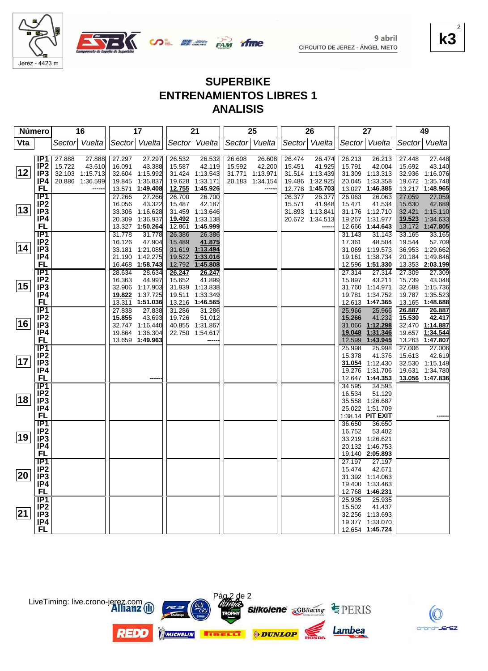



### **SUPERBIKE ENTRENAMIENTOS LIBRES 1 ANALISIS**

| Número       |                                    |        | 16              |        | 17                          |        | 21                          |               | 25              |        | 26              |        | 27                                 |        | 49                                 |
|--------------|------------------------------------|--------|-----------------|--------|-----------------------------|--------|-----------------------------|---------------|-----------------|--------|-----------------|--------|------------------------------------|--------|------------------------------------|
| Vta          |                                    |        | Sector Vuelta   |        | Sector Vuelta               |        | Sector Vuelta               | Sector Vuelta |                 |        | Sector Vuelta   |        | Sector Vuelta                      | Sector | Vuelta                             |
|              |                                    |        |                 |        |                             |        |                             |               |                 |        |                 |        |                                    |        |                                    |
|              | IP <sub>1</sub>                    | 27.888 | 27.888          | 27.297 | 27.297                      | 26.532 | 26.532                      | 26.608        | 26.608          | 26.474 | 26.474          | 26.213 | 26.213                             | 27.448 | 27.448                             |
|              | IP <sub>2</sub>                    | 15.722 | 43.610          | 16.091 | 43.388                      | 15.587 | 42.119                      | 15.592        | 42.200          | 15.451 | 41.925          | 15.791 | 42.004                             | 15.692 | 43.140                             |
| 12           | IP <sub>3</sub>                    |        | 32.103 1:15.713 |        | 32.604 1:15.992             |        | 31.424 1:13.543             |               | 31.771 1:13.971 |        | 31.514 1:13.439 |        | 31.309 1:13.313                    |        | 32.936 1:16.076                    |
|              | IP4                                |        | 20.886 1:36.599 |        | 19.845 1:35.837             | 19.628 | 1:33.171                    |               | 20.183 1:34.154 |        | 19.486 1:32.925 |        | 20.045 1:33.358                    |        | 19.672 1:35.748                    |
|              | FL                                 |        |                 |        | 13.571 1:49.408             |        | 12.755 1:45.926             |               |                 |        | 12.778 1:45.703 |        | 13.027 1:46.385                    |        | 13.217 1:48.965                    |
|              | $\overline{IP1}$                   |        |                 | 27.266 | 27.266                      | 26.700 | 26.700                      |               |                 | 26.377 | 26.377          | 26.063 | 26.063                             | 27.059 | 27.059                             |
|              | IP <sub>2</sub>                    |        |                 | 16.056 | 43.322                      | 15.487 | 42.187                      |               |                 | 15.571 | 41.948          | 15.471 | 41.534                             | 15.630 | 42.689                             |
| $ 13\rangle$ | IP <sub>3</sub>                    |        |                 |        | 33.306 1:16.628             |        | 31.459 1:13.646             |               |                 |        | 31.893 1:13.841 |        | 31.176 1:12.710                    |        | 32.421 1:15.110                    |
|              | IP4                                |        |                 |        | 20.309 1:36.937             |        | 19.492 1:33.138             |               |                 |        | 20.672 1:34.513 |        | 19.267 1:31.977                    | 19.523 | 1:34.633                           |
|              | FL                                 |        |                 |        | 13.327 1:50.264             | 12.861 | 1:45.999                    |               |                 |        |                 |        | 12.666 1:44.643                    |        | 13.172 1:47.805                    |
|              | IP <sub>1</sub>                    |        |                 | 31.778 | 31.778                      | 26.386 | 26.386                      |               |                 |        |                 | 31.143 | 31.143                             | 33.165 | 33.165                             |
| 14           | IP <sub>2</sub>                    |        |                 | 16.126 | 47.904                      | 15.489 | 41.875                      |               |                 |        |                 | 17.361 | 48.504                             | 19.544 | 52.709                             |
|              | IP <sub>3</sub>                    |        |                 |        | 33.181 1:21.085             |        | 31.619 1:13.494             |               |                 |        |                 |        | 31.069 1:19.573                    |        | 36.953 1:29.662                    |
|              | IP4                                |        |                 |        | 21.190 1:42.275             |        | 19.522 1:33.016             |               |                 |        |                 |        | 19.161 1:38.734                    |        | 20.184 1:49.846                    |
|              | <b>FL</b>                          |        |                 |        | 16.468 1:58.743             |        | 12.792 1:45.808             |               |                 |        |                 |        | 12.596 1:51.330                    |        | 13.353 2:03.199                    |
|              | IP <sub>1</sub>                    |        |                 | 28.634 | 28.634                      | 26.247 | 26.247                      |               |                 |        |                 | 27.314 | 27.314                             | 27.309 | 27.309                             |
| 15           | IP <sub>2</sub><br>IP <sub>3</sub> |        |                 | 16.363 | 44.997                      | 15.652 | 41.899                      |               |                 |        |                 | 15.897 | 43.211                             | 15.739 | 43.048                             |
|              | IP4                                |        |                 | 19.822 | 32.906 1:17.903<br>1:37.725 | 19.511 | 31.939 1:13.838<br>1:33.349 |               |                 |        |                 |        | 31.760 1:14.971<br>19.781 1:34.752 |        | 32.688 1:15.736<br>19.787 1:35.523 |
|              | FL                                 |        |                 | 13.311 | 1:51.036                    | 13.216 | 1:46.565                    |               |                 |        |                 |        | 12.613 1:47.365                    |        | 13.165 1:48.688                    |
|              | IP <sub>1</sub>                    |        |                 | 27.838 | 27.838                      | 31.286 | 31.286                      |               |                 |        |                 | 25.966 | 25.966                             | 26.887 | 26.887                             |
|              | IP <sub>2</sub>                    |        |                 | 15.855 | 43.693                      | 19.726 | 51.012                      |               |                 |        |                 | 15.266 | 41.232                             | 15.530 | 42.417                             |
| 16           | IP3                                |        |                 |        | 32.747 1:16.440             |        | 40.855 1:31.867             |               |                 |        |                 | 31.066 | 1:12.298                           |        | 32.470 1:14.887                    |
|              | IP4                                |        |                 |        | 19.864 1:36.304             |        | 22.750 1:54.617             |               |                 |        |                 | 19.048 | 1:31.346                           | 19.657 | 1:34.544                           |
|              | <b>FL</b>                          |        |                 |        | 13.659 1:49.963             |        |                             |               |                 |        |                 | 12.599 | 1:43.945                           | 13.263 | 1:47.807                           |
|              | $\overline{IP1}$                   |        |                 |        |                             |        |                             |               |                 |        |                 | 25.998 | 25.998                             | 27.006 | 27.006                             |
|              | IP <sub>2</sub>                    |        |                 |        |                             |        |                             |               |                 |        |                 | 15.378 | 41.376                             | 15.613 | 42.619                             |
| 17           | IP <sub>3</sub>                    |        |                 |        |                             |        |                             |               |                 |        |                 |        | 31.054 1:12.430                    |        | 32.530 1:15.149                    |
|              | IP4                                |        |                 |        |                             |        |                             |               |                 |        |                 | 19.276 | 1:31.706                           |        | 19.631 1:34.780                    |
|              | FL                                 |        |                 |        |                             |        |                             |               |                 |        |                 | 12.647 | 1:44.353                           |        | 13.056 1:47.836                    |
|              | <b>IP1</b>                         |        |                 |        |                             |        |                             |               |                 |        |                 | 34.595 | 34.595                             |        |                                    |
|              | IP <sub>2</sub>                    |        |                 |        |                             |        |                             |               |                 |        |                 | 16.534 | 51.129                             |        |                                    |
| 18           | IP <sub>3</sub>                    |        |                 |        |                             |        |                             |               |                 |        |                 |        | 35.558 1:26.687                    |        |                                    |
|              | IP4                                |        |                 |        |                             |        |                             |               |                 |        |                 |        | 25.022 1:51.709                    |        |                                    |
|              | FL                                 |        |                 |        |                             |        |                             |               |                 |        |                 |        | 1:38.14 PIT EXIT                   |        |                                    |
|              | $\overline{IP1}$                   |        |                 |        |                             |        |                             |               |                 |        |                 | 36.650 | 36.650                             |        |                                    |
|              | IP <sub>2</sub>                    |        |                 |        |                             |        |                             |               |                 |        |                 | 16.752 | 53.402                             |        |                                    |
| 19           | IP <sub>3</sub>                    |        |                 |        |                             |        |                             |               |                 |        |                 |        | 33.219 1:26.621                    |        |                                    |
|              | IP4                                |        |                 |        |                             |        |                             |               |                 |        |                 |        | 20.132 1:46.753                    |        |                                    |
|              | FL                                 |        |                 |        |                             |        |                             |               |                 |        |                 |        | 19.140 2:05.893                    |        |                                    |
|              | IP <sub>1</sub>                    |        |                 |        |                             |        |                             |               |                 |        |                 | 27.197 | 27.197                             |        |                                    |
| 20           | IP <sub>2</sub>                    |        |                 |        |                             |        |                             |               |                 |        |                 | 15.474 | 42.671                             |        |                                    |
|              | IP <sub>3</sub>                    |        |                 |        |                             |        |                             |               |                 |        |                 |        | 31.392 1:14.063                    |        |                                    |
|              | IP4<br>FL                          |        |                 |        |                             |        |                             |               |                 |        |                 |        | 19.400 1:33.463                    |        |                                    |
|              | $\overline{IP1}$                   |        |                 |        |                             |        |                             |               |                 |        |                 | 25.935 | 12.768 1:46.231<br>25.935          |        |                                    |
|              | IP <sub>2</sub>                    |        |                 |        |                             |        |                             |               |                 |        |                 | 15.502 | 41.437                             |        |                                    |
| 21           | IP <sub>3</sub>                    |        |                 |        |                             |        |                             |               |                 |        |                 |        | 32.256 1:13.693                    |        |                                    |
|              | IP4                                |        |                 |        |                             |        |                             |               |                 |        |                 |        | 19.377 1:33.070                    |        |                                    |
|              | <b>FL</b>                          |        |                 |        |                             |        |                             |               |                 |        |                 |        | 12.654 1:45.724                    |        |                                    |
|              |                                    |        |                 |        |                             |        |                             |               |                 |        |                 |        |                                    |        |                                    |

Pág<sub>2</sub> de 2

MICHELIN **BIREELT** ODUNLOP

**Silkolene GBRacing EPERIS** 

Lambea



**k3**

2

LiveTiming: live.crono-jerez.com

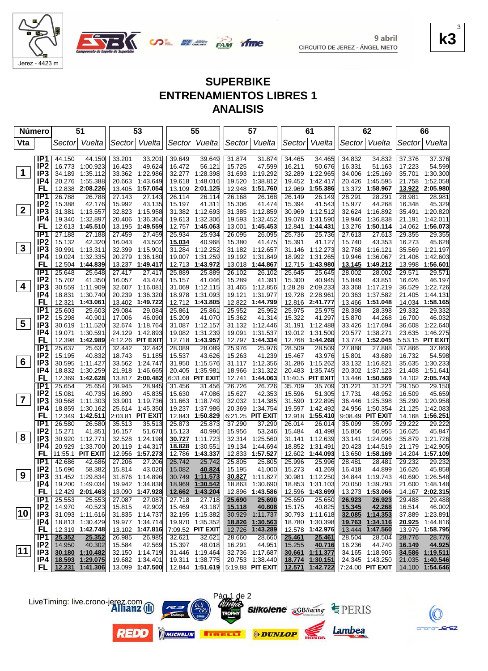

9 abril



CIRCUITO DE JEREZ - ÁNGEL NIETO

#### **k3** 3

 $EZ$ 

## **SUPERBIKE ENTRENAMIENTOS LIBRES 1 ANALISIS**

|              | <b>Número</b>          |                  | 51                        |                  | 53                         |                  | 55                        |                  | 57                               |                  | 61                        |                  | 62                         |                  | 66                                 |
|--------------|------------------------|------------------|---------------------------|------------------|----------------------------|------------------|---------------------------|------------------|----------------------------------|------------------|---------------------------|------------------|----------------------------|------------------|------------------------------------|
| Vta          |                        | Sector           | Vuelta                    | Sector           | Vuelta                     |                  | Sector Vuelta             | Sector           | Vuelta                           |                  | Sector Vuelta             |                  | Sector Vuelta              | Sector           | Vuelta                             |
|              | IP <sub>1</sub>        | 44.150           | 44.150                    | 33.201           | 33.201                     | 39.649           | 39.649                    | 31.874           | 31.874                           | 34.465           | 34.465                    | 34.832           | 34.832                     | 37.376           | 37.376                             |
|              | IP <sub>2</sub>        | 16.773           | 1:00.923                  | 16.423           | 49.624                     | 16.472           | 56.121                    | 15.725           | 47.599                           | 16.211           | 50.676                    | 16.331           | 51.163                     | 17.223           | 54.599                             |
| $\mathbf 1$  | IP <sub>3</sub>        | 34.189           | 1:35.112                  | 33.362           | 1:22.986                   | 32.277           | 1:28.398                  | 31.693           | 1:19.292                         | 32.289           | 1:22.965                  | 34.006           | 1:25.169                   | 35.701           | 1:30.300                           |
|              | IP4                    | 20.276           | 1:55.388                  | 20.663           | 1:43.649                   | 19.618           | 1:48.016                  | 19.520           | 1:38.812                         | 19.452           | 1:42.417                  | 20.426           | 1:45.595                   | 21.758           | 1:52.058                           |
|              | FL                     | 12.838           | 2:08.226                  |                  | 13.405 1:57.054            | 13.109           | 2:01.125                  | 12.948           | 1:51.760                         | 12.969           | 1:55.386                  | 13.372           | 1:58.967                   | 13.922           | 2:05.980                           |
|              | IP <sub>1</sub>        | 26.788           | 26.788                    | 27.143           | 27.143                     | 26.114           | 26.114                    | 26.168           | 26.168                           | 26.149           | 26.149                    | 28.291           | 28.291                     | 28.981           | 28.981                             |
|              | IP <sub>2</sub>        | 15.388           | 42.176                    | 15.992           | 43.135                     | 15.197           | 41.311                    | 15.306           | 41.474                           | 15.394           | 41.543                    | 15.977           | 44.268                     | 16.348           | 45.329                             |
| $\mathbf{2}$ | IP <sub>3</sub>        | 31.381           | 1:13.557                  |                  | 32.823 1:15.958            |                  | 31.382 1:12.693           | 31.385           | 1:12.859                         | 30.969           | 1:12.512                  | 32.624           | 1:16.892                   |                  | 35.491 1:20.820                    |
|              | IP4                    | 19.340           | 1:32.897                  | 20.406           | 1:36.364                   | 19.613           | 1:32.306                  | 19.593           | 1:32.452                         | 19.078           | 1:31.590                  | 19.946           | 1:36.838                   | 21.191           | 1:42.011                           |
|              | FL                     | 12.613           | 1:45.510                  | 13.195           | 1:49.559                   | 12.757           | 1:45.063                  | 13.001           | 1:45.453                         | 12.841           | 1:44.431                  | 13.276           | 1:50.114                   |                  | 14.062 1:56.073                    |
|              | IP1                    | 27.188           | 27.188                    | 27.459           | 27.459                     | 25.934           | 25.934                    | 26.095           | 26.095                           | 25.736           | 25.736                    | 27.613           | 27.613                     | 29.355           | 29.355                             |
| $\mathbf{3}$ | IP <sub>2</sub>        | 15.132           | 42.320                    | 16.043           | 43.502                     | 15.034           | 40.968                    | 15.380           | 41.475                           | 15.391           | 41.127                    | 15.740           | 43.353                     | 16.273           | 45.628                             |
|              | IP3                    | 30.991           | 1:13.311                  | 32.399           | 1:15.901                   | 31.284           | 1:12.252                  |                  | 31.182 1:12.657                  | 31.146           | 1:12.273                  | 32.768           | 1:16.121                   | 35.569           | 1:21.197                           |
|              | IP4<br>FL              |                  | 19.024 1:32.335           | 20.279           | 1:36.180                   | 19.007           | 1:31.259                  | 19.192           | 1:31.849                         | 18.992           | 1:31.265                  | 19.946           | 1:36.067                   | 21.406           | 1:42.603<br>1:56.601               |
|              | IP1                    | 12.504           | 1:44.839                  |                  | 13.237 1:49.417            | 12.713           | 1:43.972                  | 13.018           | 1:44.867                         | 12.715           | 1:43.980                  | 13.145           | 1:49.212                   | 13.998           |                                    |
|              | IP <sub>2</sub>        | 25.648<br>15.702 | 25.648<br>41.350          | 27.417<br>16.057 | 27.417<br>43.474           | 25.889<br>15.157 | 25.889<br>41.046          | 26.102<br>15.289 | 26.102<br>41.391                 | 25.645<br>15.300 | 25.645<br>40.945          | 28.002<br>15.849 | 28.002<br>43.851           | 29.571<br>16.626 | 29.571<br>46.197                   |
| 4            | IP3                    | 30.559           | 1:11.909                  |                  | 32.607 1:16.081            | 31.069           | 1:12.115                  | 31.465           | 1:12.856                         | 1:28.28          | 2:09.233                  | 33.368           | 1:17.219                   | 36.529           | 1:22.726                           |
|              | IP4                    | 18.831           | 1:30.740                  | 20.239           | 1:36.320                   | 18.978           | 1:31.093                  | 19.121           | 1:31.977                         | 19.728           | 2:28.961                  | 20.363           | 1:37.582                   | 21.405           | 1:44.131                           |
|              | FL                     | 12.321           | 1:43.061                  |                  | 13.402 1:49.722            |                  | 12.712 1:43.805           | 12.822           | 1:44.799                         |                  | 12.816 2:41.777           | 13.466           | 1:51.048                   |                  | 14.034 1:58.165                    |
|              | IP <sub>1</sub>        | 25.603           | 25.603                    | 29.084           | 29.084                     | 25.861           | 25.861                    | 25.952           | 25.952                           | 25.975           | 25.975                    | 28.398           | 28.398                     | 29.332           | 29.332                             |
|              | IP <sub>2</sub>        | 15.298           | 40.901                    | 17.006           | 46.090                     | 15.209           | 41.070                    | 15.362           | 41.314                           | 15.322           | 41.297                    | 15.870           | 44.268                     | 16.700           | 46.032                             |
| 5            | IP <sub>3</sub>        | 30.619           | 1:11.520                  |                  | 32.674 1:18.764            |                  | 31.087 1:12.157           | 31.132           | 1:12.446                         |                  | 31.191 1:12.488           | 33.426           | 1:17.694                   | 36.608           | 1:22.640                           |
|              | IP4                    | 19.071           | 1:30.591                  | 24.129           | 1:42.893                   | 19.082           | 1:31.239                  | 19.091           | 1:31.537                         |                  | 19.012 1:31.500           | 20.577           | 1:38.271                   | 23.635           | 1:46.275                           |
|              | FL                     | 12.398           | 1:42.989                  |                  | 4:12.26 PIT EXIT           | 12.718           | 1:43.957                  | 12.797           | 1:44.334                         |                  | 12.768 1:44.268           | 13.774           | 1:52.045                   |                  | 5:53.15 PIT EXIT                   |
|              | IP1                    | 25.637           | 25.637                    | 32.442           | 32.442                     | 28.089           | 28.089                    | 25.976           | 25.976                           | 28.509           | 28.509                    | 27.888           | 27.888                     | 37.866           | 37.866                             |
|              | IP <sub>2</sub>        | 15.195           | 40.832                    | 18.743           | 51.185                     | 15.537           | 43.626                    | 15.263           | 41.239                           | 15.467           | 43.976                    | 15.801           | 43.689                     | 16.732           | 54.598                             |
| 6            | IP <sub>3</sub>        | 30.595           | 1:11.427                  |                  | 33.562 1:24.747            | 31.950           | 1:15.576                  | 31.117           | 1:12.356                         | 31.286           | 1:15.262                  | 33.132           | 1:16.821                   |                  | 35.635 1:30.233                    |
|              | IP4                    | 18.832           | 1:30.259                  | 21.918           | 1:46.665                   | 20.405           | 1:35.981                  | 18.966           | 1:31.322                         | 20.483           | 1:35.745                  | 20.302           | 1:37.123                   | 21.408           | 1:51.641                           |
|              | FL                     | 12.369           | 1:42.628                  |                  | 13.817 2:00.482            |                  | 6:31.68 PIT EXIT          | 12.741           | 1:44.063                         |                  | 11:40.5 PIT EXIT          |                  | 13.446 1:50.569            |                  | 14.102 2:05.743                    |
|              | IP1                    | 25.654           | 25.654                    | 28.945           | 28.945                     | 31.456           | 31.456                    | 26.726           | 26.726                           | 35.709           | 35.709                    | 31.221           | 31.221                     | 29.150           | 29.150                             |
| 7            | IP <sub>2</sub>        | 15.081           | 40.735                    | 16.890           | 45.835                     | 15.630           | 47.086                    | 15.627           | 42.353                           | 15.596           | 51.305                    | 17.731           | 48.952                     | 16.509           | 45.659                             |
|              | IP3                    | 30.568           | 1:11.303                  | 33.901           | 1:19.736                   | 31.663           | 1:18.749                  | 32.032           | 1:14.385                         | 31.590           | 1:22.895                  | 36.446           | 1:25.398                   | 35.299           | 1:20.958                           |
|              | IP4<br>FL              | 18.859           | 1:30.162                  |                  | 25.614 1:45.350            | 19.237           | 1:37.986                  | 20.369           | 1:34.754                         | 19.597           | 1:42.492                  | 24.956           | 1:50.354                   | 21.125           | 1:42.083                           |
|              | IP1                    | 26.580           | 12.349 1:42.511<br>26.580 | 35.513           | 2:03.81 PIT EXIT<br>35.513 | 25.873           | 12.843 1:50.829<br>25.873 | 37.290           | 6:21.25 PIT EXIT<br>37.290       | 12.918<br>26.014 | 1:55.410<br>26.014        | 35.099           | 9:08.49 PIT EXIT<br>35.099 | 29.222           | 14.168 1:56.251<br>29.222          |
|              | IP <sub>2</sub>        | 15.271           | 41.851                    | 16.157           | 51.670                     | 15.123           | 40.996                    | 15.956           | 53.246                           | 15.484           | 41.498                    | 15.856           | 50.955                     | 16.625           | 45.847                             |
| 8            | IP <sub>3</sub>        | 30.920           | 1:12.771                  | 32.528           | 1:24.198                   | 30.727           | 1:11.723                  | 32.314           | 1:25.560                         | 31.141           | 1:12.639                  | 33.141           | 1:24.096                   | 35.879           | 1:21.726                           |
|              | IP4                    | 20.929           | 1:33.700                  | 20.119           | 1:44.317                   | <u>18.828</u>    | 1:30.551                  | 19.134           | 1:44.694                         | 18.852           | 1:31.491                  | 20.423           | 1:44.519                   | 21.179           | 1:42.905                           |
|              | FL                     | 11:55.1 PIT EXIT |                           |                  | 12.956 1:57.273            | 12.786           | 1:43.337                  | 12.833           | 1:57.527                         | 12.602           | 1:44.093                  | 13.650           | 1:58.169                   |                  | 14.204 1:57.109                    |
|              | IP <sub>1</sub>        | 42.686           | 42.686                    | 27.206           | 27.206                     | 25.742           | 25.742                    | 25.805           | 25.805                           | 25.996           | 25.996                    | 28.481           | 28.481                     | 29.232           | 29.232                             |
|              | IP <sub>2</sub>        | 15.696           | 58.382                    | 15.814           | 43.020                     | 15.082           | 40.824                    | 15.195           | 41.000                           | 15.273           | 41.269                    | 16.418           | 44.899                     | 16.626           | 45.858                             |
| 9            | IP <sub>3</sub>        |                  | 31.452 1.29.834           |                  | 31.876 1:14.896            | 30.749           | 1:11.573                  |                  | 30.827 1:11.827                  |                  | 30.981 1:12.250           |                  | 34.844 1:19.743            |                  | 40.690 1:26.548                    |
|              | IP4                    |                  | 19.200 1:49.034           |                  | 19.942 1:34.838            |                  | 18.969 1:30.542           | 18.863           | 1:30.690                         |                  | 18.853 1:31.103           |                  | 20.050 1:39.793            |                  | 21.600 1:48.148                    |
|              | <b>FL</b>              |                  | 12.429 2:01.463           |                  | 13.090 1:47.928            |                  | 12.662 1:43.204           |                  | 12.896 1:43.586                  |                  | 12.596 1:43.699           |                  | 13.273 1:53.066            |                  | 14.167 2:02.315                    |
|              | IP1                    | 25.553           | 25.553                    | 27.087           | 27.087                     | 27.718           | 27.718                    | 25.690           | 25.690                           | 25.650           | 25.650                    | 26.923           | 26.923                     | 29.488           | 29.488                             |
|              | IP <sub>2</sub>        | 14.970           | 40.523                    | 15.815           | 42.902                     | 15.469           | 43.187                    | 15.118           | 40.808                           | 15.175           | 40.825                    | 15.345           | 42.268                     | 16.514           | 46.002                             |
| 10           | IP <sub>3</sub>        |                  | 31.093 1:11.616           |                  | 31.835 1:14.737            |                  | 32.195 1:15.382           |                  | 30.929 1:11.737                  |                  | 30.793 1:11.618           |                  | 32.085 1:14.353            |                  | 37.889 1:23.891                    |
|              | IP4                    |                  | 18.813 1:30.429           |                  | 19.977 1:34.714            |                  | 19.970 1:35.352           | 18.826           | 1:30.563                         |                  | 18.780 1:30.398           | 19.763           | 1:34.116                   |                  | 20.925 1:44.816                    |
|              | <b>FL</b>              |                  | 12.319 1:42.748           |                  | 13.102 1:47.816            |                  | 7:09.52 PIT EXIT          | 12.726           | 1:43.289                         |                  | 12.578 1:42.976           | 13.444           | 1:47.560                   |                  | 13.979 1:58.795                    |
|              | IP1<br>IP <sub>2</sub> | 25.352           | 25.352                    | 26.985           | 26.985                     | 32.621           | 32.621                    | 28.660           | 28.660                           | 25.461           | 25.461                    | 28.504           | 28.504                     | 28.776           | 28.776                             |
| 11           | IP3                    | 14.950           | 40.302<br>30.180 1:10.482 | 15.584           | 42.569<br>32.150 1:14.719  | 15.397           | 48.018<br>31.446 1:19.464 | 16.291           | 44.951<br>32.736 1:17.687        | 15.255           | 40.716<br>30.661 1:11.377 | 16.236           | 44.740<br>34.165 1:18.905  | 16.149           | 44.925                             |
|              | IP4                    |                  | 18.593 1:29.075           |                  | 19.682 1:34.401            |                  | 19.311 1:38.775           |                  | 20.753 1:38.440                  | 18.774           | 1:30.151                  |                  | 24.345 1:43.250            |                  | 34.586 1:19.511<br>21.035 1:40.546 |
|              | FL                     |                  | 12.231 1:41.306           |                  | 13.099 1:47.500            |                  |                           |                  | 12.844 1:51.619 5:19.88 PIT EXIT |                  | 12.571 1:42.722           |                  | 7:24.00 PIT EXIT           |                  | 14.100 1:54.646                    |
|              |                        |                  |                           |                  |                            |                  |                           |                  |                                  |                  |                           |                  |                            |                  |                                    |



LiveTiming: live.crono-jerez.com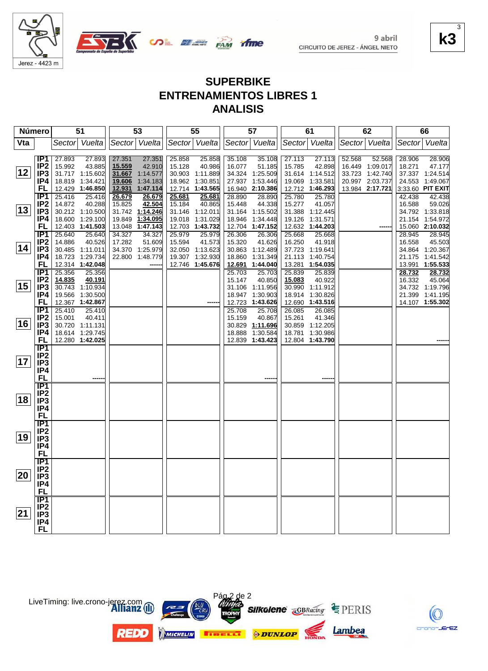

Jerez - 4423 m



| <b>SUPERBIKE</b>               |
|--------------------------------|
| <b>ENTRENAMIENTOS LIBRES 1</b> |
| <b>ANALISIS</b>                |

| <b>Número</b> |                        |                  | 51                                 |        | 53              |        | 55              |        | 57               |                  | 61                                 |        | 62              |        | 66               |
|---------------|------------------------|------------------|------------------------------------|--------|-----------------|--------|-----------------|--------|------------------|------------------|------------------------------------|--------|-----------------|--------|------------------|
| Vta           |                        |                  | Sector Vuelta                      |        | Sector Vuelta   |        | Sector Vuelta   |        | Sector Vuelta    |                  | Sector Vuelta                      |        | Sector Vuelta   |        | Sector Vuelta    |
|               |                        |                  |                                    |        |                 |        |                 |        |                  |                  |                                    |        |                 |        |                  |
|               | IP <sub>1</sub>        | 27.893           | 27.893                             | 27.351 | 27.351          | 25.858 | 25.858          | 35.108 | 35.108           | 27.113           | 27.113                             | 52.568 | 52.568          | 28.906 | 28.906           |
|               | IP <sub>2</sub>        | 15.992           | 43.885                             | 15.559 | 42.910          | 15.128 | 40.986          | 16.077 | 51.185           | 15.785           | 42.898                             |        | 16.449 1:09.017 | 18.271 | 47.177           |
| 12            | IP <sub>3</sub>        |                  | 31.717 1:15.602                    |        | 31.667 1:14.577 |        | 30.903 1:11.889 |        | 34.324 1:25.509  |                  | 31.614 1:14.512                    |        | 33.723 1:42.740 |        | 37.337 1:24.514  |
|               | IP4                    |                  | 18.819 1:34.421                    | 19.606 | 1:34.183        |        | 18.962 1:30.851 | 27.937 | 1:53.446         | 19.069           | 1:33.581                           |        | 20.997 2:03.737 |        | 24.553 1:49.067  |
|               | FL                     |                  | 12.429 1:46.850                    | 12.931 | 1:47.114        |        | 12.714 1:43.565 |        | 16.940 2:10.386  |                  | 12.712 1:46.293                    |        | 13.984 2:17.721 |        | 3:33.60 PIT EXIT |
|               | IP1                    | 25.416           | 25.416                             | 26.679 | 26.679          | 25.681 | 25.681          | 28.890 | 28.890           | 25.780           | 25.780                             |        |                 | 42.438 | 42.438           |
|               | IP <sub>2</sub>        | 14.872           | 40.288                             | 15.825 | 42.504          | 15.184 | 40.865          | 15.448 | 44.338           | 15.277           | 41.057                             |        |                 | 16.588 | 59.026           |
| $ 13\rangle$  | IP3                    |                  | 30.212 1:10.500                    |        | 31.742 1:14.246 |        | 31.146 1:12.011 |        | 31.164 1:15.502  |                  | 31.388 1:12.445                    |        |                 |        | 34.792 1:33.818  |
|               | IP4                    |                  | 18.600 1:29.100                    |        | 19.849 1:34.095 |        | 19.018 1:31.029 | 18.946 | 1:34.448         |                  | 19.126 1:31.571                    |        |                 |        | 21.154 1:54.972  |
|               | FL                     |                  | 12.403 1:41.503                    |        | 13.048 1:47.143 |        | 12.703 1:43.732 | 12.704 | 1:47.152         |                  | 12.632 1:44.203                    |        |                 |        | 15.060 2:10.032  |
|               | IP1                    | 25.640           | 25.640                             | 34.327 | 34.327          | 25.979 | 25.979          | 26.306 | 26.306           | 25.668           | 25.668                             |        |                 | 28.945 | 28.945           |
| 14            | IP <sub>2</sub>        | 14.886           | 40.526                             | 17.282 | 51.609          | 15.594 | 41.573          | 15.320 | 41.626           | 16.250           | 41.918                             |        |                 | 16.558 | 45.503           |
|               | IP <sub>3</sub>        |                  | 30.485 1:11.011                    |        | 34.370 1:25.979 |        | 32.050 1:13.623 |        | 30.863 1:12.489  |                  | 37.723 1:19.641                    |        |                 |        | 34.864 1:20.367  |
|               | IP4                    |                  | 18.723 1:29.734                    |        | 22.800 1:48.779 |        | 19.307 1:32.930 | 18.860 | 1:31.349         |                  | 21.113 1:40.754                    |        |                 |        | 21.175 1:41.542  |
|               | <b>FL</b>              |                  | 12.314 1:42.048                    |        |                 |        | 12.746 1:45.676 | 12.691 | 1:44.040         | 13.281           | 1:54.035                           |        |                 |        | 13.991 1:55.533  |
|               | <b>IP1</b>             | 25.356           | 25.356                             |        |                 |        |                 | 25.703 | 25.703           | 25.839           | 25.839                             |        |                 | 28.732 | 28.732           |
| 15            | IP <sub>2</sub>        | 14.835           | 40.191                             |        |                 |        |                 | 15.147 | 40.850           | 15.083           | 40.922                             |        |                 | 16.332 | 45.064           |
|               | IP <sub>3</sub>        |                  | 30.743 1:10.934                    |        |                 |        |                 |        | 31.106 1:11.956  | 30.990           | 1:11.912                           |        |                 |        | 34.732 1:19.796  |
|               | IP4                    |                  | 19.566 1:30.500<br>12.367 1:42.867 |        |                 |        |                 |        | 18.947 1:30.903  |                  | 18.914 1:30.826<br>12.690 1:43.516 |        |                 |        | 21.399 1:41.195  |
|               | FL<br>$\overline{IP1}$ |                  | 25.410                             |        |                 |        |                 | 12.723 | 1:43.626         |                  |                                    |        |                 |        | 14.107 1:55.302  |
|               | IP2                    | 25.410<br>15.001 | 40.411                             |        |                 |        |                 | 25.708 | 25.708<br>40.867 | 26.085<br>15.261 | 26.085<br>41.346                   |        |                 |        |                  |
| 16            | IP <sub>3</sub>        |                  | 30.720 1:11.131                    |        |                 |        |                 | 15.159 | 30.829 1:11.696  |                  | 30.859 1:12.205                    |        |                 |        |                  |
|               | IP4                    |                  | 18.614 1:29.745                    |        |                 |        |                 | 18.888 | 1:30.584         |                  | 18.781 1:30.986                    |        |                 |        |                  |
|               | FL.                    |                  | 12.280 1:42.025                    |        |                 |        |                 |        | 12.839 1:43.423  |                  | 12.804 1:43.790                    |        |                 |        |                  |
|               | IP1                    |                  |                                    |        |                 |        |                 |        |                  |                  |                                    |        |                 |        |                  |
|               | IP <sub>2</sub>        |                  |                                    |        |                 |        |                 |        |                  |                  |                                    |        |                 |        |                  |
| 17            | IP <sub>3</sub>        |                  |                                    |        |                 |        |                 |        |                  |                  |                                    |        |                 |        |                  |
|               | IP4                    |                  |                                    |        |                 |        |                 |        |                  |                  |                                    |        |                 |        |                  |
|               | <b>FL</b>              |                  |                                    |        |                 |        |                 |        |                  |                  |                                    |        |                 |        |                  |
|               | IP1                    |                  |                                    |        |                 |        |                 |        |                  |                  |                                    |        |                 |        |                  |
|               | IP2                    |                  |                                    |        |                 |        |                 |        |                  |                  |                                    |        |                 |        |                  |
| 18            | IP <sub>3</sub>        |                  |                                    |        |                 |        |                 |        |                  |                  |                                    |        |                 |        |                  |
|               | IP4                    |                  |                                    |        |                 |        |                 |        |                  |                  |                                    |        |                 |        |                  |
|               | <b>FL</b>              |                  |                                    |        |                 |        |                 |        |                  |                  |                                    |        |                 |        |                  |
|               | IP <sub>1</sub>        |                  |                                    |        |                 |        |                 |        |                  |                  |                                    |        |                 |        |                  |
|               | IP <sub>2</sub>        |                  |                                    |        |                 |        |                 |        |                  |                  |                                    |        |                 |        |                  |
| 19            | IP <sub>3</sub>        |                  |                                    |        |                 |        |                 |        |                  |                  |                                    |        |                 |        |                  |
|               | IP4                    |                  |                                    |        |                 |        |                 |        |                  |                  |                                    |        |                 |        |                  |
|               | <b>FL</b>              |                  |                                    |        |                 |        |                 |        |                  |                  |                                    |        |                 |        |                  |
|               | $\overline{IP1}$       |                  |                                    |        |                 |        |                 |        |                  |                  |                                    |        |                 |        |                  |
|               | IP <sub>2</sub>        |                  |                                    |        |                 |        |                 |        |                  |                  |                                    |        |                 |        |                  |
| 20            | IP <sub>3</sub>        |                  |                                    |        |                 |        |                 |        |                  |                  |                                    |        |                 |        |                  |
|               | IP4                    |                  |                                    |        |                 |        |                 |        |                  |                  |                                    |        |                 |        |                  |
|               | <b>FL</b>              |                  |                                    |        |                 |        |                 |        |                  |                  |                                    |        |                 |        |                  |
|               | $\overline{IP1}$       |                  |                                    |        |                 |        |                 |        |                  |                  |                                    |        |                 |        |                  |
|               | IP <sub>2</sub>        |                  |                                    |        |                 |        |                 |        |                  |                  |                                    |        |                 |        |                  |
| 21            | IP <sub>3</sub>        |                  |                                    |        |                 |        |                 |        |                  |                  |                                    |        |                 |        |                  |
|               | IP4                    |                  |                                    |        |                 |        |                 |        |                  |                  |                                    |        |                 |        |                  |
|               | <b>FL</b>              |                  |                                    |        |                 |        |                 |        |                  |                  |                                    |        |                 |        |                  |



LiveTiming: live.crono-jerez.com

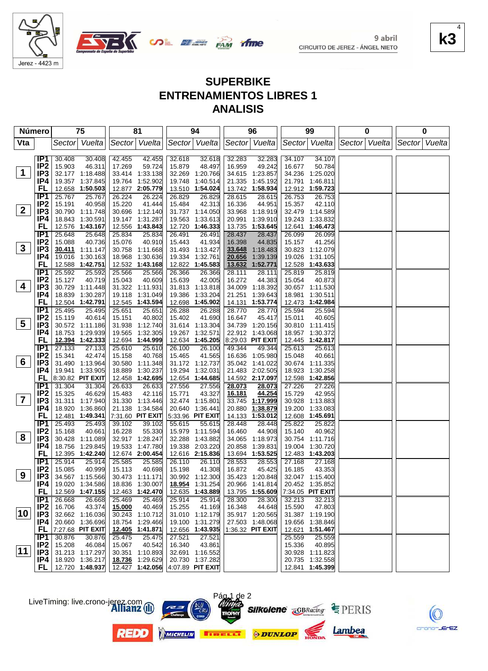

Jerez - 4423 m



|                | Número                 | 75                                   | 81                                   | 94                                   | 96                                    | 99                                                  | 0             | 0             |
|----------------|------------------------|--------------------------------------|--------------------------------------|--------------------------------------|---------------------------------------|-----------------------------------------------------|---------------|---------------|
| Vta            |                        | Sector Vuelta                        | Sector Vuelta                        | Sector Vuelta                        | Sector Vuelta                         | Sector Vuelta                                       | Sector Vuelta | Sector Vuelta |
|                |                        |                                      |                                      |                                      |                                       |                                                     |               |               |
|                | IP <sub>1</sub>        | 30.408<br>30.408                     | 42.455<br>42.455                     | 32.618<br>32.618                     | 32.283<br>32.283                      | 34.107<br>34.107                                    |               |               |
| $\mathbf 1$    | IP <sub>2</sub><br>IP3 | 15.903<br>46.311                     | 17.269<br>59.724                     | 15.879<br>48.497                     | 49.242<br>16.959                      | 16.677<br>50.784<br>34.236 1:25.020                 |               |               |
|                | IP4                    | 32.177 1:18.488<br>19.357 1:37.845   | 33.414 1:33.138<br>19.764 1:52.902   | 32.269 1:20.766<br>19.748 1:40.514   | 34.615 1:23.857<br>21.335 1:45.192    | 21.791 1:46.811                                     |               |               |
|                | FL                     | 12.658 1:50.503                      | 12.877 2:05.779                      | 13.510 1:54.024                      | 13.742 1:58.934                       | 12.912 1:59.723                                     |               |               |
|                | IP <sub>1</sub>        | 25.767<br>25.767                     | 26.224<br>26.224                     | 26.829<br>26.829                     | 28.615<br>28.615                      | 26.753<br>26.753                                    |               |               |
|                | IP <sub>2</sub>        | 15.191<br>40.958                     | 15.220<br>41.444                     | 42.313<br>15.484                     | 16.336<br>44.951                      | 15.357<br>42.110                                    |               |               |
| $\mathbf{2}$   | IP <sub>3</sub>        | 30.790 1:11.748                      | 30.696 1:12.140                      | 31.737 1:14.050                      | 33.968 1:18.919                       | 32.479 1:14.589                                     |               |               |
|                | IP4                    | 18.843 1:30.591                      | 19.147 1:31.287                      | 19.563 1:33.613                      | 20.991<br>1:39.910                    | 19.243 1:33.832                                     |               |               |
|                | FL                     | 12.576 1:43.167                      | 12.556 1:43.843                      | 12.720 1:46.333                      | 13.735 1:53.645                       | 12.641 1:46.473                                     |               |               |
|                | IP1                    | 25.648<br>25.648                     | 25.834<br>25.834                     | 26.491<br>26.491                     | 28.437<br>28.437                      | 26.099<br>26.099                                    |               |               |
|                | IP <sub>2</sub>        | 15.088<br>40.736                     | 15.076<br>40.910                     | 41.934<br>15.443                     | 16.398<br>44.835                      | 15.157<br>41.256                                    |               |               |
| $3\phantom{a}$ | IP3                    | 30.411 1:11.147                      | 30.758 1:11.668                      | 31.493 1:13.427                      | 33.648<br>1:18.483                    | 30.823 1:12.079                                     |               |               |
|                | IP4                    | 19.016 1:30.163                      | 18.968 1:30.636                      | 19.334 1:32.761                      | 1:39.139<br>20.656                    | 19.026 1:31.105                                     |               |               |
|                | FL                     | 12.588 1:42.751                      | 12.532 1:43.168                      | 12.822 1:45.583                      | 1:52.771<br>13.632                    | 12.528<br>1:43.633                                  |               |               |
|                | IP1                    | 25.592<br>25.592                     | 25.566<br>25.566                     | 26.366<br>26.366                     | 28.111<br>28.111                      | 25.819<br>25.819                                    |               |               |
| 4              | IP <sub>2</sub>        | 15.127<br>40.719                     | 15.043<br>40.609                     | 15.639<br>42.005                     | 16.272<br>44.383                      | 15.054<br>40.873<br>30.657 1:11.530                 |               |               |
|                | IP3<br>IP4             | 30.729 1:11.448<br>18.839 1:30.287   | 31.322 1:11.931<br>19.118 1:31.049   | 31.813 1:13.818<br>19.386 1:33.204   | 34.009 1:18.392<br>21.251<br>1:39.643 | 18.981 1:30.511                                     |               |               |
|                | FL                     | 12.504 1:42.791                      | 12.545 1:43.594                      | 12.698 1:45.902                      | 14.131 1:53.774                       | 12.473 1:42.984                                     |               |               |
|                | IP <sub>1</sub>        | 25.495<br>25.495                     | 25.651<br>25.651                     | 26.288<br>26.288                     | 28.770<br>28.770                      | 25.594<br>25.594                                    |               |               |
|                | IP <sub>2</sub>        | 15.119<br>40.614                     | 15.151<br>40.802                     | 15.402<br>41.690                     | 16.647<br>45.417                      | 15.011<br>40.605                                    |               |               |
| 5              | IP3                    | 30.572 1:11.186                      | 31.938 1:12.740                      | 31.614 1:13.304                      | 34.739 1:20.156                       | 30.810 1:11.415                                     |               |               |
|                | IP4                    | 18.753 1:29.939                      | 19.565 1:32.305                      | 19.267 1:32.571                      | 22.912 1:43.068                       | 18.957 1:30.372                                     |               |               |
|                | <b>FL</b>              | 12.394 1:42.333                      | 12.694 1:44.999                      | 12.634 1:45.205                      | 8:29.03 PIT EXIT                      | 12.445 1:42.817                                     |               |               |
|                | IP1                    | 27.133<br>27.133                     | 25.610<br>25.610                     | 26.100<br>26.100                     | 49.344<br>49.344                      | 25.613<br>25.613                                    |               |               |
|                | IP <sub>2</sub>        | 15.341<br>42.474                     | 15.158<br>40.768                     | 15.465<br>41.565                     | 16.636 1:05.980                       | 15.048<br>40.661                                    |               |               |
| 6              | IP <sub>3</sub>        | 31.490 1:13.964                      | 30.580 1:11.348                      | 31.172 1:12.737                      | 35.042 1:41.022                       | 30.674 1:11.335                                     |               |               |
|                | IP4                    | 19.941 1:33.905                      | 18.889 1:30.237                      | 19.294 1:32.031                      | 21.483 2:02.505                       | 18.923 1:30.258                                     |               |               |
|                | FL.                    | 8:30.82 PIT EXIT                     | 12.458 1:42.695                      | 12.654 1:44.685                      | 14.592 2:17.097                       | 12.598 1:42.856                                     |               |               |
|                | IP1<br>IP <sub>2</sub> | 31.304<br>31.304<br>15.325<br>46.629 | 26.633<br>26.633<br>15.483<br>42.116 | 27.556<br>27.556<br>15.771<br>43.327 | 28.073<br>28.073<br>16.181<br>44.254  | 27.226<br>27.226<br>15.729<br>42.955                |               |               |
| $\mathbf{7}$   | IP <sub>3</sub>        | 31.311 1:17.940                      | 31.330 1:13.446                      | 32.474 1:15.801                      | 33.745 1:17.999                       | 30.928<br>1:13.883                                  |               |               |
|                | IP4                    | 18.920 1:36.860                      | 21.138 1:34.584                      | 20.640 1:36.441                      | 20.880 1:38.879                       | 19.200<br>1:33.083                                  |               |               |
|                | FL                     | 12.481 1:49.341                      | 7:31.60 PIT EXIT                     | 5:33.96 PIT EXIT                     | 14.133 1:53.012                       | 12.608 1:45.691                                     |               |               |
|                | IP1                    | 25.493<br>25.493                     | 39.102<br>39.102                     | 55.615<br>55.615                     | 28.448<br>28.448                      | 25.822<br>25.822                                    |               |               |
|                | IP <sub>2</sub>        | 15.168<br>40.661                     | 16.228<br>55.330                     | 15.979 1:11.594                      | 16.460<br>44.908                      | 15.140<br>40.962                                    |               |               |
| 8              | IP3                    | 30.428 1:11.089                      | 32.917 1:28.247                      | 32.288 1:43.882                      | 34.065 1:18.973                       | 30.754 1:11.716                                     |               |               |
|                | IP4                    | 18.756 1:29.845                      | 19.533 1:47.780                      | 19.338 2:03.220                      | 20.858<br>1:39.831                    | 19.004 1:30.720                                     |               |               |
|                | FL                     | 12.395 1:42.240                      | 12.674 2:00.454                      | 12.616 2:15.836                      | 13.694 1:53.525                       | 12.483 1:43.203                                     |               |               |
|                | IP1                    | 25.914<br>25.914                     | 25.585<br>25.585                     | 26.110<br>26.110                     | 28.553<br>28.553                      | 27.168<br>27.168                                    |               |               |
| 9              | IP <sub>2</sub>        | 15.085<br>40.999                     | 15.113<br>40.698                     | 15.198<br>41.308                     | 16.872<br>45.425                      | 16.185<br>43.353                                    |               |               |
|                | IP3                    | 34.567 1:15.566                      | 30.473 1:11.171                      | 30.992 1:12.300                      | 35.423 1:20.848                       | 32.047 1:15.400                                     |               |               |
|                | P4 <br>FL,             | 19.020 1:34.586<br>12.569 1:47.155   | 12.463 1:42.470                      | 12.635 1:43.889                      | 20.966 1:41.814                       | 20.452 1:35.852<br>13.795 1:55.609 7:34.05 PIT EXIT |               |               |
|                | IP <sub>1</sub>        | 26.668<br>26.668                     | 25.469<br>25.469                     | 25.914<br>25.914                     | 28.300<br>28.300                      | 32.213<br>32.213                                    |               |               |
|                | IP <sub>2</sub>        | 16.706<br>43.374                     | 15.000<br>40.469                     | 15.255<br>41.169                     | 16.348<br>44.648                      | 15.590<br>47.803                                    |               |               |
| 10             | IP3                    | 32.662 1:16.036                      | 30.243 1:10.712                      | 31.010 1:12.179                      | 35.917 1:20.565                       | 31.387 1:19.190                                     |               |               |
|                | IP4                    | 20.660 1:36.696                      | 18.754 1:29.466                      | 19.100 1:31.279                      | 27.503 1:48.068                       | 19.656 1:38.846                                     |               |               |
|                | FL,                    | 7:27.68 PIT EXIT                     | 12.405 1:41.871                      | 12.656 1:43.935                      | 1:36.32 PIT EXIT                      | 12.621 1:51.467                                     |               |               |
|                | IP1                    | 30.876<br>30.876                     | 25.475<br>25.475                     | 27.521<br>27.521                     |                                       | 25.559<br>25.559                                    |               |               |
|                | IP <sub>2</sub>        | 15.208<br>46.084                     | 15.067<br>40.542                     | 16.340<br>43.861                     |                                       | 15.336<br>40.895                                    |               |               |
| 11             | IP3                    | 31.213 1:17.297                      | 30.351 1:10.893                      | 32.691 1:16.552                      |                                       | 30.928 1:11.823                                     |               |               |
|                | IP4                    | 18.920 1:36.217                      | 18.736 1:29.629                      | 20.730 1:37.282                      |                                       | 20.735 1:32.558                                     |               |               |
|                |                        | FL   12.720 1:48.937                 | 12.427 1:42.056                      | 4:07.89 PIT EXIT                     |                                       | 12.841 1:45.399                                     |               |               |





EZ.

Lambea

**k3** 4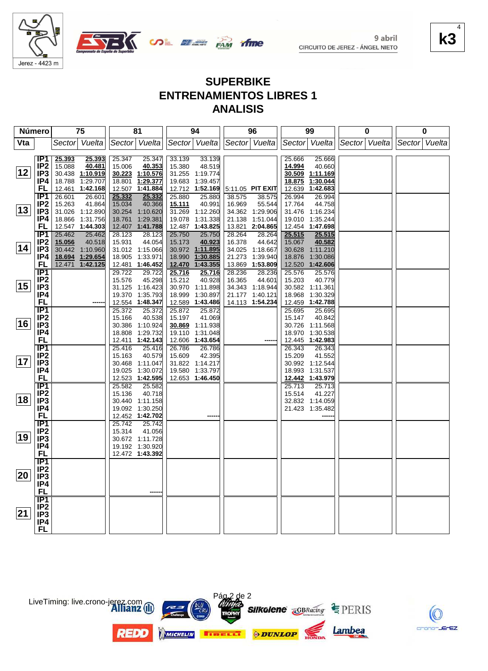

Jerez - 4423 m



| Número |                        | 75                         | 81                                 | 94                                   | 96                                 | 99                                   | 0             | 0             |  |
|--------|------------------------|----------------------------|------------------------------------|--------------------------------------|------------------------------------|--------------------------------------|---------------|---------------|--|
| Vta    |                        | Sector Vuelta              | Sector Vuelta                      | Sector Vuelta                        | Sector Vuelta                      | Sector Vuelta                        | Sector Vuelta | Sector Vuelta |  |
|        |                        |                            |                                    |                                      |                                    |                                      |               |               |  |
|        | IP1                    | 25.393<br>25.393<br>40.481 | 25.347<br>40.353<br>25.347         | 33.139<br>33.139                     |                                    | 25.666<br>25.666                     |               |               |  |
|        | IP <sub>2</sub>        | 15.088                     | 15.006                             | 15.380<br>48.519                     |                                    | 14.994<br>40.660                     |               |               |  |
| 12     | IP <sub>3</sub>        | 30.438 1:10.919            | 30.223 1:10.576                    | 31.255 1:19.774                      |                                    | 30.509<br>1:11.169<br>1:30.044       |               |               |  |
|        | IP4                    | 18.788<br>1:29.707         | 18.801 1:29.377                    | 19.683 1:39.457                      |                                    | 18.875                               |               |               |  |
|        | FL                     | 12.461 1:42.168            | 12.507 1:41.884                    | 12.712 1:52.169                      | $ 5:11.05$ PIT EXIT                | 1:42.683<br>12.639                   |               |               |  |
|        | IP1                    | 26.601<br>26.601           | 25.332<br>25.332                   | 25.880<br>25.880                     | 38.575<br>38.575                   | 26.994<br>26.994                     |               |               |  |
|        | IP <sub>2</sub>        | 41.864<br>15.263           | 40.366<br>15.034                   | 40.991<br>15.111                     | 55.544<br>16.969                   | 17.764<br>44.758                     |               |               |  |
| 13     | IP3                    | 31.026 1:12.890            | 30.254 1:10.620                    | 31.269 1:12.260                      | 34.362 1:29.906                    | 31.476 1:16.234                      |               |               |  |
|        | IP4                    | 18.866 1:31.756            | 18.761 1:29.381                    | 19.078 1:31.338                      | 21.138 1:51.044                    | 19.010 1:35.244                      |               |               |  |
|        | <b>FL</b>              | 12.547 1:44.303            | 12.407 1:41.788                    | 12.487 1:43.825                      | 13.821 2:04.865                    | 12.454 1:47.698                      |               |               |  |
|        | IP1                    | 25.462<br>25.462           | 28.123<br>28.123                   | 25.750<br>25.750                     | 28.264<br>28.264                   | 25.515<br>25.515                     |               |               |  |
| 14     | IP <sub>2</sub>        | 15.056<br>40.518           | 44.054<br>15.931                   | 15.173 40.923<br>30.972 1:11.895     | 16.378<br>44.642                   | 40.582<br>15.067                     |               |               |  |
|        | IP <sub>3</sub>        | 30.442 1:10.960            | 31.012 1:15.066                    |                                      | 34.025 1:18.667                    | 30.628 1:11.210                      |               |               |  |
|        | IP4                    | 18.694 1:29.654            | 18.905 1:33.971                    | 18.990 1:30.885                      | 21.273 1:39.940                    | 18.876 1:30.086                      |               |               |  |
|        | <b>FL</b>              | 12.471 1:42.125            | 12.481 1:46.452                    | 12.470 1:43.355                      | 13.869 1:53.809                    | 12.520 1:42.606                      |               |               |  |
|        | IP <sub>1</sub>        |                            | 29.722<br>29.722                   | 25.716<br>40.928<br>25.716           | 28.236<br>28.236                   | 25.576<br>25.576                     |               |               |  |
| 15     | IP <sub>2</sub>        |                            | 45.298<br>15.576                   | 15.212                               | 16.365<br>44.601                   | 15.203<br>40.779                     |               |               |  |
|        | IP <sub>3</sub><br>IP4 |                            | 31.125 1:16.423                    | 30.970 1:11.898                      | 34.343 1:18.944                    | 30.582 1:11.361                      |               |               |  |
|        | <b>FL</b>              |                            | 19.370 1:35.793<br>12.554 1:48.347 | 18.999 1:30.897                      | 21.177 1:40.121<br>14.113 1:54.234 | 18.968 1:30.329                      |               |               |  |
|        | $\overline{IP1}$       |                            |                                    | 12.589 1:43.486                      |                                    | 12.459 1:42.788                      |               |               |  |
|        | IP <sub>2</sub>        |                            | 25.372<br>25.372<br>40.538         | 25.872<br>25.872<br>41.069<br>15.197 |                                    | 25.695<br>25.695<br>15.147<br>40.842 |               |               |  |
| 16     | IP <sub>3</sub>        |                            | 15.166<br>30.386 1:10.924          | 30.869 1:11.938                      |                                    | 30.726 1:11.568                      |               |               |  |
|        | IP <sub>4</sub>        |                            | 18.808 1:29.732                    | 19.110 1:31.048                      |                                    | 18.970 1:30.538                      |               |               |  |
|        | <b>FL</b>              |                            | 12.411 1:42.143                    | 12.606 1:43.654                      |                                    | 12.445 1:42.983                      |               |               |  |
|        | IP1                    |                            | 25.416<br>25.416                   | 26.786<br>26.786                     |                                    | 26.343<br>26.343                     |               |               |  |
|        | IP <sub>2</sub>        |                            | 40.579<br>15.163                   | 42.395<br>15.609                     |                                    | 15.209<br>41.552                     |               |               |  |
| 17     | IP <sub>3</sub>        |                            | 30.468 1:11.047                    | 31.822 1:14.217                      |                                    | 30.992 1:12.544                      |               |               |  |
|        | IP4                    |                            | 19.025 1:30.072                    | 19.580 1:33.797                      |                                    | 18.993 1:31.537                      |               |               |  |
|        | FL                     |                            | 12.523 1:42.595                    | 12.653 1:46.450                      |                                    | 12.442 1:43.979                      |               |               |  |
|        | $\overline{IP1}$       |                            | 25.582<br>25.582                   |                                      |                                    | 25.713<br>25.713                     |               |               |  |
|        | IP2                    |                            | 40.718<br>15.136                   |                                      |                                    | 15.514<br>41.227                     |               |               |  |
| 18     | IP <sub>3</sub>        |                            | 30.440 1:11.158                    |                                      |                                    | 32.832 1:14.059                      |               |               |  |
|        | IP4                    |                            | 19.092 1:30.250                    |                                      |                                    | 21.423 1:35.482                      |               |               |  |
|        | <b>FL</b>              |                            | 12.452 1:42.702                    |                                      |                                    |                                      |               |               |  |
|        | IP1                    |                            | 25.742<br>25.742                   |                                      |                                    |                                      |               |               |  |
|        | IP2                    |                            | 15.314<br>41.056                   |                                      |                                    |                                      |               |               |  |
| 19     | IP <sub>3</sub>        |                            | 30.672 1:11.728                    |                                      |                                    |                                      |               |               |  |
|        | IP4                    |                            | 19.192 1:30.920                    |                                      |                                    |                                      |               |               |  |
|        | <b>FL</b>              |                            | 12.472 1:43.392                    |                                      |                                    |                                      |               |               |  |
|        | $\overline{IP1}$       |                            |                                    |                                      |                                    |                                      |               |               |  |
|        | IP <sub>2</sub>        |                            |                                    |                                      |                                    |                                      |               |               |  |
| 20     | IP <sub>3</sub>        |                            |                                    |                                      |                                    |                                      |               |               |  |
|        | IP4                    |                            |                                    |                                      |                                    |                                      |               |               |  |
|        | <b>FL</b>              |                            |                                    |                                      |                                    |                                      |               |               |  |
|        | $\overline{IP1}$       |                            |                                    |                                      |                                    |                                      |               |               |  |
|        | IP2                    |                            |                                    |                                      |                                    |                                      |               |               |  |
| 21     | IP <sub>3</sub>        |                            |                                    |                                      |                                    |                                      |               |               |  |
|        | IP4                    |                            |                                    |                                      |                                    |                                      |               |               |  |
|        | <b>FL</b>              |                            |                                    |                                      |                                    |                                      |               |               |  |



LiveTiming: live.crono-jerez.com

**REDO** 

crono-JE  $EZ$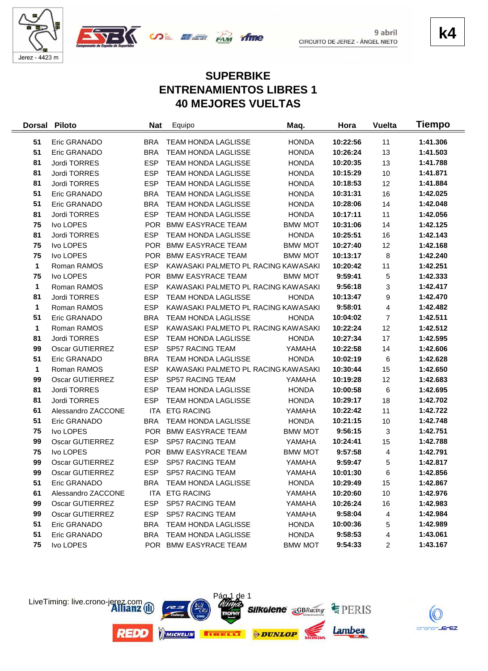



**k4**

# **SUPERBIKE ENTRENAMIENTOS LIBRES 1 40 MEJORES VUELTAS**

| <b>Dorsal</b> | <b>Piloto</b>          | <b>Nat</b> | Equipo                              | Maq.           | Hora     | <b>Vuelta</b>  | Tiempo   |
|---------------|------------------------|------------|-------------------------------------|----------------|----------|----------------|----------|
| 51            | Eric GRANADO           | <b>BRA</b> | <b>TEAM HONDA LAGLISSE</b>          | <b>HONDA</b>   | 10:22:56 | 11             | 1:41.306 |
| 51            | Eric GRANADO           | <b>BRA</b> | TEAM HONDA LAGLISSE                 | <b>HONDA</b>   | 10:26:24 | 13             | 1:41.503 |
| 81            | Jordi TORRES           | <b>ESP</b> | TEAM HONDA LAGLISSE                 | <b>HONDA</b>   | 10:20:35 | 13             | 1:41.788 |
| 81            | Jordi TORRES           | <b>ESP</b> | TEAM HONDA LAGLISSE                 | <b>HONDA</b>   | 10:15:29 | 10             | 1:41.871 |
| 81            | Jordi TORRES           | <b>ESP</b> | <b>TEAM HONDA LAGLISSE</b>          | <b>HONDA</b>   | 10:18:53 | 12             | 1:41.884 |
| 51            | Eric GRANADO           | <b>BRA</b> | <b>TEAM HONDA LAGLISSE</b>          | <b>HONDA</b>   | 10:31:31 | 16             | 1:42.025 |
| 51            | Eric GRANADO           | <b>BRA</b> | <b>TEAM HONDA LAGLISSE</b>          | <b>HONDA</b>   | 10:28:06 | 14             | 1:42.048 |
| 81            | Jordi TORRES           | <b>ESP</b> | <b>TEAM HONDA LAGLISSE</b>          | <b>HONDA</b>   | 10:17:11 | 11             | 1:42.056 |
| 75            | Ivo LOPES              | <b>POR</b> | <b>BMW EASYRACE TEAM</b>            | <b>BMW MOT</b> | 10:31:06 | 14             | 1:42.125 |
| 81            | Jordi TORRES           | <b>ESP</b> | TEAM HONDA LAGLISSE                 | <b>HONDA</b>   | 10:25:51 | 16             | 1:42.143 |
| 75            | Ivo LOPES              | <b>POR</b> | <b>BMW EASYRACE TEAM</b>            | <b>BMW MOT</b> | 10:27:40 | 12             | 1:42.168 |
| 75            | Ivo LOPES              | <b>POR</b> | <b>BMW EASYRACE TEAM</b>            | <b>BMW MOT</b> | 10:13:17 | 8              | 1:42.240 |
| 1             | Roman RAMOS            | <b>ESP</b> | KAWASAKI PALMETO PL RACING KAWASAKI |                | 10:20:42 | 11             | 1:42.251 |
| 75            | Ivo LOPES              | <b>POR</b> | <b>BMW EASYRACE TEAM</b>            | <b>BMW MOT</b> | 9:59:41  | 5              | 1:42.333 |
| 1             | Roman RAMOS            | <b>ESP</b> | KAWASAKI PALMETO PL RACING KAWASAKI |                | 9:56:18  | 3              | 1:42.417 |
| 81            | Jordi TORRES           | <b>ESP</b> | TEAM HONDA LAGLISSE                 | <b>HONDA</b>   | 10:13:47 | 9              | 1:42.470 |
| 1             | Roman RAMOS            | <b>ESP</b> | KAWASAKI PALMETO PL RACING KAWASAKI |                | 9:58:01  | 4              | 1:42.482 |
| 51            | Eric GRANADO           | <b>BRA</b> | <b>TEAM HONDA LAGLISSE</b>          | <b>HONDA</b>   | 10:04:02 | $\overline{7}$ | 1:42.511 |
| 1             | Roman RAMOS            | <b>ESP</b> | KAWASAKI PALMETO PL RACING KAWASAKI |                | 10:22:24 | 12             | 1:42.512 |
| 81            | Jordi TORRES           | <b>ESP</b> | TEAM HONDA LAGLISSE                 | <b>HONDA</b>   | 10:27:34 | 17             | 1:42.595 |
| 99            | Oscar GUTIERREZ        | <b>ESP</b> | SP57 RACING TEAM                    | YAMAHA         | 10:22:58 | 14             | 1:42.606 |
| 51            | Eric GRANADO           | <b>BRA</b> | TEAM HONDA LAGLISSE                 | <b>HONDA</b>   | 10:02:19 | 6              | 1:42.628 |
| 1             | Roman RAMOS            | <b>ESP</b> | KAWASAKI PALMETO PL RACING KAWASAKI |                | 10:30:44 | 15             | 1:42.650 |
| 99            | Oscar GUTIERREZ        | <b>ESP</b> | SP57 RACING TEAM                    | YAMAHA         | 10:19:28 | 12             | 1:42.683 |
| 81            | Jordi TORRES           | <b>ESP</b> | <b>TEAM HONDA LAGLISSE</b>          | <b>HONDA</b>   | 10:00:58 | 6              | 1:42.695 |
| 81            | Jordi TORRES           | <b>ESP</b> | <b>TEAM HONDA LAGLISSE</b>          | <b>HONDA</b>   | 10:29:17 | 18             | 1:42.702 |
| 61            | Alessandro ZACCONE     | ITA        | <b>ETG RACING</b>                   | YAMAHA         | 10:22:42 | 11             | 1:42.722 |
| 51            | Eric GRANADO           | <b>BRA</b> | TEAM HONDA LAGLISSE                 | <b>HONDA</b>   | 10:21:15 | 10             | 1:42.748 |
| 75            | Ivo LOPES              | <b>POR</b> | <b>BMW EASYRACE TEAM</b>            | <b>BMW MOT</b> | 9:56:15  | 3              | 1:42.751 |
| 99            | Oscar GUTIERREZ        | <b>ESP</b> | SP57 RACING TEAM                    | YAMAHA         | 10:24:41 | 15             | 1:42.788 |
| 75            | Ivo LOPES              | <b>POR</b> | <b>BMW EASYRACE TEAM</b>            | <b>BMW MOT</b> | 9:57:58  | 4              | 1:42.791 |
| 99            | Oscar GUTIERREZ        | <b>ESP</b> | SP57 RACING TEAM                    | YAMAHA         | 9:59:47  | 5              | 1:42.817 |
| 99            | <b>Oscar GUTIERREZ</b> | <b>ESP</b> | SP57 RACING TEAM                    | YAMAHA         | 10:01:30 | 6              | 1:42.856 |
| 51            | Eric GRANADO           | BRA        | <b>TEAM HONDA LAGLISSE</b>          | <b>HONDA</b>   | 10:29:49 | 15             | 1:42.867 |
| 61            | Alessandro ZACCONE     |            | ITA ETG RACING                      | YAMAHA         | 10:20:60 | 10             | 1:42.976 |
| 99            | Oscar GUTIERREZ        | <b>ESP</b> | SP57 RACING TEAM                    | YAMAHA         | 10:26:24 | 16             | 1:42.983 |
| 99            | Oscar GUTIERREZ        | <b>ESP</b> | SP57 RACING TEAM                    | YAMAHA         | 9:58:04  | 4              | 1:42.984 |
| 51            | Eric GRANADO           | <b>BRA</b> | TEAM HONDA LAGLISSE                 | <b>HONDA</b>   | 10:00:36 | 5              | 1:42.989 |
| 51            | Eric GRANADO           | <b>BRA</b> | <b>TEAM HONDA LAGLISSE</b>          | <b>HONDA</b>   | 9:58:53  | 4              | 1:43.061 |
| 75            | Ivo LOPES              |            | POR BMW EASYRACE TEAM               | <b>BMW MOT</b> | 9:54:33  | 2              | 1:43.167 |



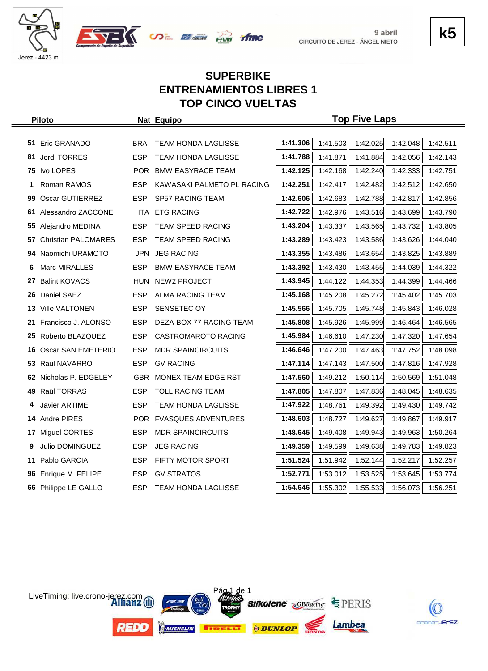



## **SUPERBIKE ENTRENAMIENTOS LIBRES 1 TOP CINCO VUELTAS**

| <b>Piloto</b> |                            |            | Nat Equipo                 | <b>Top Five Laps</b> |          |          |          |          |  |
|---------------|----------------------------|------------|----------------------------|----------------------|----------|----------|----------|----------|--|
|               |                            |            |                            |                      |          |          |          |          |  |
|               | 51 Eric GRANADO            | <b>BRA</b> | <b>TEAM HONDA LAGLISSE</b> | 1:41.306             | 1:41.503 | 1:42.025 | 1:42.048 | 1:42.511 |  |
| 81            | <b>Jordi TORRES</b>        | <b>ESP</b> | TEAM HONDA LAGLISSE        | 1:41.788             | 1:41.871 | 1:41.884 | 1:42.056 | 1:42.143 |  |
| 75            | Ivo LOPES                  | <b>POR</b> | <b>BMW EASYRACE TEAM</b>   | 1:42.125             | 1:42.168 | 1:42.240 | 1:42.333 | 1:42.751 |  |
| 1             | Roman RAMOS                | <b>ESP</b> | KAWASAKI PALMETO PL RACING | 1:42.251             | 1:42.417 | 1:42.482 | 1:42.512 | 1:42.650 |  |
| 99            | Oscar GUTIERREZ            | <b>ESP</b> | <b>SP57 RACING TEAM</b>    | 1:42.606             | 1:42.683 | 1:42.788 | 1:42.817 | 1:42.856 |  |
| 61            | Alessandro ZACCONE         | ITA.       | <b>ETG RACING</b>          | 1:42.722             | 1:42.976 | 1:43.516 | 1:43.699 | 1:43.790 |  |
| 55            | Alejandro MEDINA           | <b>ESP</b> | TEAM SPEED RACING          | 1:43.204             | 1:43.337 | 1:43.565 | 1:43.732 | 1:43.805 |  |
| 57            | <b>Christian PALOMARES</b> | <b>ESP</b> | <b>TEAM SPEED RACING</b>   | 1:43.289             | 1:43.423 | 1:43.586 | 1:43.626 | 1:44.040 |  |
| 94            | Naomichi URAMOTO           | <b>JPN</b> | <b>JEG RACING</b>          | 1:43.355             | 1:43.486 | 1:43.654 | 1:43.825 | 1:43.889 |  |
| 6             | Marc MIRALLES              | <b>ESP</b> | <b>BMW EASYRACE TEAM</b>   | 1:43.392             | 1:43.430 | 1:43.455 | 1:44.039 | 1:44.322 |  |
| 27            | <b>Balint KOVACS</b>       | <b>HUN</b> | NEW2 PROJECT               | 1:43.945             | 1:44.122 | 1:44.353 | 1:44.399 | 1:44.466 |  |
| 26            | Daniel SAEZ                | <b>ESP</b> | <b>ALMA RACING TEAM</b>    | 1:45.168             | 1:45.208 | 1:45.272 | 1:45.402 | 1:45.703 |  |
| 13.           | <b>Ville VALTONEN</b>      | <b>ESP</b> | SENSETEC OY                | 1:45.566             | 1:45.705 | 1:45.748 | 1:45.843 | 1:46.028 |  |
| 21            | Francisco J. ALONSO        | <b>ESP</b> | DEZA-BOX 77 RACING TEAM    | 1:45.808             | 1:45.926 | 1:45.999 | 1:46.464 | 1:46.565 |  |
| 25            | Roberto BLAZQUEZ           | <b>ESP</b> | <b>CASTROMAROTO RACING</b> | 1:45.984             | 1:46.610 | 1:47.230 | 1:47.320 | 1:47.654 |  |
| 16            | Oscar SAN EMETERIO         | <b>ESP</b> | <b>MDR SPAINCIRCUITS</b>   | 1:46.646             | 1:47.200 | 1:47.463 | 1:47.752 | 1:48.098 |  |
| 53            | Raul NAVARRO               | <b>ESP</b> | <b>GV RACING</b>           | 1:47.114             | 1:47.143 | 1:47.500 | 1:47.816 | 1:47.928 |  |
| 62            | Nicholas P. EDGELEY        | <b>GBR</b> | MONEX TEAM EDGE RST        | 1:47.560             | 1:49.212 | 1:50.114 | 1:50.569 | 1:51.048 |  |
| 49            | Raül TORRAS                | <b>ESP</b> | <b>TOLL RACING TEAM</b>    | 1:47.805             | 1:47.807 | 1:47.836 | 1:48.045 | 1:48.635 |  |
| 4             | <b>Javier ARTIME</b>       | <b>ESP</b> | <b>TEAM HONDA LAGLISSE</b> | 1:47.922             | 1:48.761 | 1:49.392 | 1:49.430 | 1:49.742 |  |
| 14            | Andre PIRES                | POR        | <b>FVASQUES ADVENTURES</b> | 1:48.603             | 1:48.727 | 1:49.627 | 1:49.867 | 1:49.917 |  |
| 17            | Miguel CORTES              | <b>ESP</b> | <b>MDR SPAINCIRCUITS</b>   | 1:48.645             | 1:49.408 | 1:49.943 | 1:49.963 | 1:50.264 |  |
| 9             | Julio DOMINGUEZ            | <b>ESP</b> | <b>JEG RACING</b>          | 1:49.359             | 1:49.599 | 1:49.638 | 1:49.783 | 1:49.823 |  |
| 11            | Pablo GARCIA               | <b>ESP</b> | FIFTY MOTOR SPORT          | 1:51.524             | 1:51.942 | 1:52.144 | 1:52.217 | 1:52.257 |  |
| 96            | Enrique M. FELIPE          | <b>ESP</b> | <b>GV STRATOS</b>          | 1:52.771             | 1:53.012 | 1:53.525 | 1:53.645 | 1:53.774 |  |
| 66            | Philippe LE GALLO          | <b>ESP</b> | <b>TEAM HONDA LAGLISSE</b> | 1:54.646             | 1:55.302 | 1:55.533 | 1:56.073 | 1:56.251 |  |



crono-JErEZ

**k5**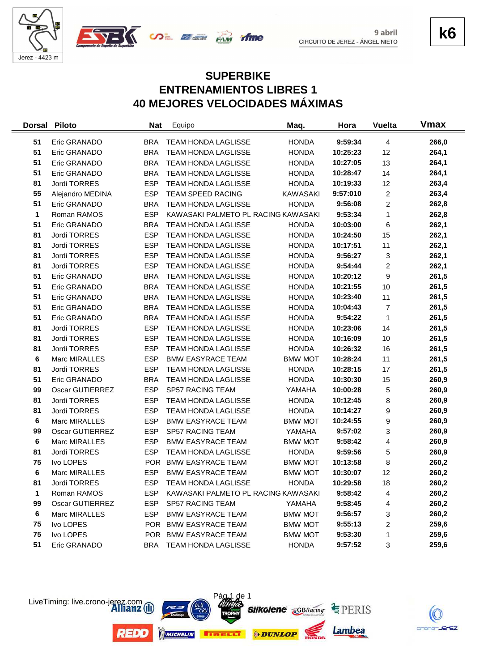



**k6**

## **SUPERBIKE ENTRENAMIENTOS LIBRES 1 40 MEJORES VELOCIDADES MÁXIMAS**

| <b>Dorsal</b> | <b>Piloto</b>          | <b>Nat</b> | Equipo                              | Maq.            | Hora     | <b>Vuelta</b>           | <b>V</b> max |
|---------------|------------------------|------------|-------------------------------------|-----------------|----------|-------------------------|--------------|
| 51            | Eric GRANADO           | <b>BRA</b> | <b>TEAM HONDA LAGLISSE</b>          | <b>HONDA</b>    | 9:59:34  | 4                       | 266,0        |
| 51            | Eric GRANADO           | <b>BRA</b> | TEAM HONDA LAGLISSE                 | <b>HONDA</b>    | 10:25:23 | 12                      | 264,1        |
| 51            | Eric GRANADO           | <b>BRA</b> | <b>TEAM HONDA LAGLISSE</b>          | <b>HONDA</b>    | 10:27:05 | 13                      | 264,1        |
| 51            | Eric GRANADO           | <b>BRA</b> | TEAM HONDA LAGLISSE                 | <b>HONDA</b>    | 10:28:47 | 14                      | 264,1        |
| 81            | Jordi TORRES           | <b>ESP</b> | TEAM HONDA LAGLISSE                 | <b>HONDA</b>    | 10:19:33 | 12                      | 263,4        |
| 55            | Alejandro MEDINA       | <b>ESP</b> | <b>TEAM SPEED RACING</b>            | <b>KAWASAKI</b> | 9:57:010 | $\overline{c}$          | 263,4        |
| 51            | Eric GRANADO           | <b>BRA</b> | <b>TEAM HONDA LAGLISSE</b>          | <b>HONDA</b>    | 9:56:08  | $\overline{2}$          | 262,8        |
| 1             | Roman RAMOS            | <b>ESP</b> | KAWASAKI PALMETO PL RACING KAWASAKI |                 | 9:53:34  | 1                       | 262,8        |
| 51            | Eric GRANADO           | <b>BRA</b> | TEAM HONDA LAGLISSE                 | <b>HONDA</b>    | 10:03:00 | 6                       | 262,1        |
| 81            | Jordi TORRES           | <b>ESP</b> | TEAM HONDA LAGLISSE                 | <b>HONDA</b>    | 10:24:50 | 15                      | 262,1        |
| 81            | Jordi TORRES           | <b>ESP</b> | TEAM HONDA LAGLISSE                 | <b>HONDA</b>    | 10:17:51 | 11                      | 262,1        |
| 81            | Jordi TORRES           | <b>ESP</b> | <b>TEAM HONDA LAGLISSE</b>          | <b>HONDA</b>    | 9:56:27  | 3                       | 262,1        |
| 81            | Jordi TORRES           | <b>ESP</b> | TEAM HONDA LAGLISSE                 | <b>HONDA</b>    | 9:54:44  | 2                       | 262,1        |
| 51            | Eric GRANADO           | <b>BRA</b> | TEAM HONDA LAGLISSE                 | <b>HONDA</b>    | 10:20:12 | 9                       | 261,5        |
| 51            | Eric GRANADO           | <b>BRA</b> | TEAM HONDA LAGLISSE                 | <b>HONDA</b>    | 10:21:55 | 10                      | 261,5        |
| 51            | Eric GRANADO           | <b>BRA</b> | <b>TEAM HONDA LAGLISSE</b>          | <b>HONDA</b>    | 10:23:40 | 11                      | 261,5        |
| 51            | Eric GRANADO           | <b>BRA</b> | <b>TEAM HONDA LAGLISSE</b>          | <b>HONDA</b>    | 10:04:43 | $\overline{7}$          | 261,5        |
| 51            | Eric GRANADO           | <b>BRA</b> | <b>TEAM HONDA LAGLISSE</b>          | <b>HONDA</b>    | 9:54:22  | 1                       | 261,5        |
| 81            | Jordi TORRES           | <b>ESP</b> | <b>TEAM HONDA LAGLISSE</b>          | <b>HONDA</b>    | 10:23:06 | 14                      | 261,5        |
| 81            | Jordi TORRES           | <b>ESP</b> | TEAM HONDA LAGLISSE                 | <b>HONDA</b>    | 10:16:09 | 10                      | 261,5        |
| 81            | Jordi TORRES           | <b>ESP</b> | TEAM HONDA LAGLISSE                 | <b>HONDA</b>    | 10:26:32 | 16                      | 261,5        |
| 6             | Marc MIRALLES          | <b>ESP</b> | <b>BMW EASYRACE TEAM</b>            | <b>BMW MOT</b>  | 10:28:24 | 11                      | 261,5        |
| 81            | Jordi TORRES           | <b>ESP</b> | TEAM HONDA LAGLISSE                 | <b>HONDA</b>    | 10:28:15 | 17                      | 261,5        |
| 51            | Eric GRANADO           | <b>BRA</b> | <b>TEAM HONDA LAGLISSE</b>          | <b>HONDA</b>    | 10:30:30 | 15                      | 260,9        |
| 99            | <b>Oscar GUTIERREZ</b> | <b>ESP</b> | SP57 RACING TEAM                    | YAMAHA          | 10:00:28 | 5                       | 260,9        |
| 81            | Jordi TORRES           | <b>ESP</b> | TEAM HONDA LAGLISSE                 | <b>HONDA</b>    | 10:12:45 | 8                       | 260,9        |
| 81            | Jordi TORRES           | <b>ESP</b> | TEAM HONDA LAGLISSE                 | <b>HONDA</b>    | 10:14:27 | 9                       | 260,9        |
| 6             | Marc MIRALLES          | <b>ESP</b> | <b>BMW EASYRACE TEAM</b>            | <b>BMW MOT</b>  | 10:24:55 | 9                       | 260,9        |
| 99            | Oscar GUTIERREZ        | <b>ESP</b> | SP57 RACING TEAM                    | YAMAHA          | 9:57:02  | 3                       | 260,9        |
| 6             | Marc MIRALLES          | <b>ESP</b> | <b>BMW EASYRACE TEAM</b>            | <b>BMW MOT</b>  | 9:58:42  | $\overline{\mathbf{4}}$ | 260,9        |
| 81            | Jordi TORRES           | <b>ESP</b> | TEAM HONDA LAGLISSE                 | <b>HONDA</b>    | 9:59:56  | 5                       | 260,9        |
| 75            | Ivo LOPES              | <b>POR</b> | <b>BMW EASYRACE TEAM</b>            | <b>BMW MOT</b>  | 10:13:58 | 8                       | 260,2        |
| 6             | Marc MIRALLES          | <b>ESP</b> | <b>BMW EASYRACE TEAM</b>            | <b>BMW MOT</b>  | 10:30:07 | 12                      | 260,2        |
| 81            | Jordi TORRES           | <b>ESP</b> | <b>TEAM HONDA LAGLISSE</b>          | <b>HONDA</b>    | 10:29:58 | 18                      | 260,2        |
| 1             | Roman RAMOS            | <b>ESP</b> | KAWASAKI PALMETO PL RACING KAWASAKI |                 | 9:58:42  | 4                       | 260,2        |
| 99            | <b>Oscar GUTIERREZ</b> | <b>ESP</b> | SP57 RACING TEAM                    | YAMAHA          | 9:58:45  | 4                       | 260,2        |
| 6             | Marc MIRALLES          | <b>ESP</b> | <b>BMW EASYRACE TEAM</b>            | <b>BMW MOT</b>  | 9:56:57  | 3                       | 260,2        |
| 75            | Ivo LOPES              | POR .      | <b>BMW EASYRACE TEAM</b>            | <b>BMW MOT</b>  | 9:55:13  | 2                       | 259,6        |
| 75            | Ivo LOPES              |            | POR BMW EASYRACE TEAM               | <b>BMW MOT</b>  | 9:53:30  | 1                       | 259,6        |
| 51            | Eric GRANADO           | <b>BRA</b> | TEAM HONDA LAGLISSE                 | <b>HONDA</b>    | 9:57:52  | 3                       | 259,6        |